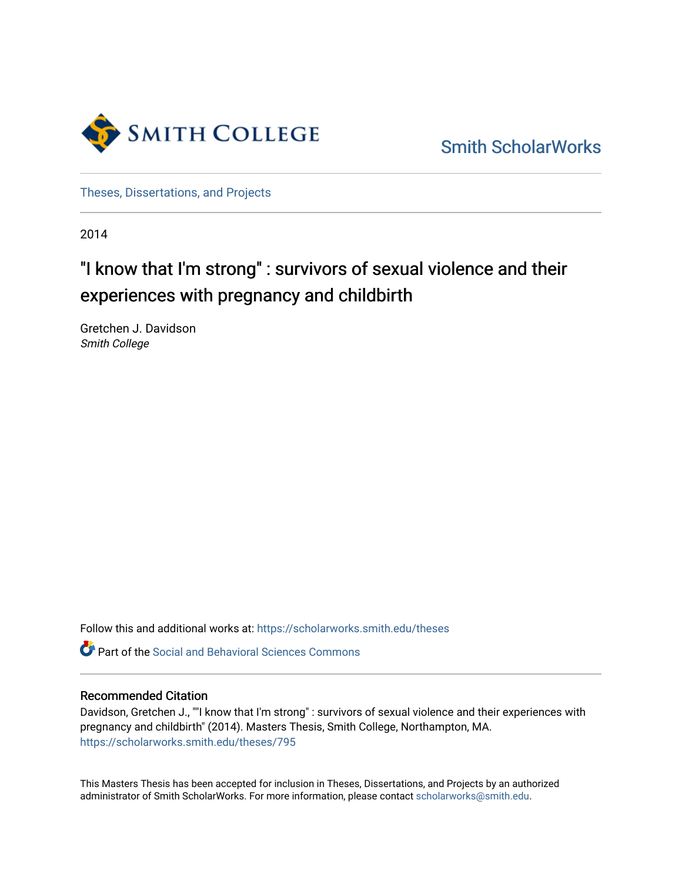

[Smith ScholarWorks](https://scholarworks.smith.edu/) 

[Theses, Dissertations, and Projects](https://scholarworks.smith.edu/theses) 

2014

## "I know that I'm strong" : survivors of sexual violence and their experiences with pregnancy and childbirth

Gretchen J. Davidson Smith College

Follow this and additional works at: [https://scholarworks.smith.edu/theses](https://scholarworks.smith.edu/theses?utm_source=scholarworks.smith.edu%2Ftheses%2F795&utm_medium=PDF&utm_campaign=PDFCoverPages) 

**C** Part of the Social and Behavioral Sciences Commons

#### Recommended Citation

Davidson, Gretchen J., ""I know that I'm strong" : survivors of sexual violence and their experiences with pregnancy and childbirth" (2014). Masters Thesis, Smith College, Northampton, MA. [https://scholarworks.smith.edu/theses/795](https://scholarworks.smith.edu/theses/795?utm_source=scholarworks.smith.edu%2Ftheses%2F795&utm_medium=PDF&utm_campaign=PDFCoverPages) 

This Masters Thesis has been accepted for inclusion in Theses, Dissertations, and Projects by an authorized administrator of Smith ScholarWorks. For more information, please contact [scholarworks@smith.edu](mailto:scholarworks@smith.edu).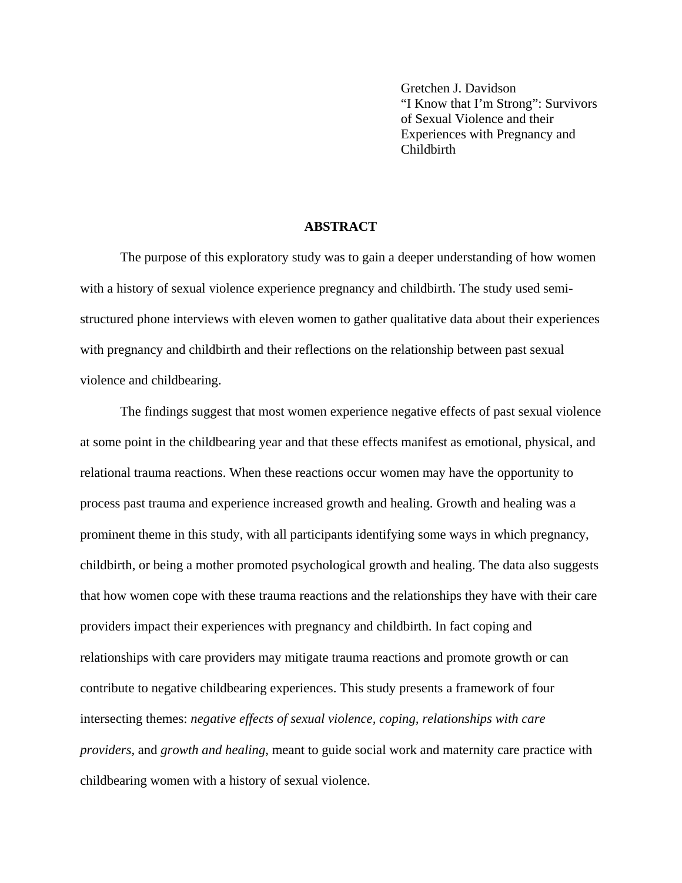Gretchen J. Davidson "I Know that I'm Strong": Survivors of Sexual Violence and their Experiences with Pregnancy and Childbirth

#### **ABSTRACT**

The purpose of this exploratory study was to gain a deeper understanding of how women with a history of sexual violence experience pregnancy and childbirth. The study used semistructured phone interviews with eleven women to gather qualitative data about their experiences with pregnancy and childbirth and their reflections on the relationship between past sexual violence and childbearing.

The findings suggest that most women experience negative effects of past sexual violence at some point in the childbearing year and that these effects manifest as emotional, physical, and relational trauma reactions. When these reactions occur women may have the opportunity to process past trauma and experience increased growth and healing. Growth and healing was a prominent theme in this study, with all participants identifying some ways in which pregnancy, childbirth, or being a mother promoted psychological growth and healing. The data also suggests that how women cope with these trauma reactions and the relationships they have with their care providers impact their experiences with pregnancy and childbirth. In fact coping and relationships with care providers may mitigate trauma reactions and promote growth or can contribute to negative childbearing experiences. This study presents a framework of four intersecting themes: *negative effects of sexual violence, coping, relationships with care providers,* and *growth and healing*, meant to guide social work and maternity care practice with childbearing women with a history of sexual violence.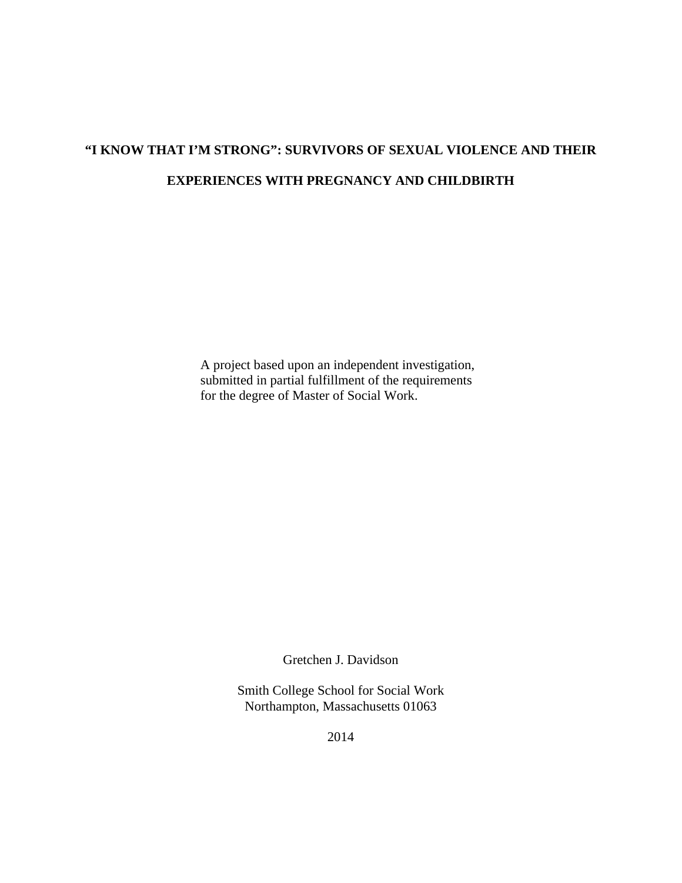# **"I KNOW THAT I'M STRONG": SURVIVORS OF SEXUAL VIOLENCE AND THEIR EXPERIENCES WITH PREGNANCY AND CHILDBIRTH**

A project based upon an independent investigation, submitted in partial fulfillment of the requirements for the degree of Master of Social Work.

Gretchen J. Davidson

Smith College School for Social Work Northampton, Massachusetts 01063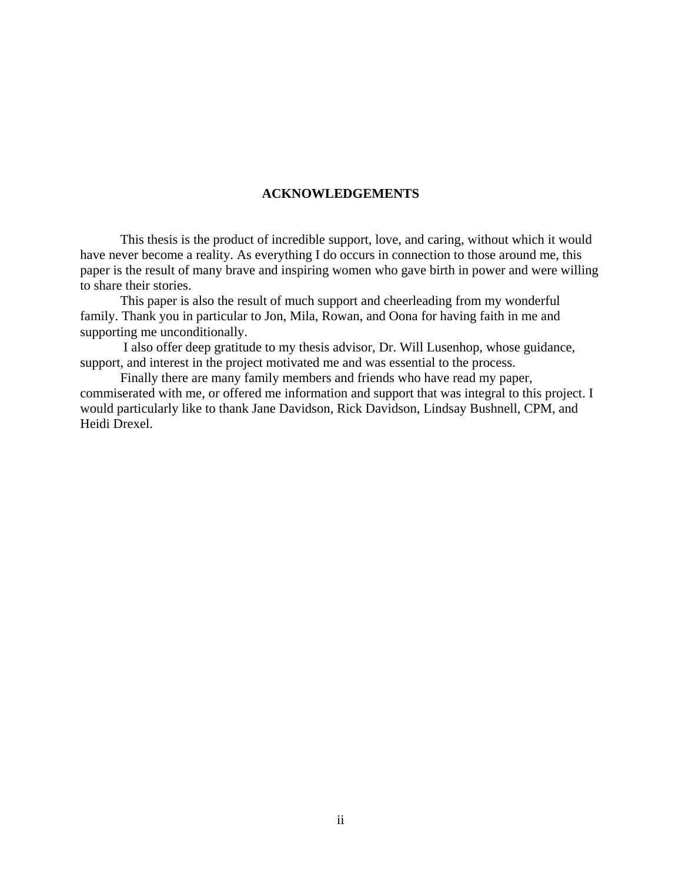#### **ACKNOWLEDGEMENTS**

This thesis is the product of incredible support, love, and caring, without which it would have never become a reality. As everything I do occurs in connection to those around me, this paper is the result of many brave and inspiring women who gave birth in power and were willing to share their stories.

This paper is also the result of much support and cheerleading from my wonderful family. Thank you in particular to Jon, Mila, Rowan, and Oona for having faith in me and supporting me unconditionally.

 I also offer deep gratitude to my thesis advisor, Dr. Will Lusenhop, whose guidance, support, and interest in the project motivated me and was essential to the process.

Finally there are many family members and friends who have read my paper, commiserated with me, or offered me information and support that was integral to this project. I would particularly like to thank Jane Davidson, Rick Davidson, Lindsay Bushnell, CPM, and Heidi Drexel.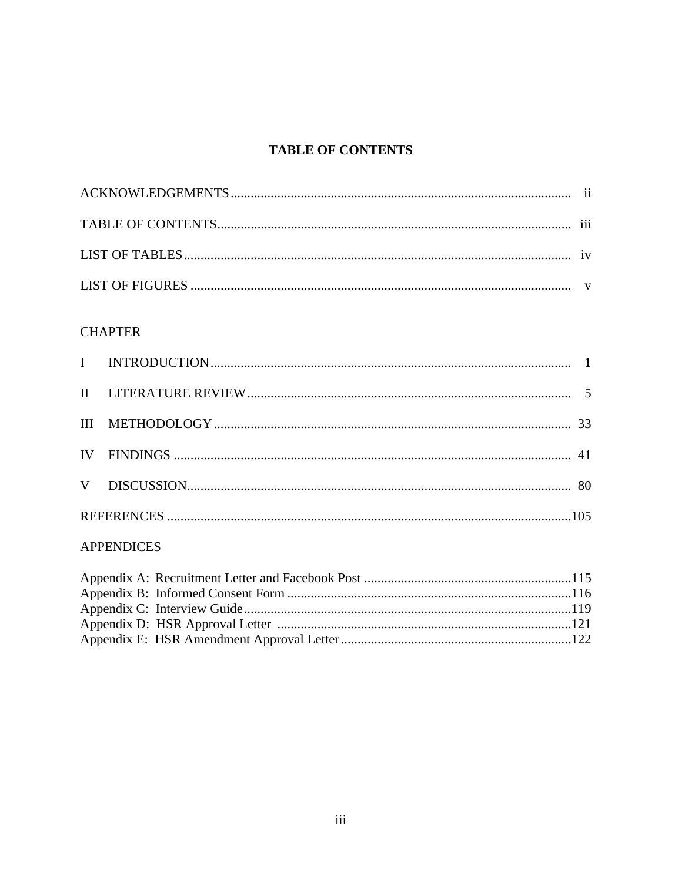## **TABLE OF CONTENTS**

## **CHAPTER**

## **APPENDICES**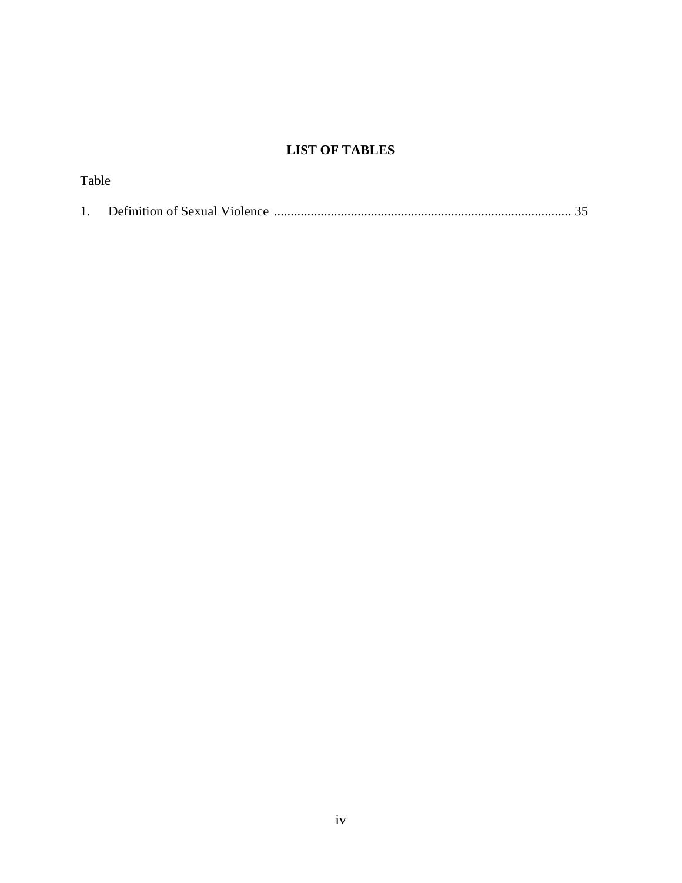## **LIST OF TABLES**

| Table |  |
|-------|--|
|       |  |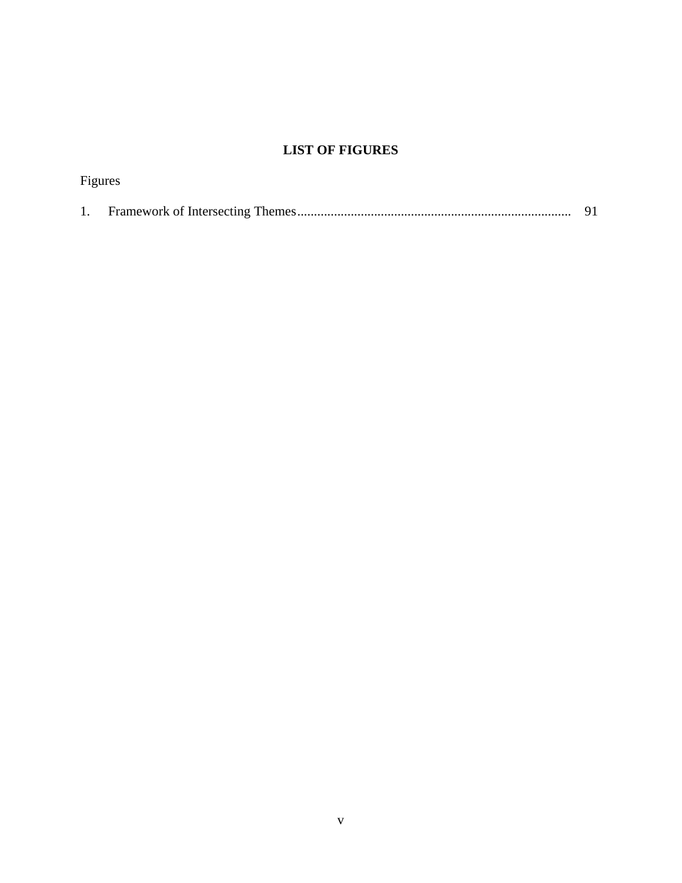## **LIST OF FIGURES**

| Figures |  |
|---------|--|
|         |  |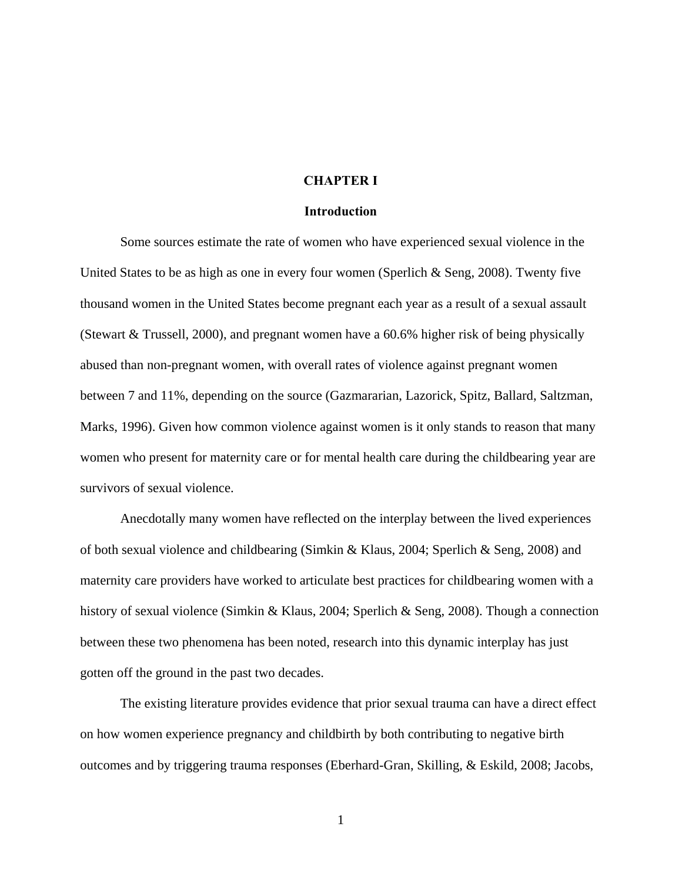#### **CHAPTER I**

#### **Introduction**

Some sources estimate the rate of women who have experienced sexual violence in the United States to be as high as one in every four women (Sperlich & Seng, 2008). Twenty five thousand women in the United States become pregnant each year as a result of a sexual assault (Stewart & Trussell, 2000), and pregnant women have a 60.6% higher risk of being physically abused than non-pregnant women, with overall rates of violence against pregnant women between 7 and 11%, depending on the source (Gazmararian, Lazorick, Spitz, Ballard, Saltzman, Marks, 1996). Given how common violence against women is it only stands to reason that many women who present for maternity care or for mental health care during the childbearing year are survivors of sexual violence.

Anecdotally many women have reflected on the interplay between the lived experiences of both sexual violence and childbearing (Simkin & Klaus, 2004; Sperlich & Seng, 2008) and maternity care providers have worked to articulate best practices for childbearing women with a history of sexual violence (Simkin & Klaus, 2004; Sperlich & Seng, 2008). Though a connection between these two phenomena has been noted, research into this dynamic interplay has just gotten off the ground in the past two decades.

The existing literature provides evidence that prior sexual trauma can have a direct effect on how women experience pregnancy and childbirth by both contributing to negative birth outcomes and by triggering trauma responses (Eberhard-Gran, Skilling, & Eskild, 2008; Jacobs,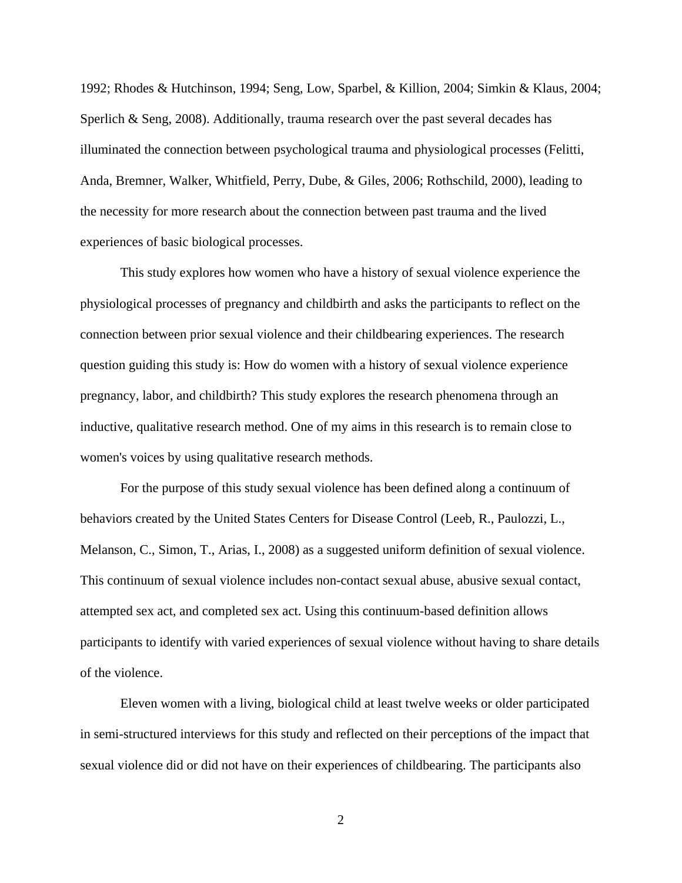1992; Rhodes & Hutchinson, 1994; Seng, Low, Sparbel, & Killion, 2004; Simkin & Klaus, 2004; Sperlich & Seng,  $2008$ ). Additionally, trauma research over the past several decades has illuminated the connection between psychological trauma and physiological processes (Felitti, Anda, Bremner, Walker, Whitfield, Perry, Dube, & Giles, 2006; Rothschild, 2000), leading to the necessity for more research about the connection between past trauma and the lived experiences of basic biological processes.

This study explores how women who have a history of sexual violence experience the physiological processes of pregnancy and childbirth and asks the participants to reflect on the connection between prior sexual violence and their childbearing experiences. The research question guiding this study is: How do women with a history of sexual violence experience pregnancy, labor, and childbirth? This study explores the research phenomena through an inductive, qualitative research method. One of my aims in this research is to remain close to women's voices by using qualitative research methods.

For the purpose of this study sexual violence has been defined along a continuum of behaviors created by the United States Centers for Disease Control (Leeb, R., Paulozzi, L., Melanson, C., Simon, T., Arias, I., 2008) as a suggested uniform definition of sexual violence. This continuum of sexual violence includes non-contact sexual abuse, abusive sexual contact, attempted sex act, and completed sex act. Using this continuum-based definition allows participants to identify with varied experiences of sexual violence without having to share details of the violence.

Eleven women with a living, biological child at least twelve weeks or older participated in semi-structured interviews for this study and reflected on their perceptions of the impact that sexual violence did or did not have on their experiences of childbearing. The participants also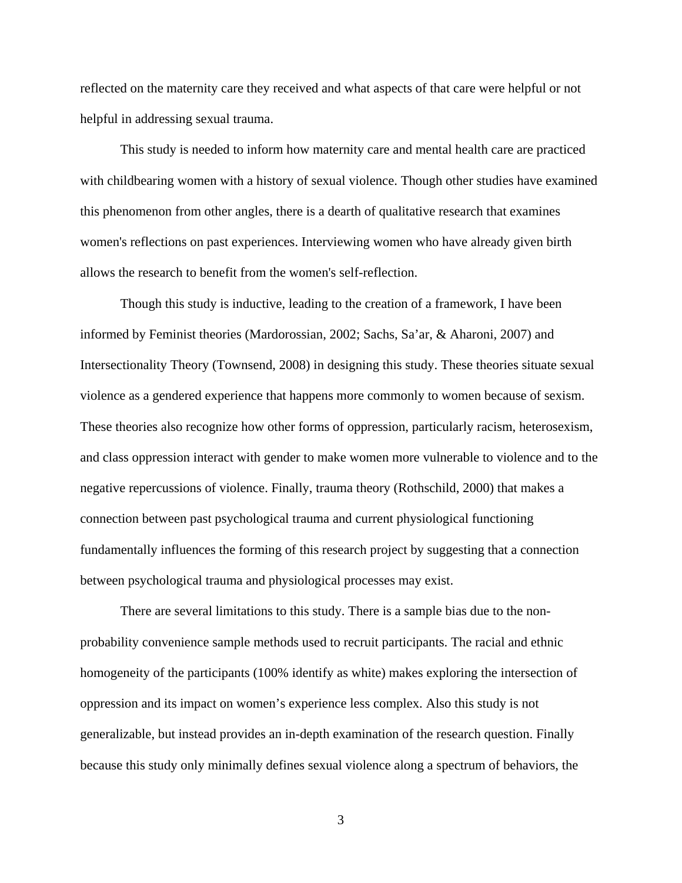reflected on the maternity care they received and what aspects of that care were helpful or not helpful in addressing sexual trauma.

This study is needed to inform how maternity care and mental health care are practiced with childbearing women with a history of sexual violence. Though other studies have examined this phenomenon from other angles, there is a dearth of qualitative research that examines women's reflections on past experiences. Interviewing women who have already given birth allows the research to benefit from the women's self-reflection.

Though this study is inductive, leading to the creation of a framework, I have been informed by Feminist theories (Mardorossian, 2002; Sachs, Sa'ar, & Aharoni, 2007) and Intersectionality Theory (Townsend, 2008) in designing this study. These theories situate sexual violence as a gendered experience that happens more commonly to women because of sexism. These theories also recognize how other forms of oppression, particularly racism, heterosexism, and class oppression interact with gender to make women more vulnerable to violence and to the negative repercussions of violence. Finally, trauma theory (Rothschild, 2000) that makes a connection between past psychological trauma and current physiological functioning fundamentally influences the forming of this research project by suggesting that a connection between psychological trauma and physiological processes may exist.

There are several limitations to this study. There is a sample bias due to the nonprobability convenience sample methods used to recruit participants. The racial and ethnic homogeneity of the participants (100% identify as white) makes exploring the intersection of oppression and its impact on women's experience less complex. Also this study is not generalizable, but instead provides an in-depth examination of the research question. Finally because this study only minimally defines sexual violence along a spectrum of behaviors, the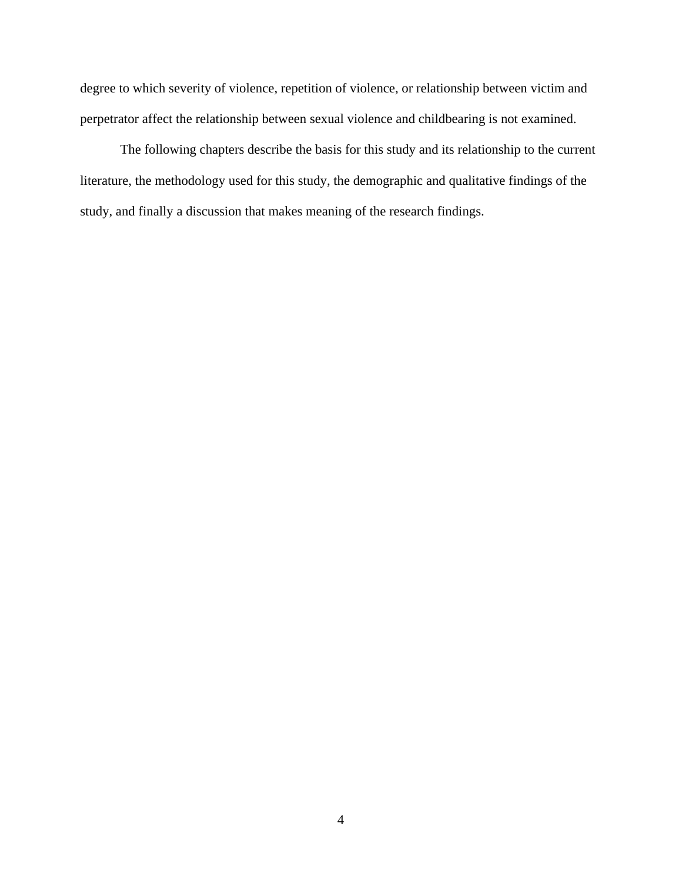degree to which severity of violence, repetition of violence, or relationship between victim and perpetrator affect the relationship between sexual violence and childbearing is not examined.

The following chapters describe the basis for this study and its relationship to the current literature, the methodology used for this study, the demographic and qualitative findings of the study, and finally a discussion that makes meaning of the research findings.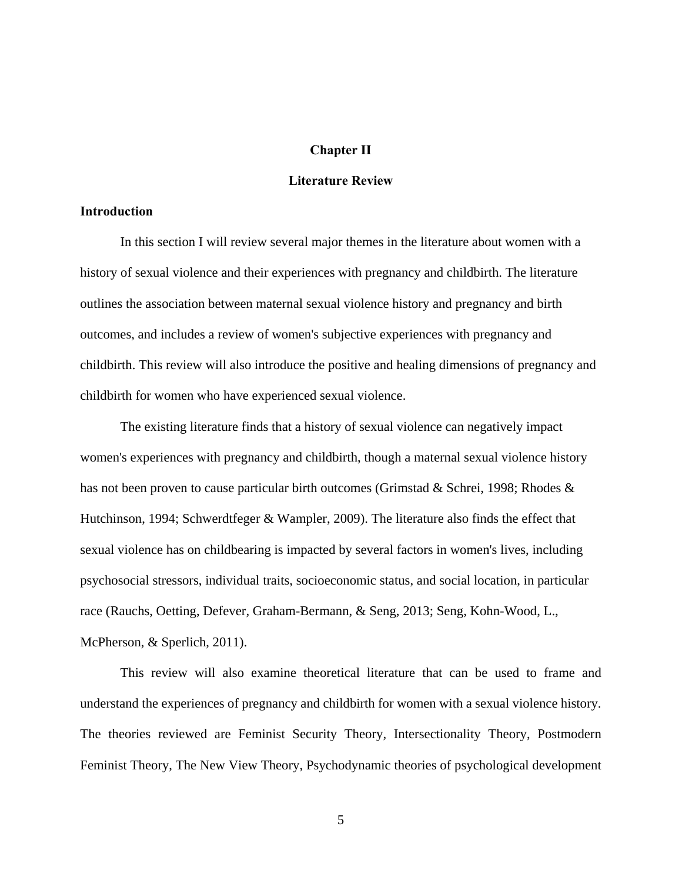#### **Chapter II**

#### **Literature Review**

#### **Introduction**

In this section I will review several major themes in the literature about women with a history of sexual violence and their experiences with pregnancy and childbirth. The literature outlines the association between maternal sexual violence history and pregnancy and birth outcomes, and includes a review of women's subjective experiences with pregnancy and childbirth. This review will also introduce the positive and healing dimensions of pregnancy and childbirth for women who have experienced sexual violence.

The existing literature finds that a history of sexual violence can negatively impact women's experiences with pregnancy and childbirth, though a maternal sexual violence history has not been proven to cause particular birth outcomes (Grimstad & Schrei, 1998; Rhodes & Hutchinson, 1994; Schwerdtfeger & Wampler, 2009). The literature also finds the effect that sexual violence has on childbearing is impacted by several factors in women's lives, including psychosocial stressors, individual traits, socioeconomic status, and social location, in particular race (Rauchs, Oetting, Defever, Graham-Bermann, & Seng, 2013; Seng, Kohn-Wood, L., McPherson, & Sperlich, 2011).

 This review will also examine theoretical literature that can be used to frame and understand the experiences of pregnancy and childbirth for women with a sexual violence history. The theories reviewed are Feminist Security Theory, Intersectionality Theory, Postmodern Feminist Theory, The New View Theory, Psychodynamic theories of psychological development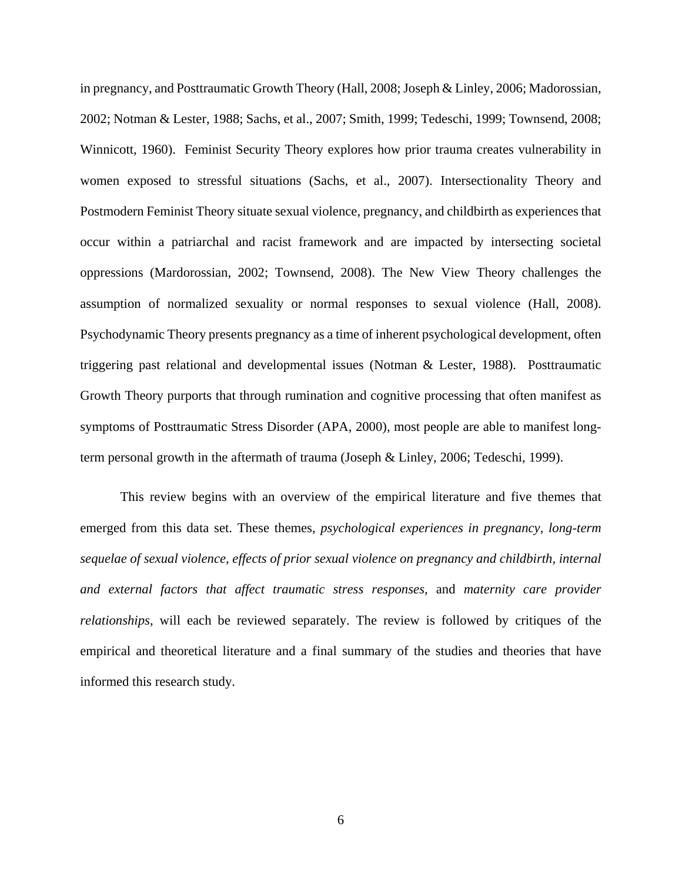in pregnancy, and Posttraumatic Growth Theory (Hall, 2008; Joseph & Linley, 2006; Madorossian, 2002; Notman & Lester, 1988; Sachs, et al., 2007; Smith, 1999; Tedeschi, 1999; Townsend, 2008; Winnicott, 1960). Feminist Security Theory explores how prior trauma creates vulnerability in women exposed to stressful situations (Sachs, et al., 2007). Intersectionality Theory and Postmodern Feminist Theory situate sexual violence, pregnancy, and childbirth as experiences that occur within a patriarchal and racist framework and are impacted by intersecting societal oppressions (Mardorossian, 2002; Townsend, 2008). The New View Theory challenges the assumption of normalized sexuality or normal responses to sexual violence (Hall, 2008). Psychodynamic Theory presents pregnancy as a time of inherent psychological development, often triggering past relational and developmental issues (Notman & Lester, 1988). Posttraumatic Growth Theory purports that through rumination and cognitive processing that often manifest as symptoms of Posttraumatic Stress Disorder (APA, 2000), most people are able to manifest longterm personal growth in the aftermath of trauma (Joseph & Linley, 2006; Tedeschi, 1999).

This review begins with an overview of the empirical literature and five themes that emerged from this data set. These themes, *psychological experiences in pregnancy, long-term sequelae of sexual violence, effects of prior sexual violence on pregnancy and childbirth, internal and external factors that affect traumatic stress responses,* and *maternity care provider relationships*, will each be reviewed separately. The review is followed by critiques of the empirical and theoretical literature and a final summary of the studies and theories that have informed this research study.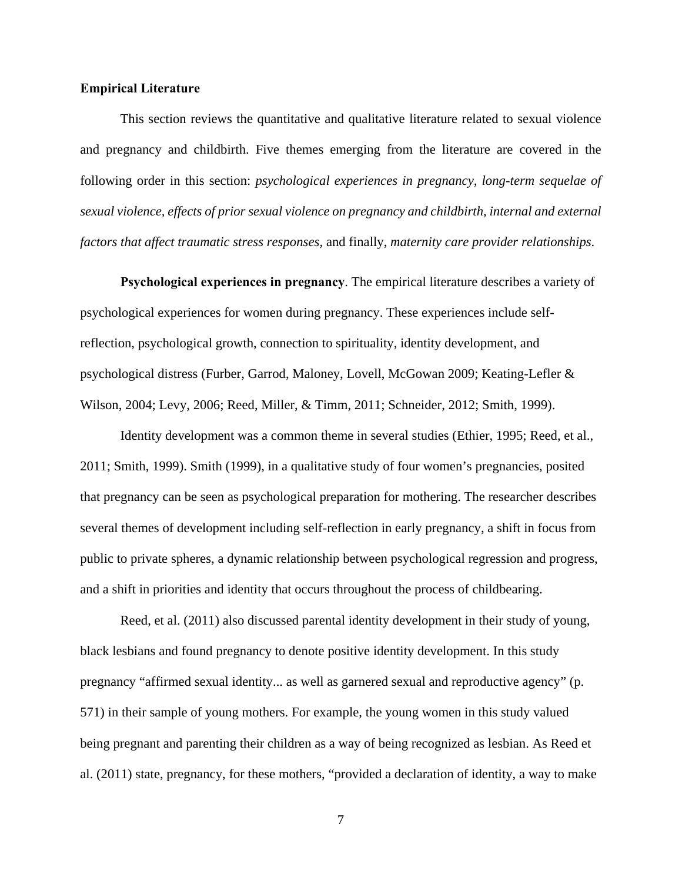#### **Empirical Literature**

This section reviews the quantitative and qualitative literature related to sexual violence and pregnancy and childbirth. Five themes emerging from the literature are covered in the following order in this section: *psychological experiences in pregnancy, long-term sequelae of sexual violence, effects of prior sexual violence on pregnancy and childbirth, internal and external factors that affect traumatic stress responses,* and finally, *maternity care provider relationships*.

**Psychological experiences in pregnancy**. The empirical literature describes a variety of psychological experiences for women during pregnancy. These experiences include selfreflection, psychological growth, connection to spirituality, identity development, and psychological distress (Furber, Garrod, Maloney, Lovell, McGowan 2009; Keating-Lefler & Wilson, 2004; Levy, 2006; Reed, Miller, & Timm, 2011; Schneider, 2012; Smith, 1999).

Identity development was a common theme in several studies (Ethier, 1995; Reed, et al., 2011; Smith, 1999). Smith (1999), in a qualitative study of four women's pregnancies, posited that pregnancy can be seen as psychological preparation for mothering. The researcher describes several themes of development including self-reflection in early pregnancy, a shift in focus from public to private spheres, a dynamic relationship between psychological regression and progress, and a shift in priorities and identity that occurs throughout the process of childbearing.

Reed, et al. (2011) also discussed parental identity development in their study of young, black lesbians and found pregnancy to denote positive identity development. In this study pregnancy "affirmed sexual identity... as well as garnered sexual and reproductive agency" (p. 571) in their sample of young mothers. For example, the young women in this study valued being pregnant and parenting their children as a way of being recognized as lesbian. As Reed et al. (2011) state, pregnancy, for these mothers, "provided a declaration of identity, a way to make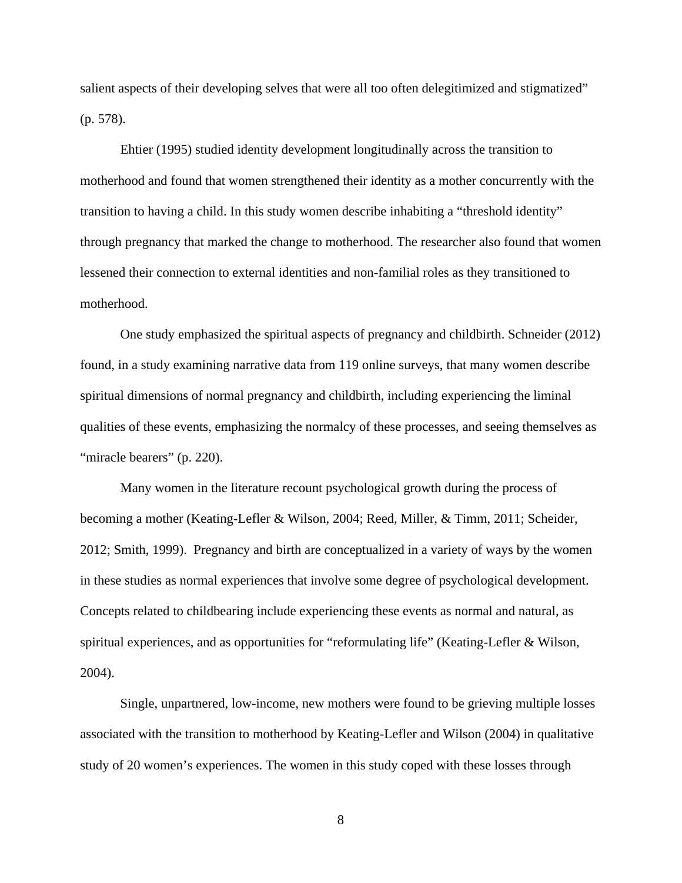salient aspects of their developing selves that were all too often delegitimized and stigmatized" (p. 578).

Ehtier (1995) studied identity development longitudinally across the transition to motherhood and found that women strengthened their identity as a mother concurrently with the transition to having a child. In this study women describe inhabiting a "threshold identity" through pregnancy that marked the change to motherhood. The researcher also found that women lessened their connection to external identities and non-familial roles as they transitioned to motherhood.

One study emphasized the spiritual aspects of pregnancy and childbirth. Schneider (2012) found, in a study examining narrative data from 119 online surveys, that many women describe spiritual dimensions of normal pregnancy and childbirth, including experiencing the liminal qualities of these events, emphasizing the normalcy of these processes, and seeing themselves as "miracle bearers" (p. 220).

Many women in the literature recount psychological growth during the process of becoming a mother (Keating-Lefler & Wilson, 2004; Reed, Miller, & Timm, 2011; Scheider, 2012; Smith, 1999). Pregnancy and birth are conceptualized in a variety of ways by the women in these studies as normal experiences that involve some degree of psychological development. Concepts related to childbearing include experiencing these events as normal and natural, as spiritual experiences, and as opportunities for "reformulating life" (Keating-Lefler & Wilson, 2004).

Single, unpartnered, low-income, new mothers were found to be grieving multiple losses associated with the transition to motherhood by Keating-Lefler and Wilson (2004) in qualitative study of 20 women's experiences. The women in this study coped with these losses through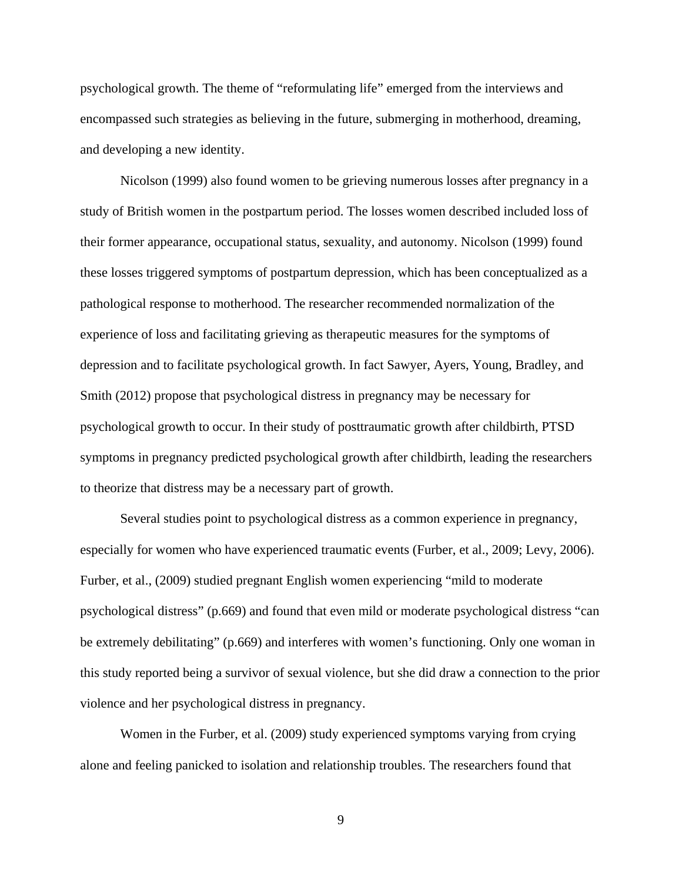psychological growth. The theme of "reformulating life" emerged from the interviews and encompassed such strategies as believing in the future, submerging in motherhood, dreaming, and developing a new identity.

Nicolson (1999) also found women to be grieving numerous losses after pregnancy in a study of British women in the postpartum period. The losses women described included loss of their former appearance, occupational status, sexuality, and autonomy. Nicolson (1999) found these losses triggered symptoms of postpartum depression, which has been conceptualized as a pathological response to motherhood. The researcher recommended normalization of the experience of loss and facilitating grieving as therapeutic measures for the symptoms of depression and to facilitate psychological growth. In fact Sawyer, Ayers, Young, Bradley, and Smith (2012) propose that psychological distress in pregnancy may be necessary for psychological growth to occur. In their study of posttraumatic growth after childbirth, PTSD symptoms in pregnancy predicted psychological growth after childbirth, leading the researchers to theorize that distress may be a necessary part of growth.

Several studies point to psychological distress as a common experience in pregnancy, especially for women who have experienced traumatic events (Furber, et al., 2009; Levy, 2006). Furber, et al., (2009) studied pregnant English women experiencing "mild to moderate psychological distress" (p.669) and found that even mild or moderate psychological distress "can be extremely debilitating" (p.669) and interferes with women's functioning. Only one woman in this study reported being a survivor of sexual violence, but she did draw a connection to the prior violence and her psychological distress in pregnancy.

Women in the Furber, et al. (2009) study experienced symptoms varying from crying alone and feeling panicked to isolation and relationship troubles. The researchers found that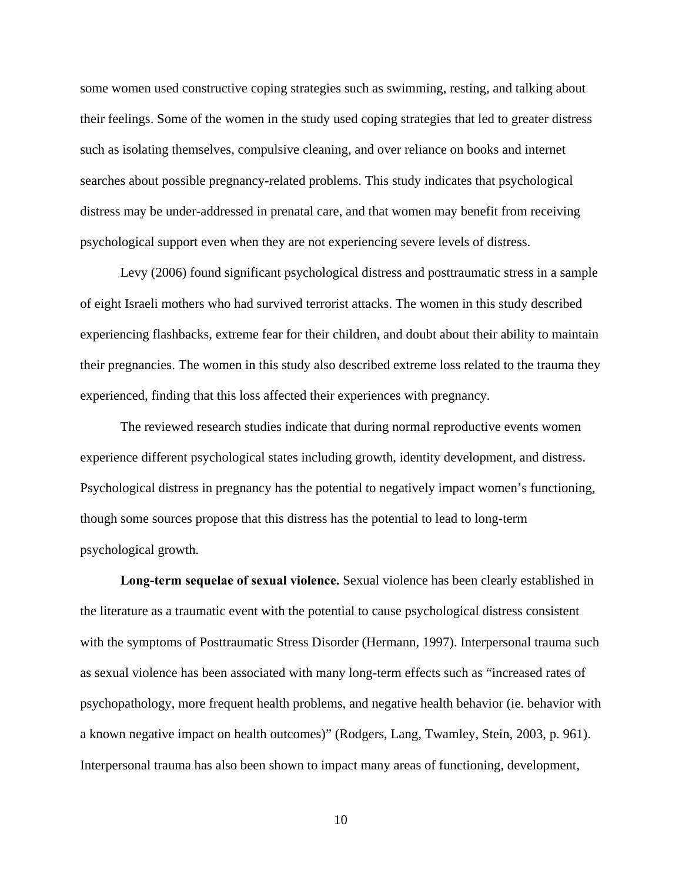some women used constructive coping strategies such as swimming, resting, and talking about their feelings. Some of the women in the study used coping strategies that led to greater distress such as isolating themselves, compulsive cleaning, and over reliance on books and internet searches about possible pregnancy-related problems. This study indicates that psychological distress may be under-addressed in prenatal care, and that women may benefit from receiving psychological support even when they are not experiencing severe levels of distress.

Levy (2006) found significant psychological distress and posttraumatic stress in a sample of eight Israeli mothers who had survived terrorist attacks. The women in this study described experiencing flashbacks, extreme fear for their children, and doubt about their ability to maintain their pregnancies. The women in this study also described extreme loss related to the trauma they experienced, finding that this loss affected their experiences with pregnancy.

The reviewed research studies indicate that during normal reproductive events women experience different psychological states including growth, identity development, and distress. Psychological distress in pregnancy has the potential to negatively impact women's functioning, though some sources propose that this distress has the potential to lead to long-term psychological growth.

**Long-term sequelae of sexual violence.** Sexual violence has been clearly established in the literature as a traumatic event with the potential to cause psychological distress consistent with the symptoms of Posttraumatic Stress Disorder (Hermann, 1997). Interpersonal trauma such as sexual violence has been associated with many long-term effects such as "increased rates of psychopathology, more frequent health problems, and negative health behavior (ie. behavior with a known negative impact on health outcomes)" (Rodgers, Lang, Twamley, Stein, 2003, p. 961). Interpersonal trauma has also been shown to impact many areas of functioning, development,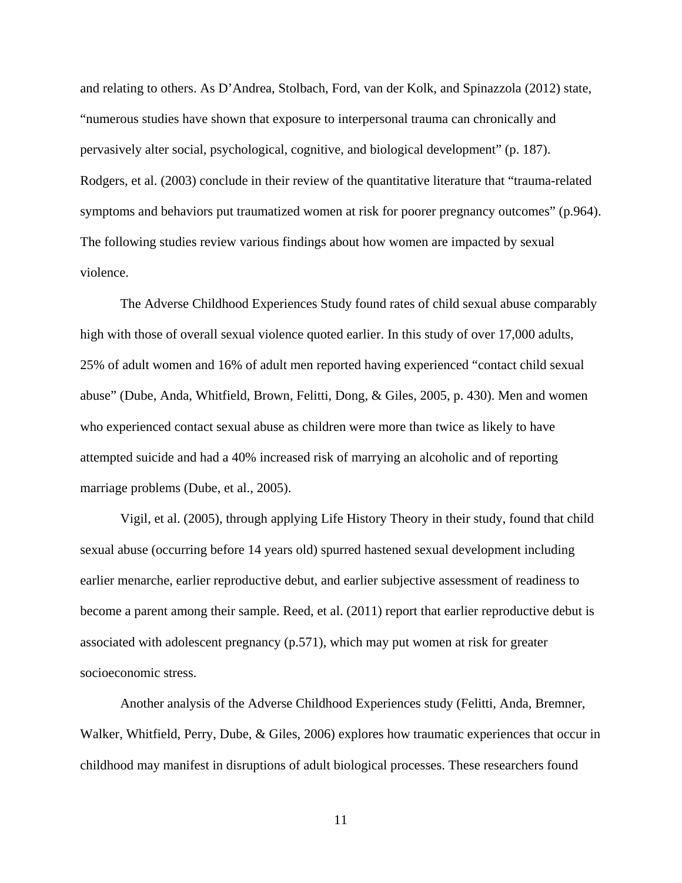and relating to others. As D'Andrea, Stolbach, Ford, van der Kolk, and Spinazzola (2012) state, "numerous studies have shown that exposure to interpersonal trauma can chronically and pervasively alter social, psychological, cognitive, and biological development" (p. 187). Rodgers, et al. (2003) conclude in their review of the quantitative literature that "trauma-related symptoms and behaviors put traumatized women at risk for poorer pregnancy outcomes" (p.964). The following studies review various findings about how women are impacted by sexual violence.

The Adverse Childhood Experiences Study found rates of child sexual abuse comparably high with those of overall sexual violence quoted earlier. In this study of over 17,000 adults, 25% of adult women and 16% of adult men reported having experienced "contact child sexual abuse" (Dube, Anda, Whitfield, Brown, Felitti, Dong, & Giles, 2005, p. 430). Men and women who experienced contact sexual abuse as children were more than twice as likely to have attempted suicide and had a 40% increased risk of marrying an alcoholic and of reporting marriage problems (Dube, et al., 2005).

Vigil, et al. (2005), through applying Life History Theory in their study, found that child sexual abuse (occurring before 14 years old) spurred hastened sexual development including earlier menarche, earlier reproductive debut, and earlier subjective assessment of readiness to become a parent among their sample. Reed, et al. (2011) report that earlier reproductive debut is associated with adolescent pregnancy (p.571), which may put women at risk for greater socioeconomic stress.

Another analysis of the Adverse Childhood Experiences study (Felitti, Anda, Bremner, Walker, Whitfield, Perry, Dube, & Giles, 2006) explores how traumatic experiences that occur in childhood may manifest in disruptions of adult biological processes. These researchers found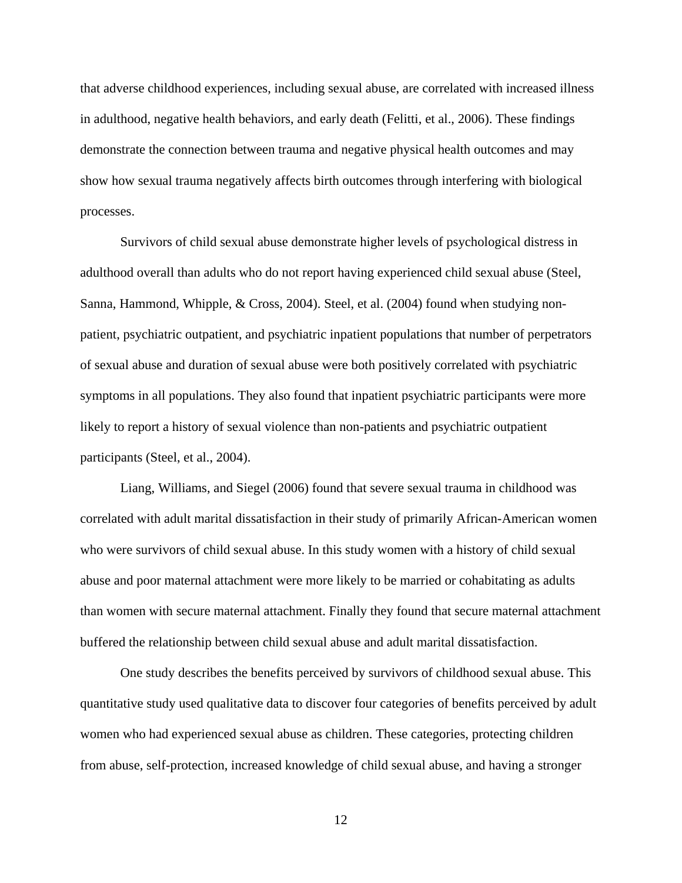that adverse childhood experiences, including sexual abuse, are correlated with increased illness in adulthood, negative health behaviors, and early death (Felitti, et al., 2006). These findings demonstrate the connection between trauma and negative physical health outcomes and may show how sexual trauma negatively affects birth outcomes through interfering with biological processes.

Survivors of child sexual abuse demonstrate higher levels of psychological distress in adulthood overall than adults who do not report having experienced child sexual abuse (Steel, Sanna, Hammond, Whipple, & Cross, 2004). Steel, et al. (2004) found when studying nonpatient, psychiatric outpatient, and psychiatric inpatient populations that number of perpetrators of sexual abuse and duration of sexual abuse were both positively correlated with psychiatric symptoms in all populations. They also found that inpatient psychiatric participants were more likely to report a history of sexual violence than non-patients and psychiatric outpatient participants (Steel, et al., 2004).

Liang, Williams, and Siegel (2006) found that severe sexual trauma in childhood was correlated with adult marital dissatisfaction in their study of primarily African-American women who were survivors of child sexual abuse. In this study women with a history of child sexual abuse and poor maternal attachment were more likely to be married or cohabitating as adults than women with secure maternal attachment. Finally they found that secure maternal attachment buffered the relationship between child sexual abuse and adult marital dissatisfaction.

One study describes the benefits perceived by survivors of childhood sexual abuse. This quantitative study used qualitative data to discover four categories of benefits perceived by adult women who had experienced sexual abuse as children. These categories, protecting children from abuse, self-protection, increased knowledge of child sexual abuse, and having a stronger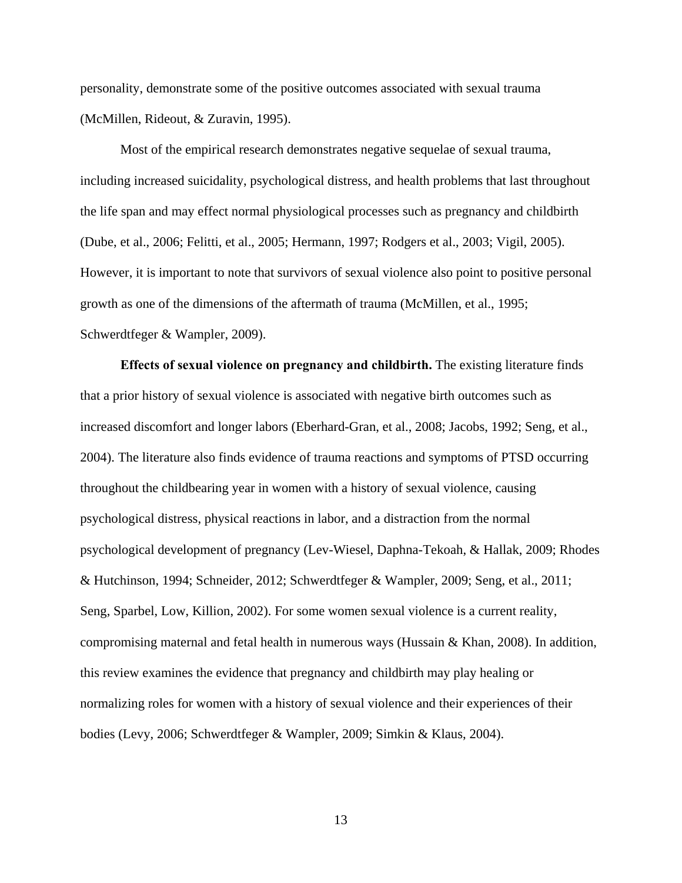personality, demonstrate some of the positive outcomes associated with sexual trauma (McMillen, Rideout, & Zuravin, 1995).

Most of the empirical research demonstrates negative sequelae of sexual trauma, including increased suicidality, psychological distress, and health problems that last throughout the life span and may effect normal physiological processes such as pregnancy and childbirth (Dube, et al., 2006; Felitti, et al., 2005; Hermann, 1997; Rodgers et al., 2003; Vigil, 2005). However, it is important to note that survivors of sexual violence also point to positive personal growth as one of the dimensions of the aftermath of trauma (McMillen, et al., 1995; Schwerdtfeger & Wampler, 2009).

**Effects of sexual violence on pregnancy and childbirth.** The existing literature finds that a prior history of sexual violence is associated with negative birth outcomes such as increased discomfort and longer labors (Eberhard-Gran, et al., 2008; Jacobs, 1992; Seng, et al., 2004). The literature also finds evidence of trauma reactions and symptoms of PTSD occurring throughout the childbearing year in women with a history of sexual violence, causing psychological distress, physical reactions in labor, and a distraction from the normal psychological development of pregnancy (Lev-Wiesel, Daphna-Tekoah, & Hallak, 2009; Rhodes & Hutchinson, 1994; Schneider, 2012; Schwerdtfeger & Wampler, 2009; Seng, et al., 2011; Seng, Sparbel, Low, Killion, 2002). For some women sexual violence is a current reality, compromising maternal and fetal health in numerous ways (Hussain & Khan, 2008). In addition, this review examines the evidence that pregnancy and childbirth may play healing or normalizing roles for women with a history of sexual violence and their experiences of their bodies (Levy, 2006; Schwerdtfeger & Wampler, 2009; Simkin & Klaus, 2004).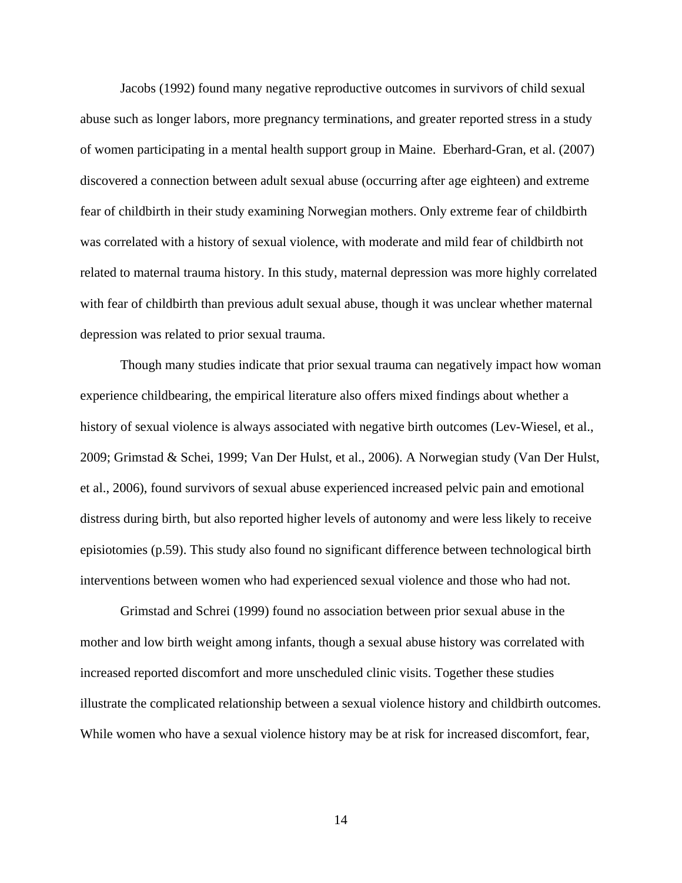Jacobs (1992) found many negative reproductive outcomes in survivors of child sexual abuse such as longer labors, more pregnancy terminations, and greater reported stress in a study of women participating in a mental health support group in Maine. Eberhard-Gran, et al. (2007) discovered a connection between adult sexual abuse (occurring after age eighteen) and extreme fear of childbirth in their study examining Norwegian mothers. Only extreme fear of childbirth was correlated with a history of sexual violence, with moderate and mild fear of childbirth not related to maternal trauma history. In this study, maternal depression was more highly correlated with fear of childbirth than previous adult sexual abuse, though it was unclear whether maternal depression was related to prior sexual trauma.

Though many studies indicate that prior sexual trauma can negatively impact how woman experience childbearing, the empirical literature also offers mixed findings about whether a history of sexual violence is always associated with negative birth outcomes (Lev-Wiesel, et al., 2009; Grimstad & Schei, 1999; Van Der Hulst, et al., 2006). A Norwegian study (Van Der Hulst, et al., 2006), found survivors of sexual abuse experienced increased pelvic pain and emotional distress during birth, but also reported higher levels of autonomy and were less likely to receive episiotomies (p.59). This study also found no significant difference between technological birth interventions between women who had experienced sexual violence and those who had not.

Grimstad and Schrei (1999) found no association between prior sexual abuse in the mother and low birth weight among infants, though a sexual abuse history was correlated with increased reported discomfort and more unscheduled clinic visits. Together these studies illustrate the complicated relationship between a sexual violence history and childbirth outcomes. While women who have a sexual violence history may be at risk for increased discomfort, fear,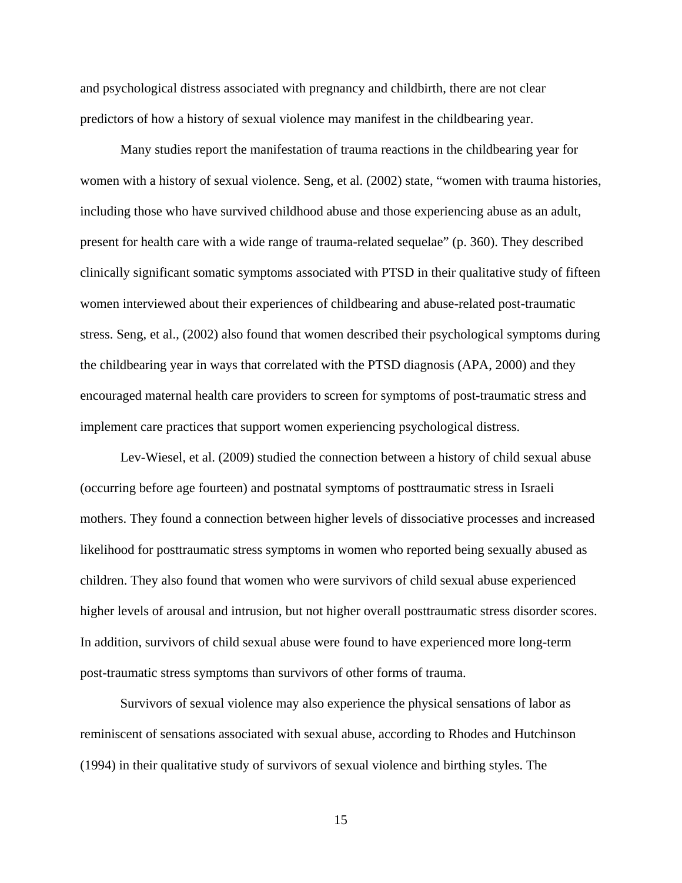and psychological distress associated with pregnancy and childbirth, there are not clear predictors of how a history of sexual violence may manifest in the childbearing year.

Many studies report the manifestation of trauma reactions in the childbearing year for women with a history of sexual violence. Seng, et al. (2002) state, "women with trauma histories, including those who have survived childhood abuse and those experiencing abuse as an adult, present for health care with a wide range of trauma-related sequelae" (p. 360). They described clinically significant somatic symptoms associated with PTSD in their qualitative study of fifteen women interviewed about their experiences of childbearing and abuse-related post-traumatic stress. Seng, et al., (2002) also found that women described their psychological symptoms during the childbearing year in ways that correlated with the PTSD diagnosis (APA, 2000) and they encouraged maternal health care providers to screen for symptoms of post-traumatic stress and implement care practices that support women experiencing psychological distress.

Lev-Wiesel, et al. (2009) studied the connection between a history of child sexual abuse (occurring before age fourteen) and postnatal symptoms of posttraumatic stress in Israeli mothers. They found a connection between higher levels of dissociative processes and increased likelihood for posttraumatic stress symptoms in women who reported being sexually abused as children. They also found that women who were survivors of child sexual abuse experienced higher levels of arousal and intrusion, but not higher overall posttraumatic stress disorder scores. In addition, survivors of child sexual abuse were found to have experienced more long-term post-traumatic stress symptoms than survivors of other forms of trauma.

Survivors of sexual violence may also experience the physical sensations of labor as reminiscent of sensations associated with sexual abuse, according to Rhodes and Hutchinson (1994) in their qualitative study of survivors of sexual violence and birthing styles. The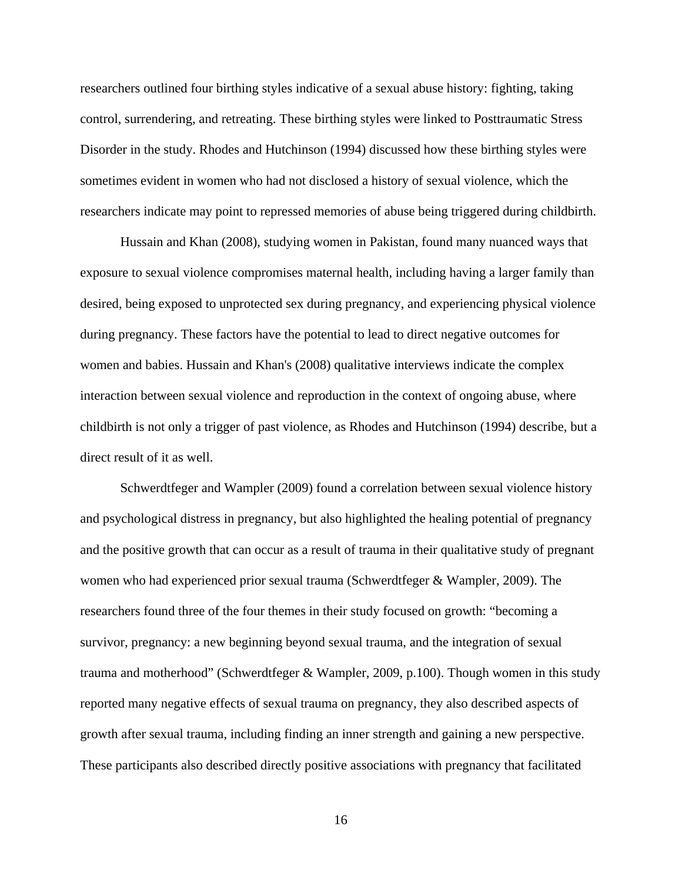researchers outlined four birthing styles indicative of a sexual abuse history: fighting, taking control, surrendering, and retreating. These birthing styles were linked to Posttraumatic Stress Disorder in the study. Rhodes and Hutchinson (1994) discussed how these birthing styles were sometimes evident in women who had not disclosed a history of sexual violence, which the researchers indicate may point to repressed memories of abuse being triggered during childbirth.

Hussain and Khan (2008), studying women in Pakistan, found many nuanced ways that exposure to sexual violence compromises maternal health, including having a larger family than desired, being exposed to unprotected sex during pregnancy, and experiencing physical violence during pregnancy. These factors have the potential to lead to direct negative outcomes for women and babies. Hussain and Khan's (2008) qualitative interviews indicate the complex interaction between sexual violence and reproduction in the context of ongoing abuse, where childbirth is not only a trigger of past violence, as Rhodes and Hutchinson (1994) describe, but a direct result of it as well.

Schwerdtfeger and Wampler (2009) found a correlation between sexual violence history and psychological distress in pregnancy, but also highlighted the healing potential of pregnancy and the positive growth that can occur as a result of trauma in their qualitative study of pregnant women who had experienced prior sexual trauma (Schwerdtfeger & Wampler, 2009). The researchers found three of the four themes in their study focused on growth: "becoming a survivor, pregnancy: a new beginning beyond sexual trauma, and the integration of sexual trauma and motherhood" (Schwerdtfeger & Wampler, 2009, p.100). Though women in this study reported many negative effects of sexual trauma on pregnancy, they also described aspects of growth after sexual trauma, including finding an inner strength and gaining a new perspective. These participants also described directly positive associations with pregnancy that facilitated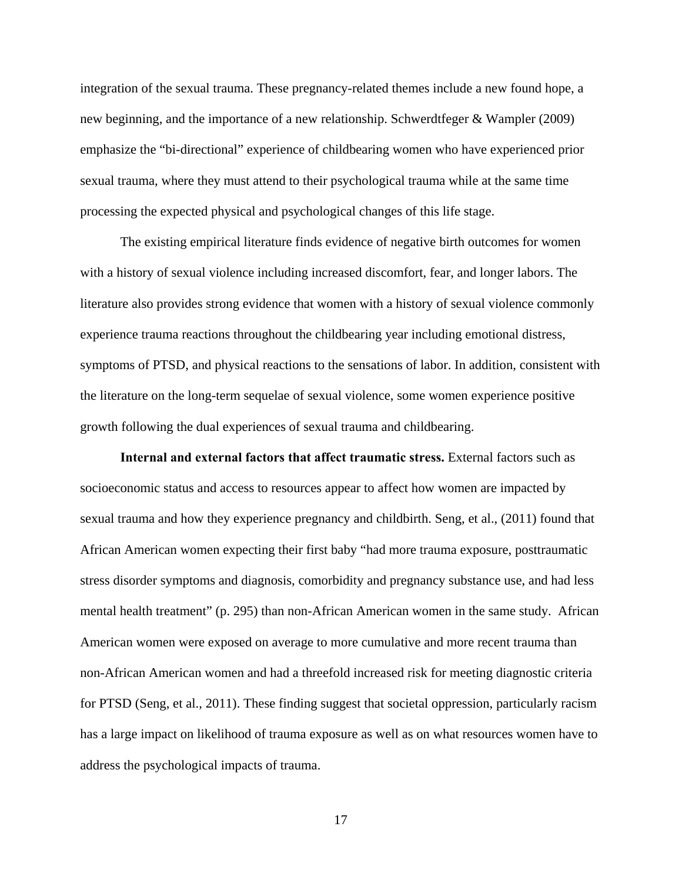integration of the sexual trauma. These pregnancy-related themes include a new found hope, a new beginning, and the importance of a new relationship. Schwerdtfeger & Wampler (2009) emphasize the "bi-directional" experience of childbearing women who have experienced prior sexual trauma, where they must attend to their psychological trauma while at the same time processing the expected physical and psychological changes of this life stage.

The existing empirical literature finds evidence of negative birth outcomes for women with a history of sexual violence including increased discomfort, fear, and longer labors. The literature also provides strong evidence that women with a history of sexual violence commonly experience trauma reactions throughout the childbearing year including emotional distress, symptoms of PTSD, and physical reactions to the sensations of labor. In addition, consistent with the literature on the long-term sequelae of sexual violence, some women experience positive growth following the dual experiences of sexual trauma and childbearing.

**Internal and external factors that affect traumatic stress.** External factors such as socioeconomic status and access to resources appear to affect how women are impacted by sexual trauma and how they experience pregnancy and childbirth. Seng, et al., (2011) found that African American women expecting their first baby "had more trauma exposure, posttraumatic stress disorder symptoms and diagnosis, comorbidity and pregnancy substance use, and had less mental health treatment" (p. 295) than non-African American women in the same study. African American women were exposed on average to more cumulative and more recent trauma than non-African American women and had a threefold increased risk for meeting diagnostic criteria for PTSD (Seng, et al., 2011). These finding suggest that societal oppression, particularly racism has a large impact on likelihood of trauma exposure as well as on what resources women have to address the psychological impacts of trauma.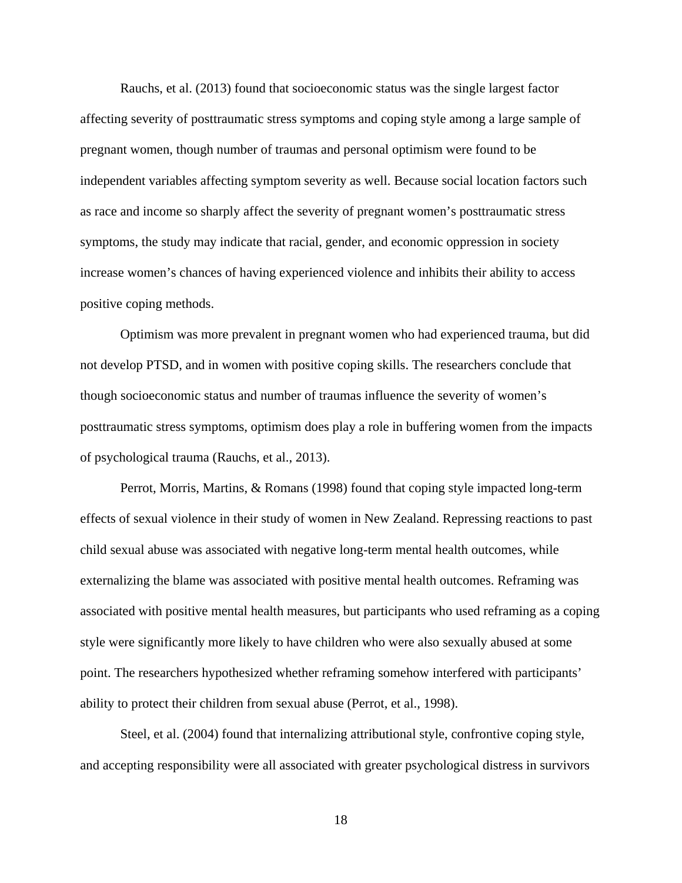Rauchs, et al. (2013) found that socioeconomic status was the single largest factor affecting severity of posttraumatic stress symptoms and coping style among a large sample of pregnant women, though number of traumas and personal optimism were found to be independent variables affecting symptom severity as well. Because social location factors such as race and income so sharply affect the severity of pregnant women's posttraumatic stress symptoms, the study may indicate that racial, gender, and economic oppression in society increase women's chances of having experienced violence and inhibits their ability to access positive coping methods.

Optimism was more prevalent in pregnant women who had experienced trauma, but did not develop PTSD, and in women with positive coping skills. The researchers conclude that though socioeconomic status and number of traumas influence the severity of women's posttraumatic stress symptoms, optimism does play a role in buffering women from the impacts of psychological trauma (Rauchs, et al., 2013).

Perrot, Morris, Martins, & Romans (1998) found that coping style impacted long-term effects of sexual violence in their study of women in New Zealand. Repressing reactions to past child sexual abuse was associated with negative long-term mental health outcomes, while externalizing the blame was associated with positive mental health outcomes. Reframing was associated with positive mental health measures, but participants who used reframing as a coping style were significantly more likely to have children who were also sexually abused at some point. The researchers hypothesized whether reframing somehow interfered with participants' ability to protect their children from sexual abuse (Perrot, et al., 1998).

Steel, et al. (2004) found that internalizing attributional style, confrontive coping style, and accepting responsibility were all associated with greater psychological distress in survivors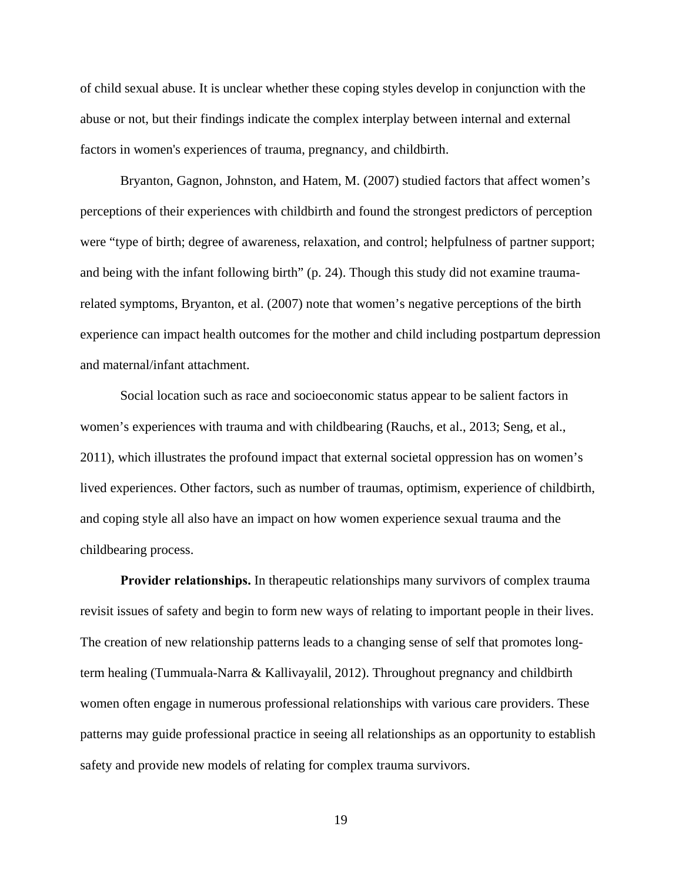of child sexual abuse. It is unclear whether these coping styles develop in conjunction with the abuse or not, but their findings indicate the complex interplay between internal and external factors in women's experiences of trauma, pregnancy, and childbirth.

Bryanton, Gagnon, Johnston, and Hatem, M. (2007) studied factors that affect women's perceptions of their experiences with childbirth and found the strongest predictors of perception were "type of birth; degree of awareness, relaxation, and control; helpfulness of partner support; and being with the infant following birth" (p. 24). Though this study did not examine traumarelated symptoms, Bryanton, et al. (2007) note that women's negative perceptions of the birth experience can impact health outcomes for the mother and child including postpartum depression and maternal/infant attachment.

Social location such as race and socioeconomic status appear to be salient factors in women's experiences with trauma and with childbearing (Rauchs, et al., 2013; Seng, et al., 2011), which illustrates the profound impact that external societal oppression has on women's lived experiences. Other factors, such as number of traumas, optimism, experience of childbirth, and coping style all also have an impact on how women experience sexual trauma and the childbearing process.

**Provider relationships.** In therapeutic relationships many survivors of complex trauma revisit issues of safety and begin to form new ways of relating to important people in their lives. The creation of new relationship patterns leads to a changing sense of self that promotes longterm healing (Tummuala-Narra & Kallivayalil, 2012). Throughout pregnancy and childbirth women often engage in numerous professional relationships with various care providers. These patterns may guide professional practice in seeing all relationships as an opportunity to establish safety and provide new models of relating for complex trauma survivors.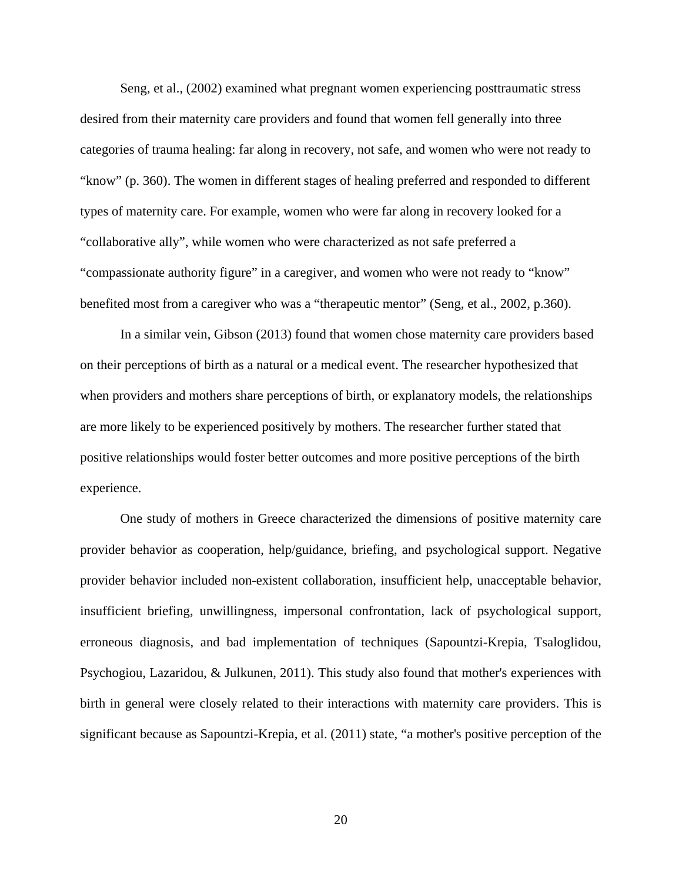Seng, et al., (2002) examined what pregnant women experiencing posttraumatic stress desired from their maternity care providers and found that women fell generally into three categories of trauma healing: far along in recovery, not safe, and women who were not ready to "know" (p. 360). The women in different stages of healing preferred and responded to different types of maternity care. For example, women who were far along in recovery looked for a "collaborative ally", while women who were characterized as not safe preferred a "compassionate authority figure" in a caregiver, and women who were not ready to "know" benefited most from a caregiver who was a "therapeutic mentor" (Seng, et al., 2002, p.360).

In a similar vein, Gibson (2013) found that women chose maternity care providers based on their perceptions of birth as a natural or a medical event. The researcher hypothesized that when providers and mothers share perceptions of birth, or explanatory models, the relationships are more likely to be experienced positively by mothers. The researcher further stated that positive relationships would foster better outcomes and more positive perceptions of the birth experience.

 One study of mothers in Greece characterized the dimensions of positive maternity care provider behavior as cooperation, help/guidance, briefing, and psychological support. Negative provider behavior included non-existent collaboration, insufficient help, unacceptable behavior, insufficient briefing, unwillingness, impersonal confrontation, lack of psychological support, erroneous diagnosis, and bad implementation of techniques (Sapountzi-Krepia, Tsaloglidou, Psychogiou, Lazaridou, & Julkunen, 2011). This study also found that mother's experiences with birth in general were closely related to their interactions with maternity care providers. This is significant because as Sapountzi-Krepia, et al. (2011) state, "a mother's positive perception of the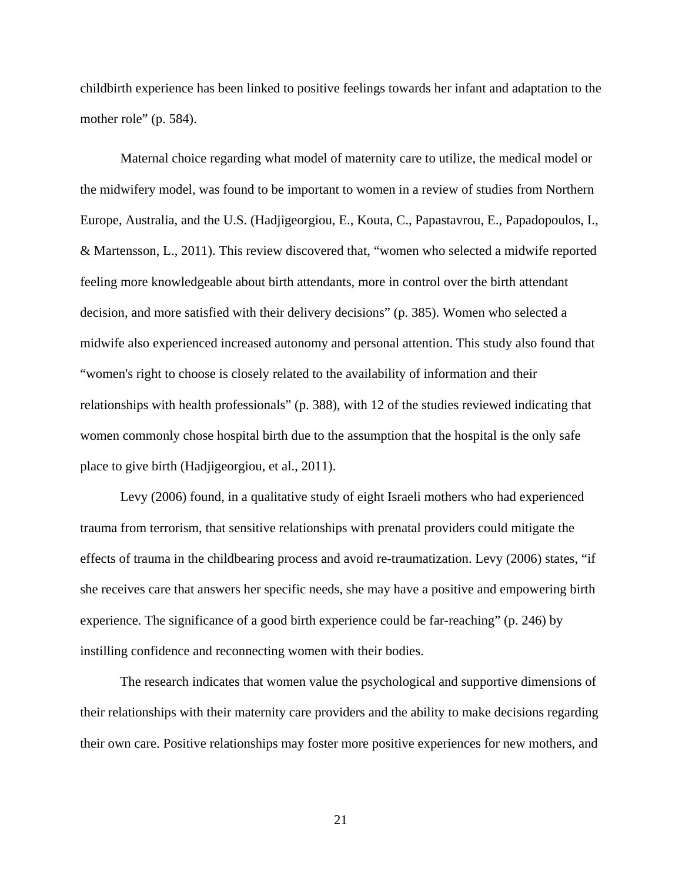childbirth experience has been linked to positive feelings towards her infant and adaptation to the mother role" (p. 584).

Maternal choice regarding what model of maternity care to utilize, the medical model or the midwifery model, was found to be important to women in a review of studies from Northern Europe, Australia, and the U.S. (Hadjigeorgiou, E., Kouta, C., Papastavrou, E., Papadopoulos, I., & Martensson, L., 2011). This review discovered that, "women who selected a midwife reported feeling more knowledgeable about birth attendants, more in control over the birth attendant decision, and more satisfied with their delivery decisions" (p. 385). Women who selected a midwife also experienced increased autonomy and personal attention. This study also found that "women's right to choose is closely related to the availability of information and their relationships with health professionals" (p. 388), with 12 of the studies reviewed indicating that women commonly chose hospital birth due to the assumption that the hospital is the only safe place to give birth (Hadjigeorgiou, et al., 2011).

Levy (2006) found, in a qualitative study of eight Israeli mothers who had experienced trauma from terrorism, that sensitive relationships with prenatal providers could mitigate the effects of trauma in the childbearing process and avoid re-traumatization. Levy (2006) states, "if she receives care that answers her specific needs, she may have a positive and empowering birth experience. The significance of a good birth experience could be far-reaching" (p. 246) by instilling confidence and reconnecting women with their bodies.

The research indicates that women value the psychological and supportive dimensions of their relationships with their maternity care providers and the ability to make decisions regarding their own care. Positive relationships may foster more positive experiences for new mothers, and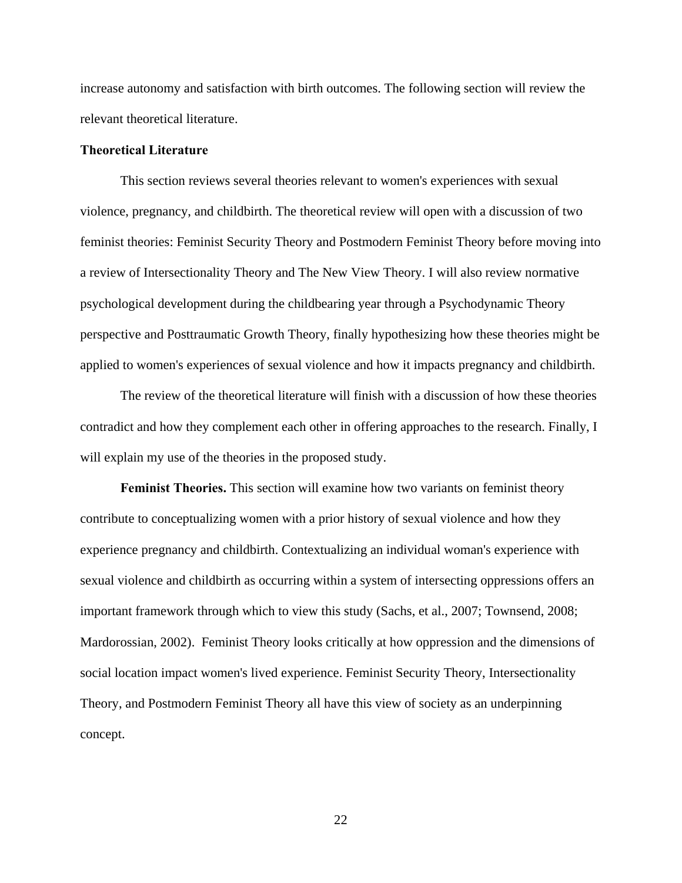increase autonomy and satisfaction with birth outcomes. The following section will review the relevant theoretical literature.

#### **Theoretical Literature**

This section reviews several theories relevant to women's experiences with sexual violence, pregnancy, and childbirth. The theoretical review will open with a discussion of two feminist theories: Feminist Security Theory and Postmodern Feminist Theory before moving into a review of Intersectionality Theory and The New View Theory. I will also review normative psychological development during the childbearing year through a Psychodynamic Theory perspective and Posttraumatic Growth Theory, finally hypothesizing how these theories might be applied to women's experiences of sexual violence and how it impacts pregnancy and childbirth.

The review of the theoretical literature will finish with a discussion of how these theories contradict and how they complement each other in offering approaches to the research. Finally, I will explain my use of the theories in the proposed study.

**Feminist Theories.** This section will examine how two variants on feminist theory contribute to conceptualizing women with a prior history of sexual violence and how they experience pregnancy and childbirth. Contextualizing an individual woman's experience with sexual violence and childbirth as occurring within a system of intersecting oppressions offers an important framework through which to view this study (Sachs, et al., 2007; Townsend, 2008; Mardorossian, 2002). Feminist Theory looks critically at how oppression and the dimensions of social location impact women's lived experience. Feminist Security Theory, Intersectionality Theory, and Postmodern Feminist Theory all have this view of society as an underpinning concept.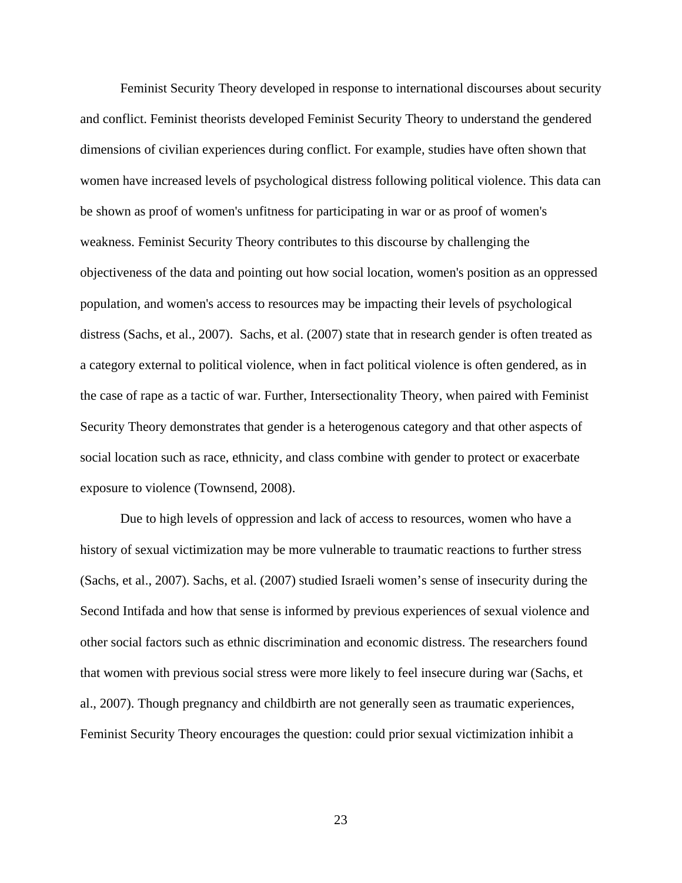Feminist Security Theory developed in response to international discourses about security and conflict. Feminist theorists developed Feminist Security Theory to understand the gendered dimensions of civilian experiences during conflict. For example, studies have often shown that women have increased levels of psychological distress following political violence. This data can be shown as proof of women's unfitness for participating in war or as proof of women's weakness. Feminist Security Theory contributes to this discourse by challenging the objectiveness of the data and pointing out how social location, women's position as an oppressed population, and women's access to resources may be impacting their levels of psychological distress (Sachs, et al., 2007). Sachs, et al. (2007) state that in research gender is often treated as a category external to political violence, when in fact political violence is often gendered, as in the case of rape as a tactic of war. Further, Intersectionality Theory, when paired with Feminist Security Theory demonstrates that gender is a heterogenous category and that other aspects of social location such as race, ethnicity, and class combine with gender to protect or exacerbate exposure to violence (Townsend, 2008).

Due to high levels of oppression and lack of access to resources, women who have a history of sexual victimization may be more vulnerable to traumatic reactions to further stress (Sachs, et al., 2007). Sachs, et al. (2007) studied Israeli women's sense of insecurity during the Second Intifada and how that sense is informed by previous experiences of sexual violence and other social factors such as ethnic discrimination and economic distress. The researchers found that women with previous social stress were more likely to feel insecure during war (Sachs, et al., 2007). Though pregnancy and childbirth are not generally seen as traumatic experiences, Feminist Security Theory encourages the question: could prior sexual victimization inhibit a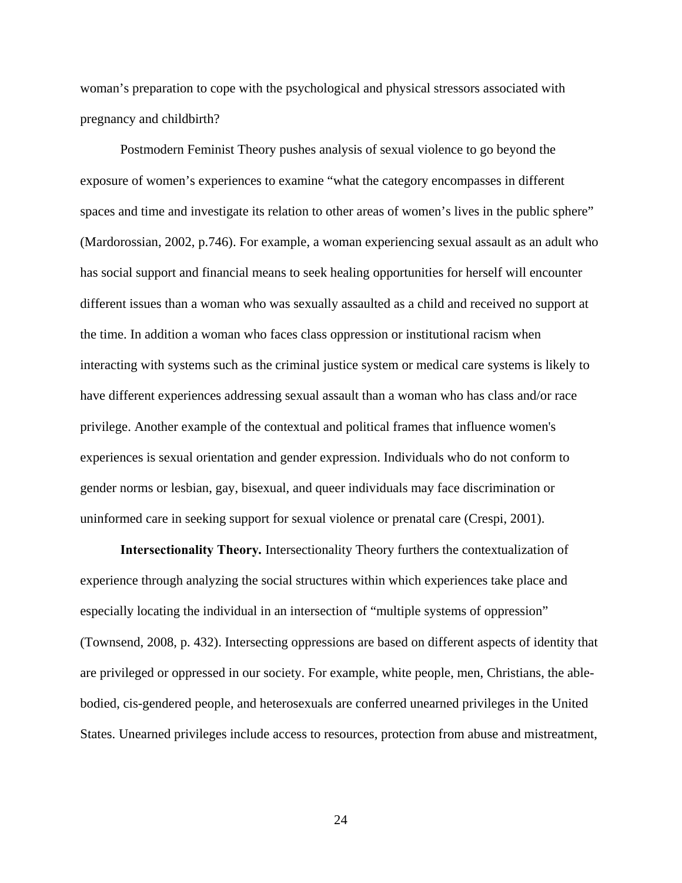woman's preparation to cope with the psychological and physical stressors associated with pregnancy and childbirth?

Postmodern Feminist Theory pushes analysis of sexual violence to go beyond the exposure of women's experiences to examine "what the category encompasses in different spaces and time and investigate its relation to other areas of women's lives in the public sphere" (Mardorossian, 2002, p.746). For example, a woman experiencing sexual assault as an adult who has social support and financial means to seek healing opportunities for herself will encounter different issues than a woman who was sexually assaulted as a child and received no support at the time. In addition a woman who faces class oppression or institutional racism when interacting with systems such as the criminal justice system or medical care systems is likely to have different experiences addressing sexual assault than a woman who has class and/or race privilege. Another example of the contextual and political frames that influence women's experiences is sexual orientation and gender expression. Individuals who do not conform to gender norms or lesbian, gay, bisexual, and queer individuals may face discrimination or uninformed care in seeking support for sexual violence or prenatal care (Crespi, 2001).

**Intersectionality Theory***.* Intersectionality Theory furthers the contextualization of experience through analyzing the social structures within which experiences take place and especially locating the individual in an intersection of "multiple systems of oppression" (Townsend, 2008, p. 432). Intersecting oppressions are based on different aspects of identity that are privileged or oppressed in our society. For example, white people, men, Christians, the ablebodied, cis-gendered people, and heterosexuals are conferred unearned privileges in the United States. Unearned privileges include access to resources, protection from abuse and mistreatment,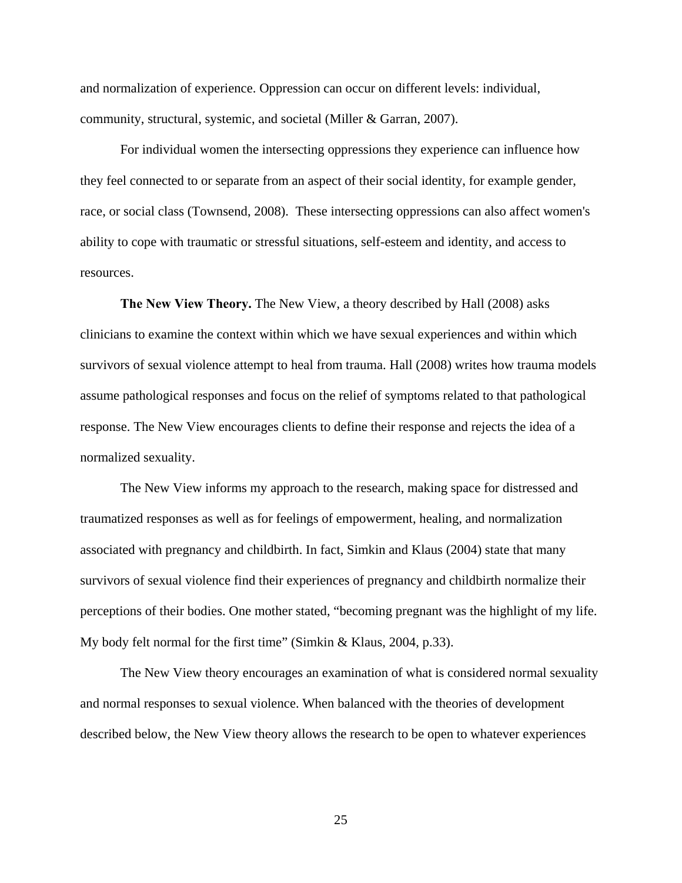and normalization of experience. Oppression can occur on different levels: individual, community, structural, systemic, and societal (Miller & Garran, 2007).

For individual women the intersecting oppressions they experience can influence how they feel connected to or separate from an aspect of their social identity, for example gender, race, or social class (Townsend, 2008). These intersecting oppressions can also affect women's ability to cope with traumatic or stressful situations, self-esteem and identity, and access to resources.

**The New View Theory.** The New View, a theory described by Hall (2008) asks clinicians to examine the context within which we have sexual experiences and within which survivors of sexual violence attempt to heal from trauma. Hall (2008) writes how trauma models assume pathological responses and focus on the relief of symptoms related to that pathological response. The New View encourages clients to define their response and rejects the idea of a normalized sexuality.

The New View informs my approach to the research, making space for distressed and traumatized responses as well as for feelings of empowerment, healing, and normalization associated with pregnancy and childbirth. In fact, Simkin and Klaus (2004) state that many survivors of sexual violence find their experiences of pregnancy and childbirth normalize their perceptions of their bodies. One mother stated, "becoming pregnant was the highlight of my life. My body felt normal for the first time" (Simkin & Klaus, 2004, p.33).

The New View theory encourages an examination of what is considered normal sexuality and normal responses to sexual violence. When balanced with the theories of development described below, the New View theory allows the research to be open to whatever experiences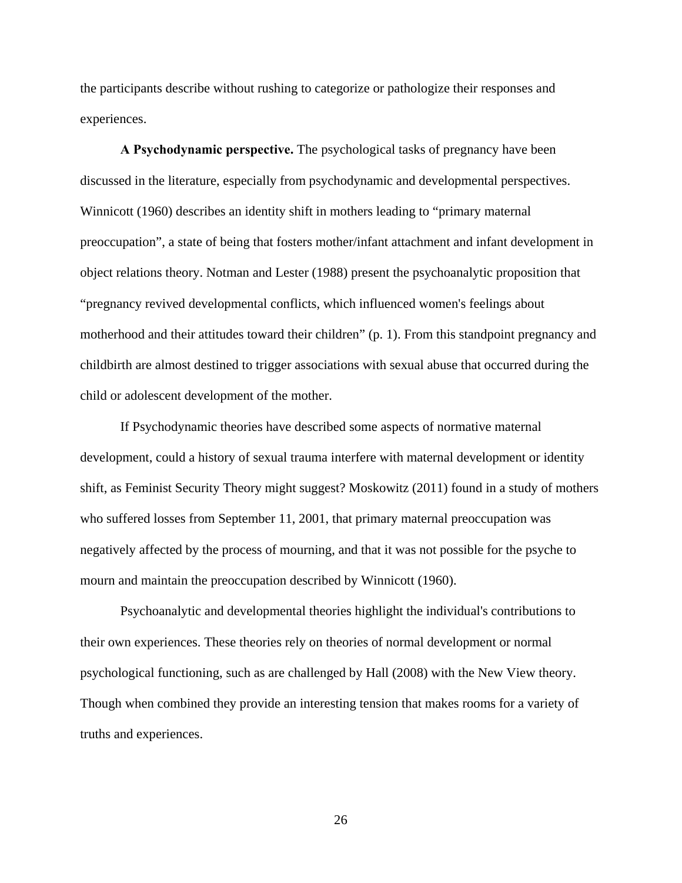the participants describe without rushing to categorize or pathologize their responses and experiences.

**A Psychodynamic perspective.** The psychological tasks of pregnancy have been discussed in the literature, especially from psychodynamic and developmental perspectives. Winnicott (1960) describes an identity shift in mothers leading to "primary maternal preoccupation", a state of being that fosters mother/infant attachment and infant development in object relations theory. Notman and Lester (1988) present the psychoanalytic proposition that "pregnancy revived developmental conflicts, which influenced women's feelings about motherhood and their attitudes toward their children" (p. 1). From this standpoint pregnancy and childbirth are almost destined to trigger associations with sexual abuse that occurred during the child or adolescent development of the mother.

If Psychodynamic theories have described some aspects of normative maternal development, could a history of sexual trauma interfere with maternal development or identity shift, as Feminist Security Theory might suggest? Moskowitz (2011) found in a study of mothers who suffered losses from September 11, 2001, that primary maternal preoccupation was negatively affected by the process of mourning, and that it was not possible for the psyche to mourn and maintain the preoccupation described by Winnicott (1960).

Psychoanalytic and developmental theories highlight the individual's contributions to their own experiences. These theories rely on theories of normal development or normal psychological functioning, such as are challenged by Hall (2008) with the New View theory. Though when combined they provide an interesting tension that makes rooms for a variety of truths and experiences.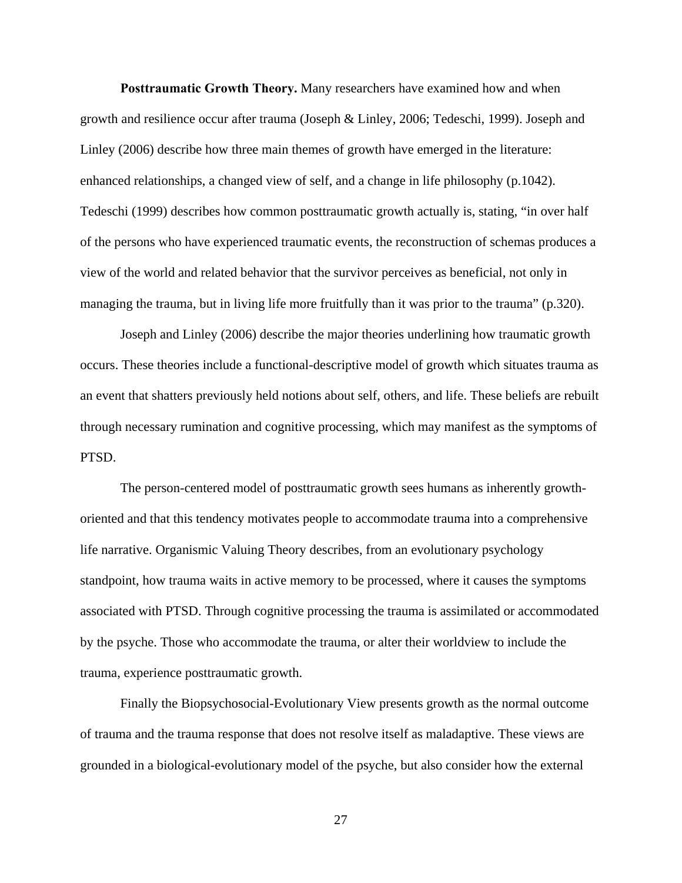**Posttraumatic Growth Theory.** Many researchers have examined how and when growth and resilience occur after trauma (Joseph & Linley, 2006; Tedeschi, 1999). Joseph and Linley (2006) describe how three main themes of growth have emerged in the literature: enhanced relationships, a changed view of self, and a change in life philosophy (p.1042). Tedeschi (1999) describes how common posttraumatic growth actually is, stating, "in over half of the persons who have experienced traumatic events, the reconstruction of schemas produces a view of the world and related behavior that the survivor perceives as beneficial, not only in managing the trauma, but in living life more fruitfully than it was prior to the trauma" (p.320).

Joseph and Linley (2006) describe the major theories underlining how traumatic growth occurs. These theories include a functional-descriptive model of growth which situates trauma as an event that shatters previously held notions about self, others, and life. These beliefs are rebuilt through necessary rumination and cognitive processing, which may manifest as the symptoms of PTSD.

The person-centered model of posttraumatic growth sees humans as inherently growthoriented and that this tendency motivates people to accommodate trauma into a comprehensive life narrative. Organismic Valuing Theory describes, from an evolutionary psychology standpoint, how trauma waits in active memory to be processed, where it causes the symptoms associated with PTSD. Through cognitive processing the trauma is assimilated or accommodated by the psyche. Those who accommodate the trauma, or alter their worldview to include the trauma, experience posttraumatic growth.

Finally the Biopsychosocial-Evolutionary View presents growth as the normal outcome of trauma and the trauma response that does not resolve itself as maladaptive. These views are grounded in a biological-evolutionary model of the psyche, but also consider how the external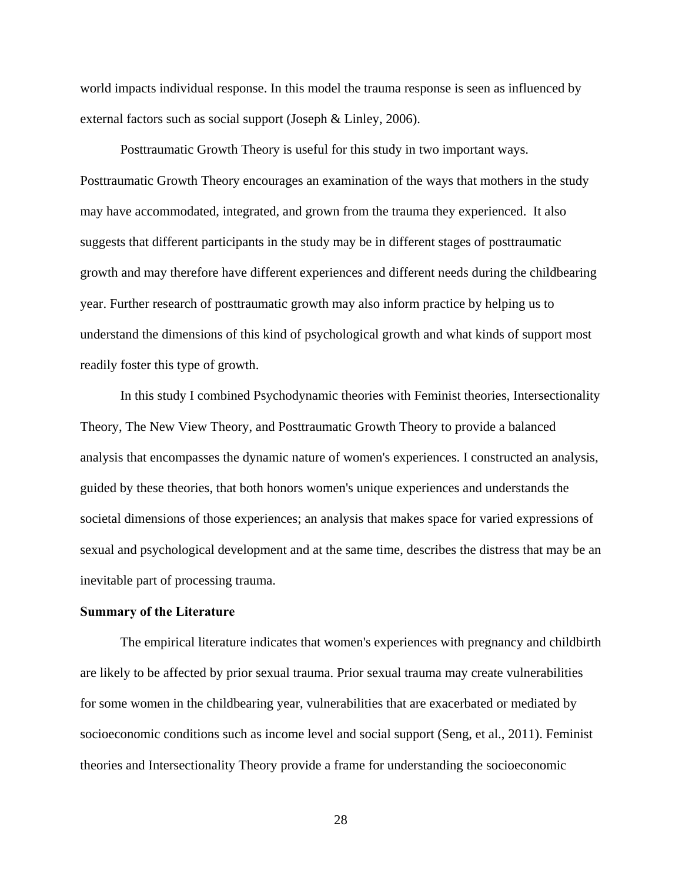world impacts individual response. In this model the trauma response is seen as influenced by external factors such as social support (Joseph & Linley, 2006).

Posttraumatic Growth Theory is useful for this study in two important ways. Posttraumatic Growth Theory encourages an examination of the ways that mothers in the study may have accommodated, integrated, and grown from the trauma they experienced. It also suggests that different participants in the study may be in different stages of posttraumatic growth and may therefore have different experiences and different needs during the childbearing year. Further research of posttraumatic growth may also inform practice by helping us to understand the dimensions of this kind of psychological growth and what kinds of support most readily foster this type of growth.

In this study I combined Psychodynamic theories with Feminist theories, Intersectionality Theory, The New View Theory, and Posttraumatic Growth Theory to provide a balanced analysis that encompasses the dynamic nature of women's experiences. I constructed an analysis, guided by these theories, that both honors women's unique experiences and understands the societal dimensions of those experiences; an analysis that makes space for varied expressions of sexual and psychological development and at the same time, describes the distress that may be an inevitable part of processing trauma.

#### **Summary of the Literature**

The empirical literature indicates that women's experiences with pregnancy and childbirth are likely to be affected by prior sexual trauma. Prior sexual trauma may create vulnerabilities for some women in the childbearing year, vulnerabilities that are exacerbated or mediated by socioeconomic conditions such as income level and social support (Seng, et al., 2011). Feminist theories and Intersectionality Theory provide a frame for understanding the socioeconomic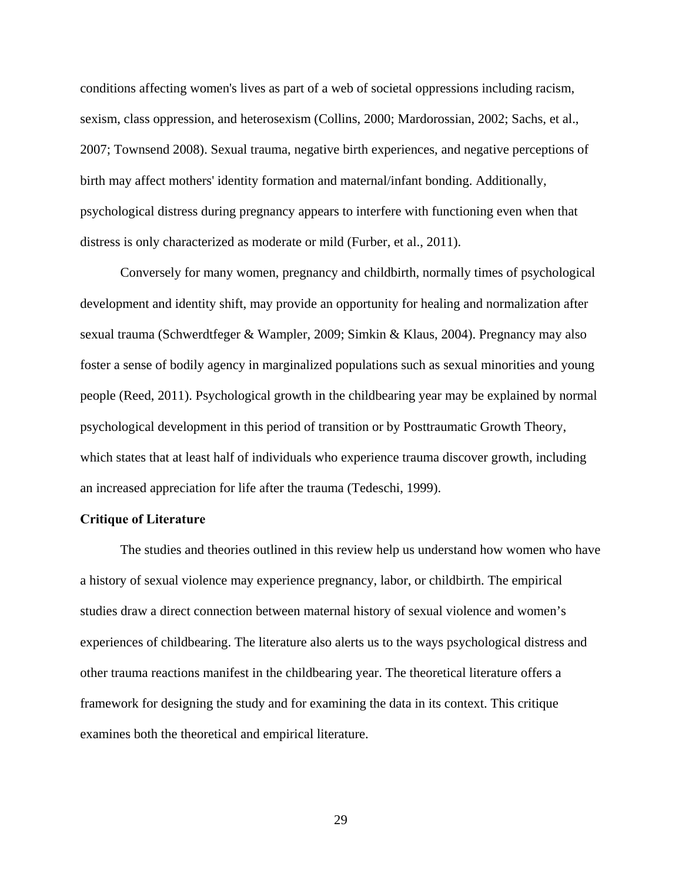conditions affecting women's lives as part of a web of societal oppressions including racism, sexism, class oppression, and heterosexism (Collins, 2000; Mardorossian, 2002; Sachs, et al., 2007; Townsend 2008). Sexual trauma, negative birth experiences, and negative perceptions of birth may affect mothers' identity formation and maternal/infant bonding. Additionally, psychological distress during pregnancy appears to interfere with functioning even when that distress is only characterized as moderate or mild (Furber, et al., 2011).

Conversely for many women, pregnancy and childbirth, normally times of psychological development and identity shift, may provide an opportunity for healing and normalization after sexual trauma (Schwerdtfeger & Wampler, 2009; Simkin & Klaus, 2004). Pregnancy may also foster a sense of bodily agency in marginalized populations such as sexual minorities and young people (Reed, 2011). Psychological growth in the childbearing year may be explained by normal psychological development in this period of transition or by Posttraumatic Growth Theory, which states that at least half of individuals who experience trauma discover growth, including an increased appreciation for life after the trauma (Tedeschi, 1999).

#### **Critique of Literature**

The studies and theories outlined in this review help us understand how women who have a history of sexual violence may experience pregnancy, labor, or childbirth. The empirical studies draw a direct connection between maternal history of sexual violence and women's experiences of childbearing. The literature also alerts us to the ways psychological distress and other trauma reactions manifest in the childbearing year. The theoretical literature offers a framework for designing the study and for examining the data in its context. This critique examines both the theoretical and empirical literature.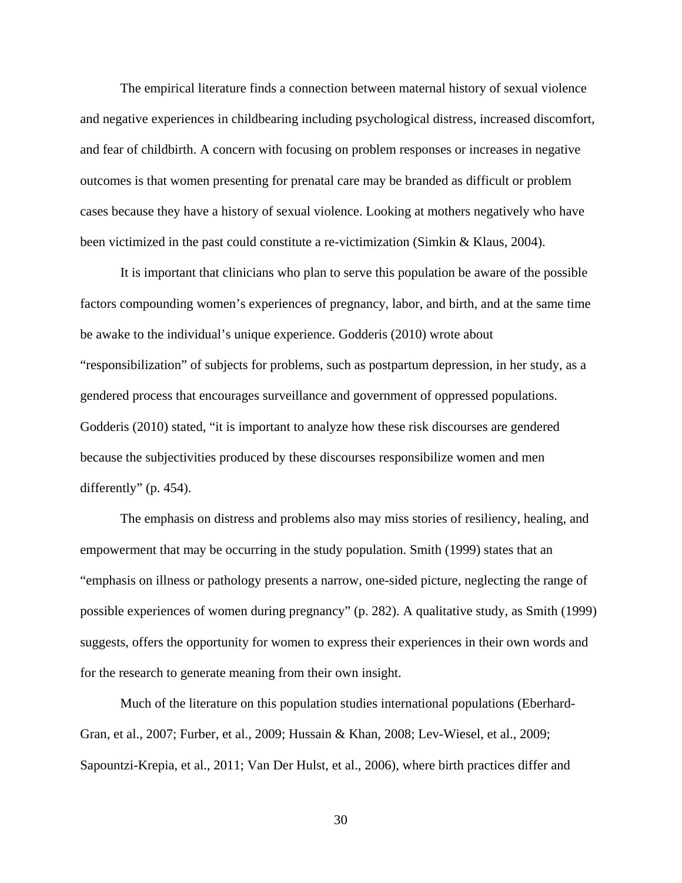The empirical literature finds a connection between maternal history of sexual violence and negative experiences in childbearing including psychological distress, increased discomfort, and fear of childbirth. A concern with focusing on problem responses or increases in negative outcomes is that women presenting for prenatal care may be branded as difficult or problem cases because they have a history of sexual violence. Looking at mothers negatively who have been victimized in the past could constitute a re-victimization (Simkin & Klaus, 2004).

It is important that clinicians who plan to serve this population be aware of the possible factors compounding women's experiences of pregnancy, labor, and birth, and at the same time be awake to the individual's unique experience. Godderis (2010) wrote about "responsibilization" of subjects for problems, such as postpartum depression, in her study, as a gendered process that encourages surveillance and government of oppressed populations. Godderis (2010) stated, "it is important to analyze how these risk discourses are gendered because the subjectivities produced by these discourses responsibilize women and men differently" (p. 454).

The emphasis on distress and problems also may miss stories of resiliency, healing, and empowerment that may be occurring in the study population. Smith (1999) states that an "emphasis on illness or pathology presents a narrow, one-sided picture, neglecting the range of possible experiences of women during pregnancy" (p. 282). A qualitative study, as Smith (1999) suggests, offers the opportunity for women to express their experiences in their own words and for the research to generate meaning from their own insight.

Much of the literature on this population studies international populations (Eberhard-Gran, et al., 2007; Furber, et al., 2009; Hussain & Khan, 2008; Lev-Wiesel, et al., 2009; Sapountzi-Krepia, et al., 2011; Van Der Hulst, et al., 2006), where birth practices differ and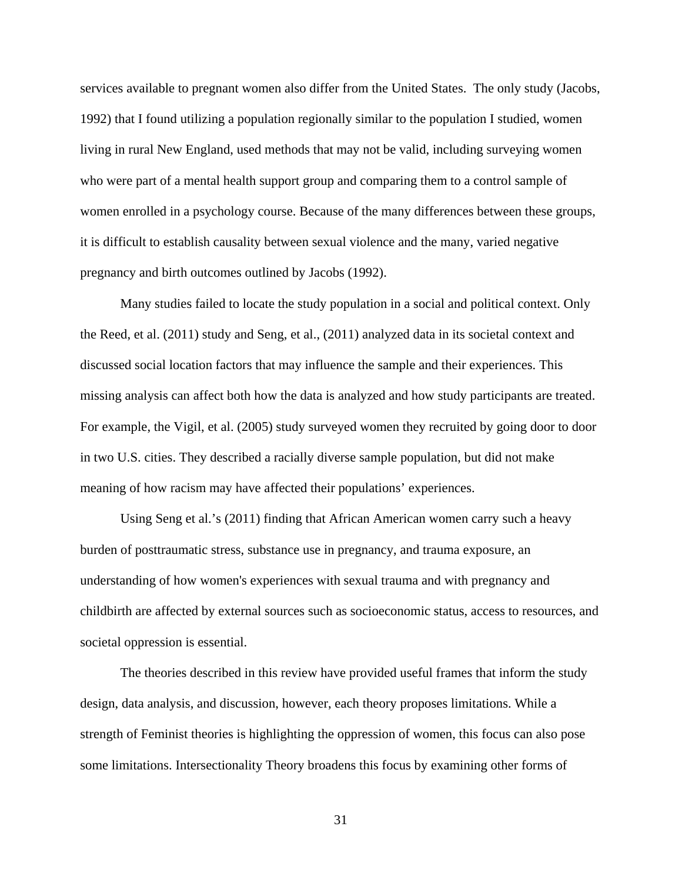services available to pregnant women also differ from the United States. The only study (Jacobs, 1992) that I found utilizing a population regionally similar to the population I studied, women living in rural New England, used methods that may not be valid, including surveying women who were part of a mental health support group and comparing them to a control sample of women enrolled in a psychology course. Because of the many differences between these groups, it is difficult to establish causality between sexual violence and the many, varied negative pregnancy and birth outcomes outlined by Jacobs (1992).

Many studies failed to locate the study population in a social and political context. Only the Reed, et al. (2011) study and Seng, et al., (2011) analyzed data in its societal context and discussed social location factors that may influence the sample and their experiences. This missing analysis can affect both how the data is analyzed and how study participants are treated. For example, the Vigil, et al. (2005) study surveyed women they recruited by going door to door in two U.S. cities. They described a racially diverse sample population, but did not make meaning of how racism may have affected their populations' experiences.

Using Seng et al.'s (2011) finding that African American women carry such a heavy burden of posttraumatic stress, substance use in pregnancy, and trauma exposure, an understanding of how women's experiences with sexual trauma and with pregnancy and childbirth are affected by external sources such as socioeconomic status, access to resources, and societal oppression is essential.

The theories described in this review have provided useful frames that inform the study design, data analysis, and discussion, however, each theory proposes limitations. While a strength of Feminist theories is highlighting the oppression of women, this focus can also pose some limitations. Intersectionality Theory broadens this focus by examining other forms of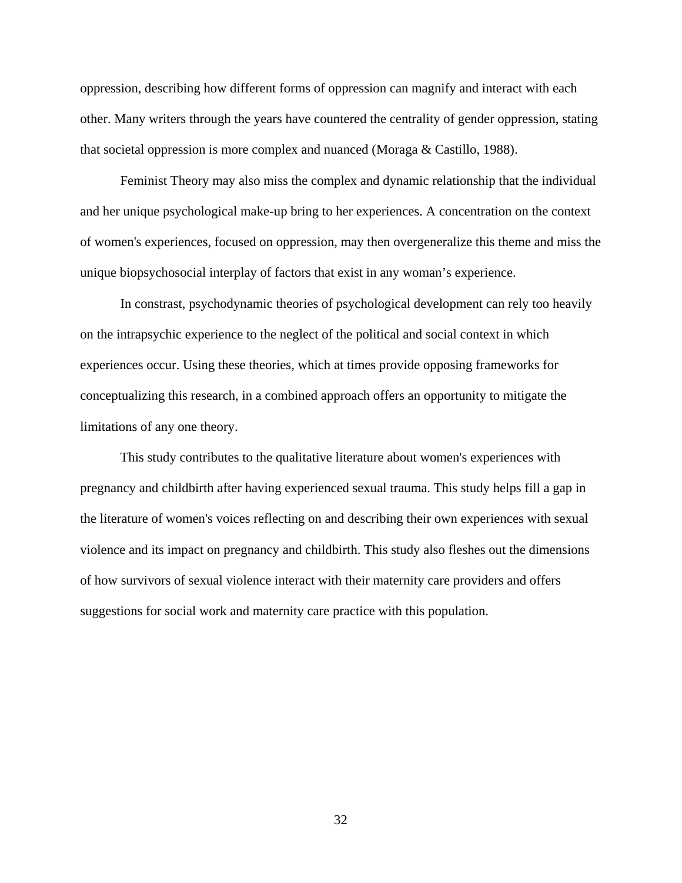oppression, describing how different forms of oppression can magnify and interact with each other. Many writers through the years have countered the centrality of gender oppression, stating that societal oppression is more complex and nuanced (Moraga & Castillo, 1988).

Feminist Theory may also miss the complex and dynamic relationship that the individual and her unique psychological make-up bring to her experiences. A concentration on the context of women's experiences, focused on oppression, may then overgeneralize this theme and miss the unique biopsychosocial interplay of factors that exist in any woman's experience.

In constrast, psychodynamic theories of psychological development can rely too heavily on the intrapsychic experience to the neglect of the political and social context in which experiences occur. Using these theories, which at times provide opposing frameworks for conceptualizing this research, in a combined approach offers an opportunity to mitigate the limitations of any one theory.

This study contributes to the qualitative literature about women's experiences with pregnancy and childbirth after having experienced sexual trauma. This study helps fill a gap in the literature of women's voices reflecting on and describing their own experiences with sexual violence and its impact on pregnancy and childbirth. This study also fleshes out the dimensions of how survivors of sexual violence interact with their maternity care providers and offers suggestions for social work and maternity care practice with this population.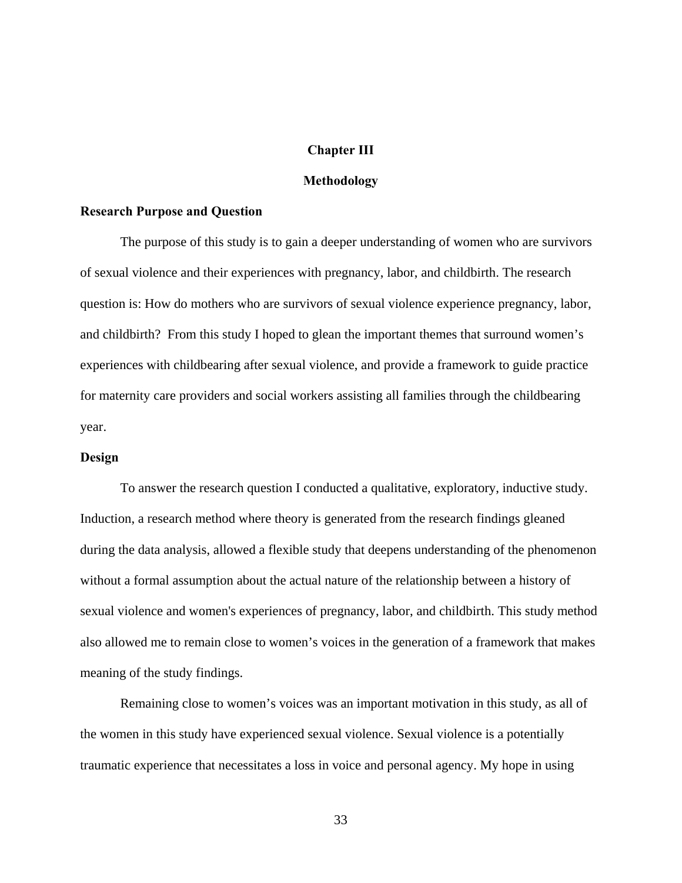### **Chapter III**

## **Methodology**

#### **Research Purpose and Question**

The purpose of this study is to gain a deeper understanding of women who are survivors of sexual violence and their experiences with pregnancy, labor, and childbirth. The research question is: How do mothers who are survivors of sexual violence experience pregnancy, labor, and childbirth? From this study I hoped to glean the important themes that surround women's experiences with childbearing after sexual violence, and provide a framework to guide practice for maternity care providers and social workers assisting all families through the childbearing year.

## **Design**

To answer the research question I conducted a qualitative, exploratory, inductive study. Induction, a research method where theory is generated from the research findings gleaned during the data analysis, allowed a flexible study that deepens understanding of the phenomenon without a formal assumption about the actual nature of the relationship between a history of sexual violence and women's experiences of pregnancy, labor, and childbirth. This study method also allowed me to remain close to women's voices in the generation of a framework that makes meaning of the study findings.

Remaining close to women's voices was an important motivation in this study, as all of the women in this study have experienced sexual violence. Sexual violence is a potentially traumatic experience that necessitates a loss in voice and personal agency. My hope in using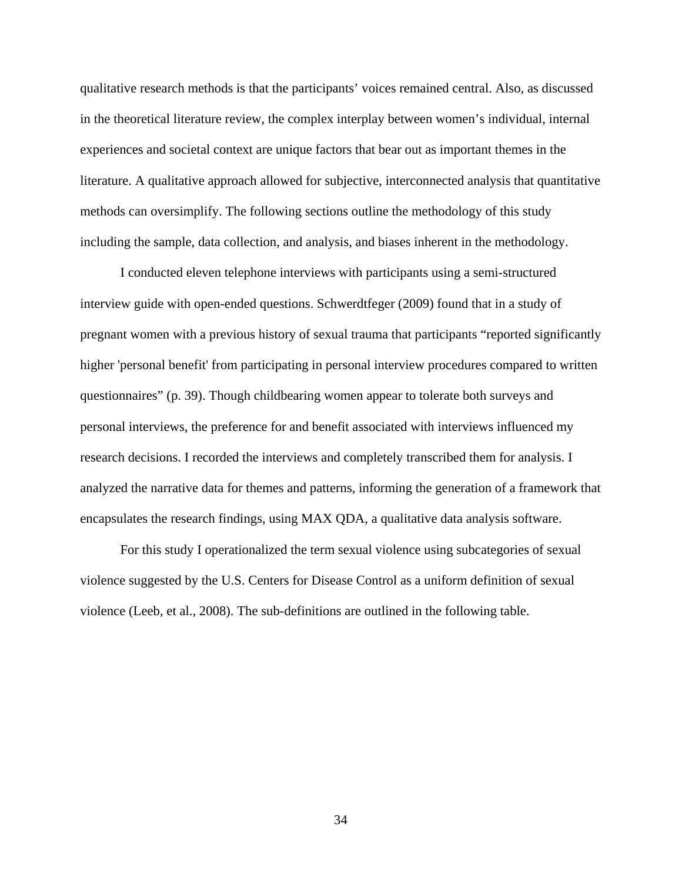qualitative research methods is that the participants' voices remained central. Also, as discussed in the theoretical literature review, the complex interplay between women's individual, internal experiences and societal context are unique factors that bear out as important themes in the literature. A qualitative approach allowed for subjective, interconnected analysis that quantitative methods can oversimplify. The following sections outline the methodology of this study including the sample, data collection, and analysis, and biases inherent in the methodology.

 I conducted eleven telephone interviews with participants using a semi-structured interview guide with open-ended questions. Schwerdtfeger (2009) found that in a study of pregnant women with a previous history of sexual trauma that participants "reported significantly higher 'personal benefit' from participating in personal interview procedures compared to written questionnaires" (p. 39). Though childbearing women appear to tolerate both surveys and personal interviews, the preference for and benefit associated with interviews influenced my research decisions. I recorded the interviews and completely transcribed them for analysis. I analyzed the narrative data for themes and patterns, informing the generation of a framework that encapsulates the research findings, using MAX QDA, a qualitative data analysis software.

For this study I operationalized the term sexual violence using subcategories of sexual violence suggested by the U.S. Centers for Disease Control as a uniform definition of sexual violence (Leeb, et al., 2008). The sub-definitions are outlined in the following table.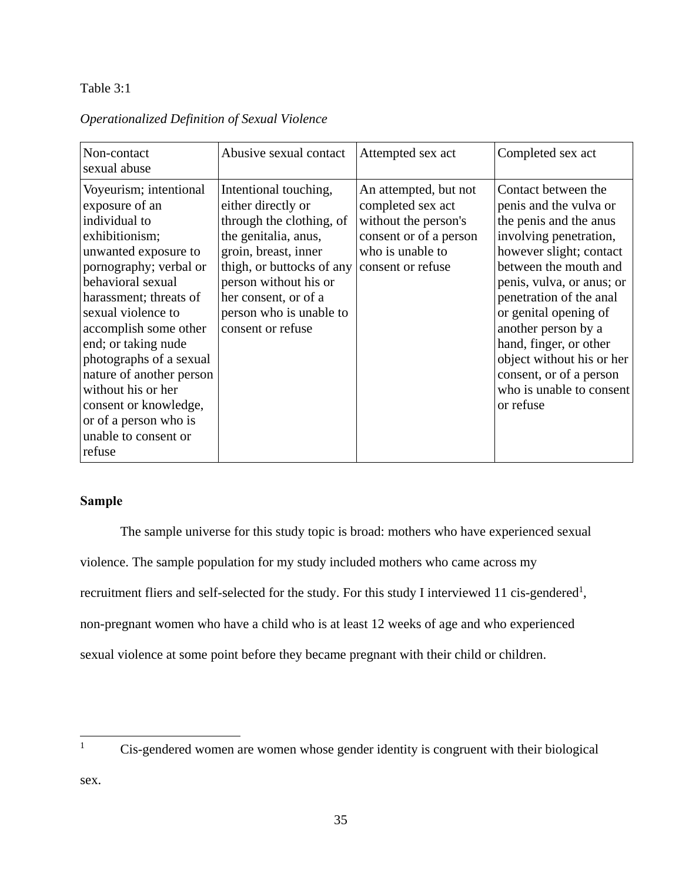# Table 3:1

# *Operationalized Definition of Sexual Violence*

| Non-contact<br>sexual abuse                                                                                                                                                                                                                                                                                                                                                                                         | Abusive sexual contact                                                                                                                                                                                                                                | Attempted sex act                                                                                                                     | Completed sex act                                                                                                                                                                                                                                                                                                                                                                        |
|---------------------------------------------------------------------------------------------------------------------------------------------------------------------------------------------------------------------------------------------------------------------------------------------------------------------------------------------------------------------------------------------------------------------|-------------------------------------------------------------------------------------------------------------------------------------------------------------------------------------------------------------------------------------------------------|---------------------------------------------------------------------------------------------------------------------------------------|------------------------------------------------------------------------------------------------------------------------------------------------------------------------------------------------------------------------------------------------------------------------------------------------------------------------------------------------------------------------------------------|
| Voyeurism; intentional<br>exposure of an<br>individual to<br>exhibitionism;<br>unwanted exposure to<br>pornography; verbal or<br>behavioral sexual<br>harassment; threats of<br>sexual violence to<br>accomplish some other<br>end; or taking nude<br>photographs of a sexual<br>nature of another person<br>without his or her<br>consent or knowledge,<br>or of a person who is<br>unable to consent or<br>refuse | Intentional touching,<br>either directly or<br>through the clothing, of<br>the genitalia, anus,<br>groin, breast, inner<br>thigh, or buttocks of any<br>person without his or<br>her consent, or of a<br>person who is unable to<br>consent or refuse | An attempted, but not<br>completed sex act<br>without the person's<br>consent or of a person<br>who is unable to<br>consent or refuse | Contact between the<br>penis and the vulva or<br>the penis and the anus<br>involving penetration,<br>however slight; contact<br>between the mouth and<br>penis, vulva, or anus; or<br>penetration of the anal<br>or genital opening of<br>another person by a<br>hand, finger, or other<br>object without his or her<br>consent, or of a person<br>who is unable to consent<br>or refuse |

# **Sample**

The sample universe for this study topic is broad: mothers who have experienced sexual violence. The sample population for my study included mothers who came across my recruitment fliers and self-selected for the study. For this study I interviewed 11 cis-gendered<sup>1</sup>, non-pregnant women who have a child who is at least 12 weeks of age and who experienced sexual violence at some point before they became pregnant with their child or children.

sex.

 $\overline{a}$ 1

Cis-gendered women are women whose gender identity is congruent with their biological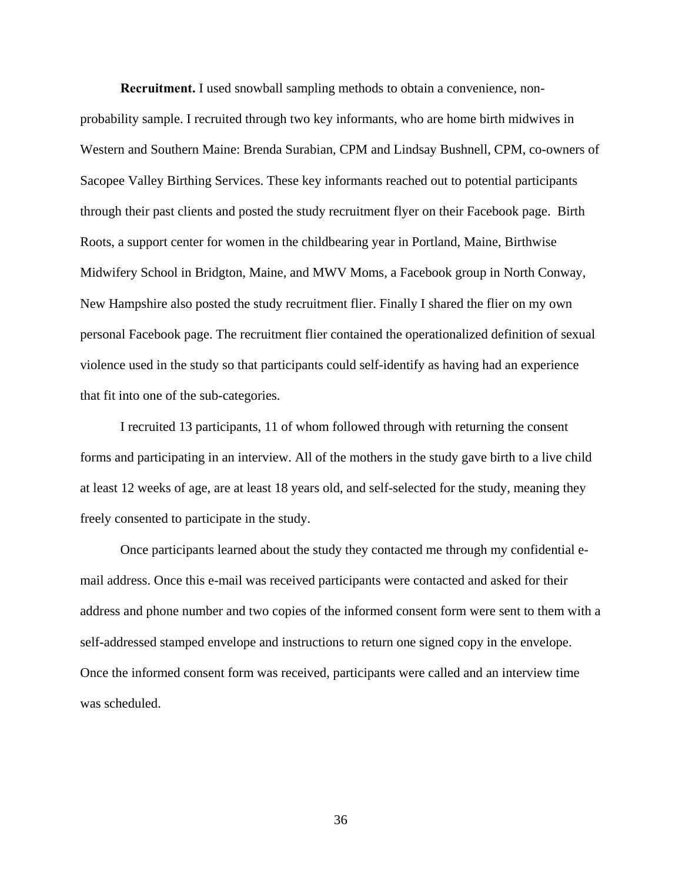**Recruitment.** I used snowball sampling methods to obtain a convenience, nonprobability sample. I recruited through two key informants, who are home birth midwives in Western and Southern Maine: Brenda Surabian, CPM and Lindsay Bushnell, CPM, co-owners of Sacopee Valley Birthing Services. These key informants reached out to potential participants through their past clients and posted the study recruitment flyer on their Facebook page. Birth Roots, a support center for women in the childbearing year in Portland, Maine, Birthwise Midwifery School in Bridgton, Maine, and MWV Moms, a Facebook group in North Conway, New Hampshire also posted the study recruitment flier. Finally I shared the flier on my own personal Facebook page. The recruitment flier contained the operationalized definition of sexual violence used in the study so that participants could self-identify as having had an experience that fit into one of the sub-categories.

I recruited 13 participants, 11 of whom followed through with returning the consent forms and participating in an interview. All of the mothers in the study gave birth to a live child at least 12 weeks of age, are at least 18 years old, and self-selected for the study, meaning they freely consented to participate in the study.

Once participants learned about the study they contacted me through my confidential email address. Once this e-mail was received participants were contacted and asked for their address and phone number and two copies of the informed consent form were sent to them with a self-addressed stamped envelope and instructions to return one signed copy in the envelope. Once the informed consent form was received, participants were called and an interview time was scheduled.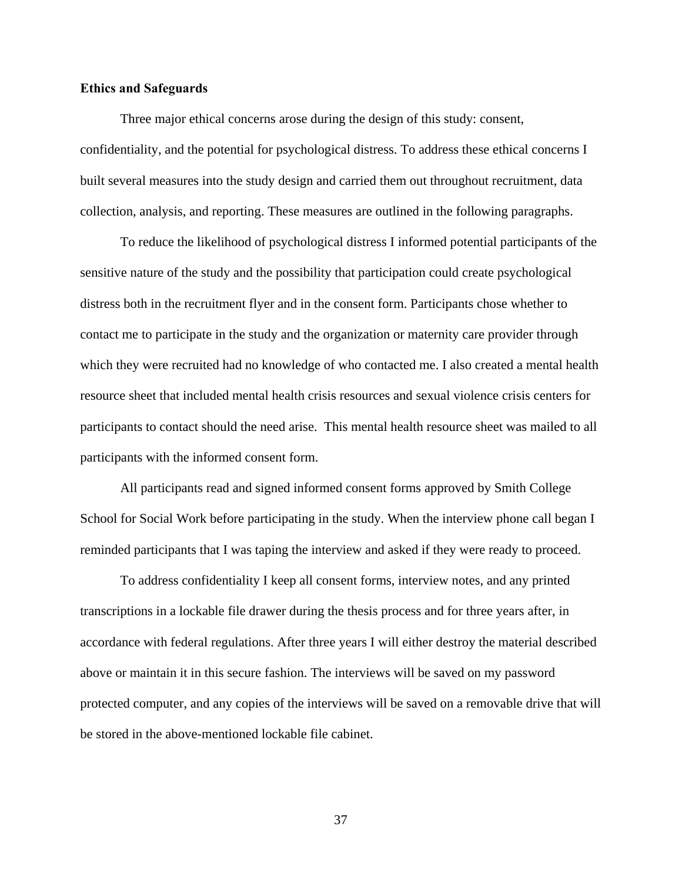## **Ethics and Safeguards**

Three major ethical concerns arose during the design of this study: consent, confidentiality, and the potential for psychological distress. To address these ethical concerns I built several measures into the study design and carried them out throughout recruitment, data collection, analysis, and reporting. These measures are outlined in the following paragraphs.

To reduce the likelihood of psychological distress I informed potential participants of the sensitive nature of the study and the possibility that participation could create psychological distress both in the recruitment flyer and in the consent form. Participants chose whether to contact me to participate in the study and the organization or maternity care provider through which they were recruited had no knowledge of who contacted me. I also created a mental health resource sheet that included mental health crisis resources and sexual violence crisis centers for participants to contact should the need arise. This mental health resource sheet was mailed to all participants with the informed consent form.

All participants read and signed informed consent forms approved by Smith College School for Social Work before participating in the study. When the interview phone call began I reminded participants that I was taping the interview and asked if they were ready to proceed.

To address confidentiality I keep all consent forms, interview notes, and any printed transcriptions in a lockable file drawer during the thesis process and for three years after, in accordance with federal regulations. After three years I will either destroy the material described above or maintain it in this secure fashion. The interviews will be saved on my password protected computer, and any copies of the interviews will be saved on a removable drive that will be stored in the above-mentioned lockable file cabinet.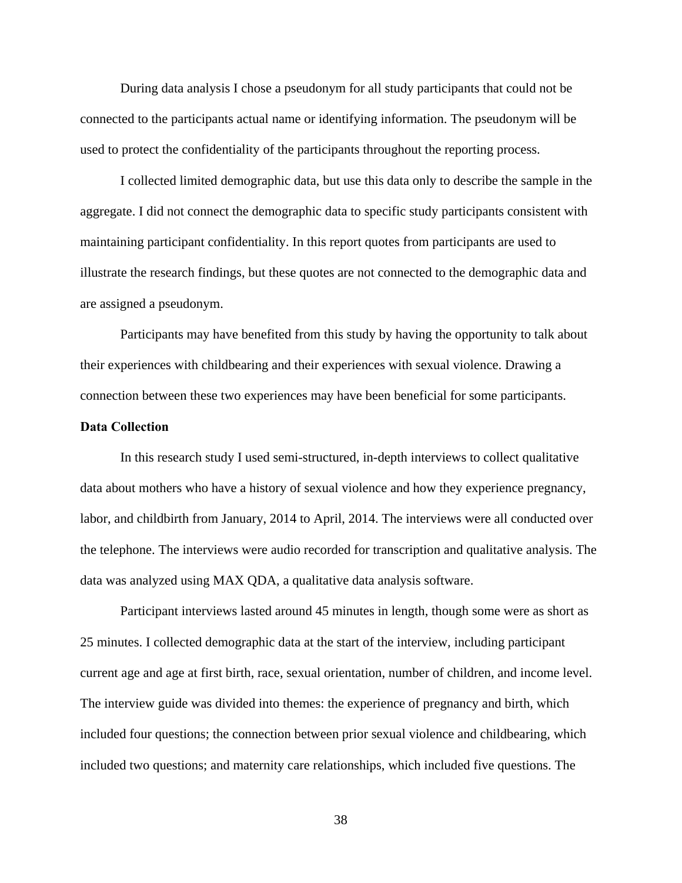During data analysis I chose a pseudonym for all study participants that could not be connected to the participants actual name or identifying information. The pseudonym will be used to protect the confidentiality of the participants throughout the reporting process.

I collected limited demographic data, but use this data only to describe the sample in the aggregate. I did not connect the demographic data to specific study participants consistent with maintaining participant confidentiality. In this report quotes from participants are used to illustrate the research findings, but these quotes are not connected to the demographic data and are assigned a pseudonym.

Participants may have benefited from this study by having the opportunity to talk about their experiences with childbearing and their experiences with sexual violence. Drawing a connection between these two experiences may have been beneficial for some participants.

### **Data Collection**

In this research study I used semi-structured, in-depth interviews to collect qualitative data about mothers who have a history of sexual violence and how they experience pregnancy, labor, and childbirth from January, 2014 to April, 2014. The interviews were all conducted over the telephone. The interviews were audio recorded for transcription and qualitative analysis. The data was analyzed using MAX QDA, a qualitative data analysis software.

Participant interviews lasted around 45 minutes in length, though some were as short as 25 minutes. I collected demographic data at the start of the interview, including participant current age and age at first birth, race, sexual orientation, number of children, and income level. The interview guide was divided into themes: the experience of pregnancy and birth, which included four questions; the connection between prior sexual violence and childbearing, which included two questions; and maternity care relationships, which included five questions. The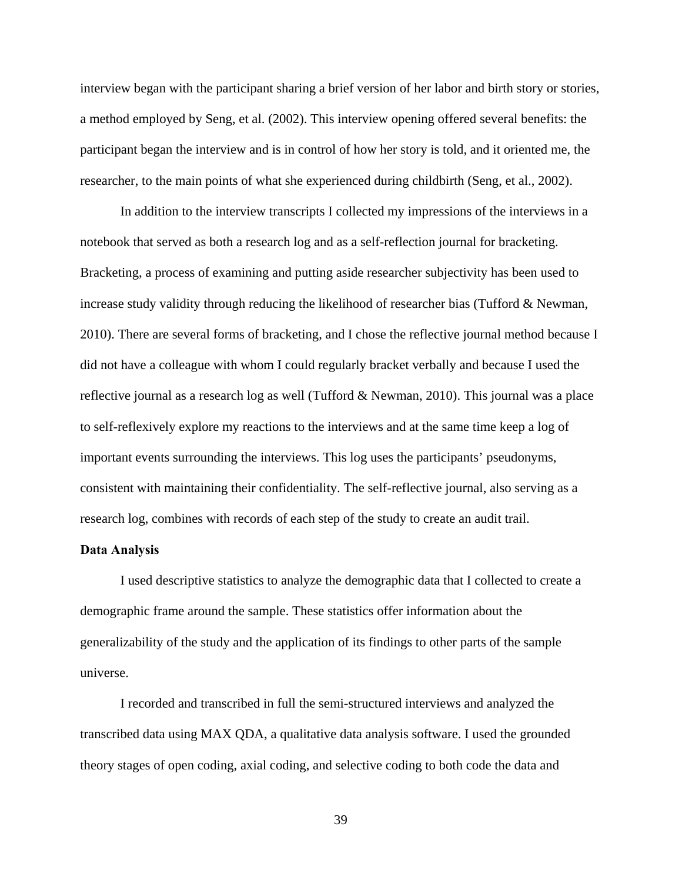interview began with the participant sharing a brief version of her labor and birth story or stories, a method employed by Seng, et al. (2002). This interview opening offered several benefits: the participant began the interview and is in control of how her story is told, and it oriented me, the researcher, to the main points of what she experienced during childbirth (Seng, et al., 2002).

In addition to the interview transcripts I collected my impressions of the interviews in a notebook that served as both a research log and as a self-reflection journal for bracketing. Bracketing, a process of examining and putting aside researcher subjectivity has been used to increase study validity through reducing the likelihood of researcher bias (Tufford  $\&$  Newman, 2010). There are several forms of bracketing, and I chose the reflective journal method because I did not have a colleague with whom I could regularly bracket verbally and because I used the reflective journal as a research log as well (Tufford & Newman, 2010). This journal was a place to self-reflexively explore my reactions to the interviews and at the same time keep a log of important events surrounding the interviews. This log uses the participants' pseudonyms, consistent with maintaining their confidentiality. The self-reflective journal, also serving as a research log, combines with records of each step of the study to create an audit trail.

#### **Data Analysis**

I used descriptive statistics to analyze the demographic data that I collected to create a demographic frame around the sample. These statistics offer information about the generalizability of the study and the application of its findings to other parts of the sample universe.

I recorded and transcribed in full the semi-structured interviews and analyzed the transcribed data using MAX QDA, a qualitative data analysis software. I used the grounded theory stages of open coding, axial coding, and selective coding to both code the data and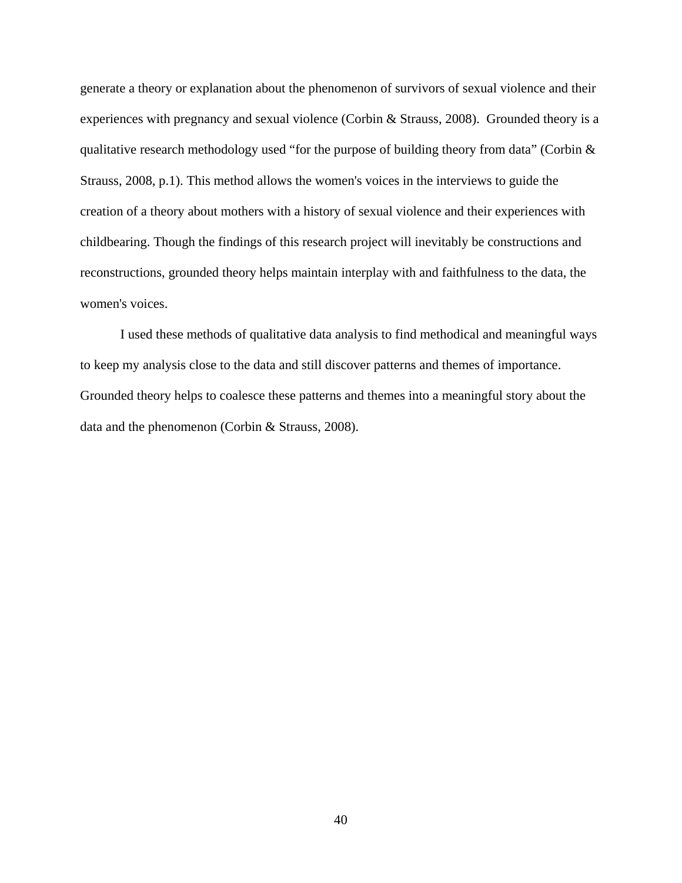generate a theory or explanation about the phenomenon of survivors of sexual violence and their experiences with pregnancy and sexual violence (Corbin & Strauss, 2008). Grounded theory is a qualitative research methodology used "for the purpose of building theory from data" (Corbin & Strauss, 2008, p.1). This method allows the women's voices in the interviews to guide the creation of a theory about mothers with a history of sexual violence and their experiences with childbearing. Though the findings of this research project will inevitably be constructions and reconstructions, grounded theory helps maintain interplay with and faithfulness to the data, the women's voices.

I used these methods of qualitative data analysis to find methodical and meaningful ways to keep my analysis close to the data and still discover patterns and themes of importance. Grounded theory helps to coalesce these patterns and themes into a meaningful story about the data and the phenomenon (Corbin & Strauss, 2008).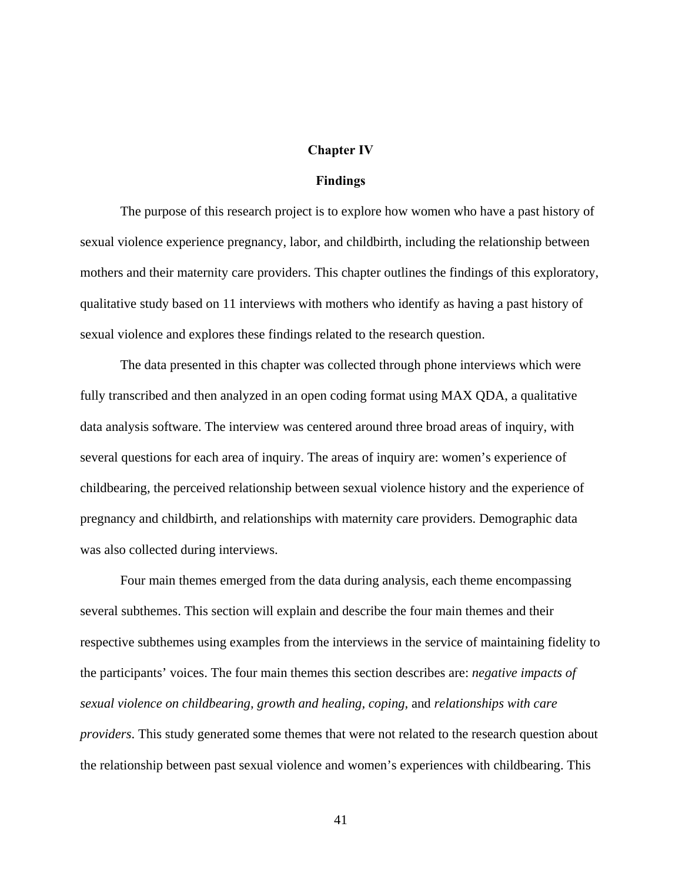#### **Chapter IV**

#### **Findings**

The purpose of this research project is to explore how women who have a past history of sexual violence experience pregnancy, labor, and childbirth, including the relationship between mothers and their maternity care providers. This chapter outlines the findings of this exploratory, qualitative study based on 11 interviews with mothers who identify as having a past history of sexual violence and explores these findings related to the research question.

The data presented in this chapter was collected through phone interviews which were fully transcribed and then analyzed in an open coding format using MAX QDA, a qualitative data analysis software. The interview was centered around three broad areas of inquiry, with several questions for each area of inquiry. The areas of inquiry are: women's experience of childbearing, the perceived relationship between sexual violence history and the experience of pregnancy and childbirth, and relationships with maternity care providers. Demographic data was also collected during interviews.

Four main themes emerged from the data during analysis, each theme encompassing several subthemes. This section will explain and describe the four main themes and their respective subthemes using examples from the interviews in the service of maintaining fidelity to the participants' voices. The four main themes this section describes are: *negative impacts of sexual violence on childbearing, growth and healing, coping,* and *relationships with care providers*. This study generated some themes that were not related to the research question about the relationship between past sexual violence and women's experiences with childbearing. This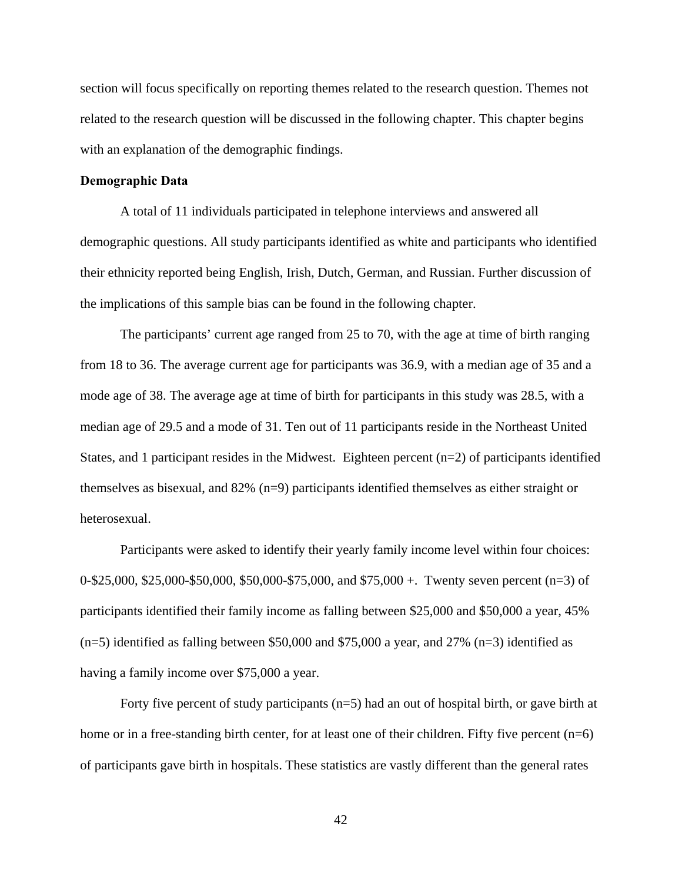section will focus specifically on reporting themes related to the research question. Themes not related to the research question will be discussed in the following chapter. This chapter begins with an explanation of the demographic findings.

## **Demographic Data**

A total of 11 individuals participated in telephone interviews and answered all demographic questions. All study participants identified as white and participants who identified their ethnicity reported being English, Irish, Dutch, German, and Russian. Further discussion of the implications of this sample bias can be found in the following chapter.

The participants' current age ranged from 25 to 70, with the age at time of birth ranging from 18 to 36. The average current age for participants was 36.9, with a median age of 35 and a mode age of 38. The average age at time of birth for participants in this study was 28.5, with a median age of 29.5 and a mode of 31. Ten out of 11 participants reside in the Northeast United States, and 1 participant resides in the Midwest. Eighteen percent (n=2) of participants identified themselves as bisexual, and 82% (n=9) participants identified themselves as either straight or heterosexual.

Participants were asked to identify their yearly family income level within four choices: 0-\$25,000, \$25,000-\$50,000, \$50,000-\$75,000, and \$75,000 +. Twenty seven percent (n=3) of participants identified their family income as falling between \$25,000 and \$50,000 a year, 45%  $(n=5)$  identified as falling between \$50,000 and \$75,000 a year, and 27%  $(n=3)$  identified as having a family income over \$75,000 a year.

Forty five percent of study participants (n=5) had an out of hospital birth, or gave birth at home or in a free-standing birth center, for at least one of their children. Fifty five percent (n=6) of participants gave birth in hospitals. These statistics are vastly different than the general rates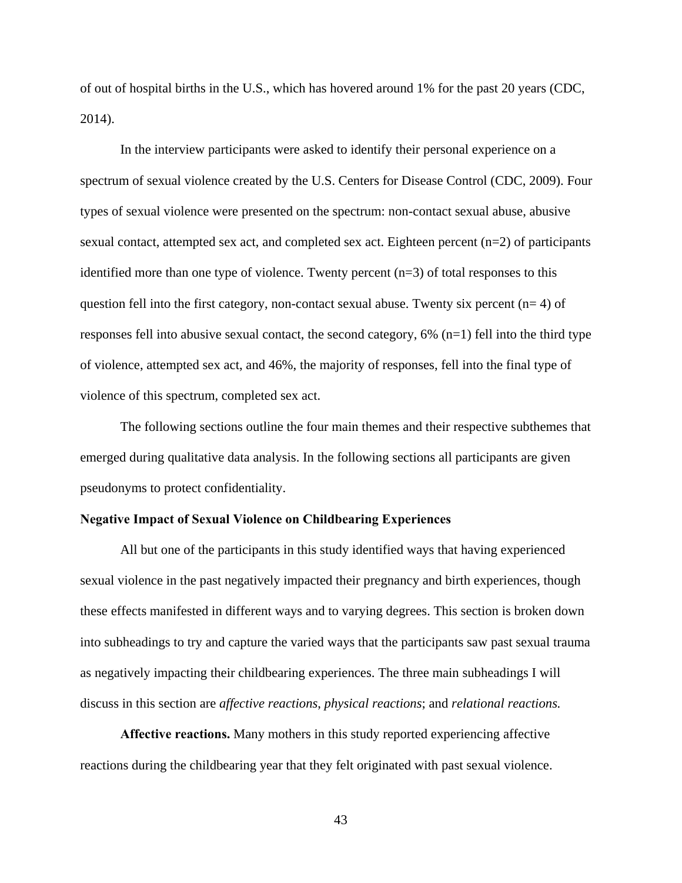of out of hospital births in the U.S., which has hovered around 1% for the past 20 years (CDC, 2014).

In the interview participants were asked to identify their personal experience on a spectrum of sexual violence created by the U.S. Centers for Disease Control (CDC, 2009). Four types of sexual violence were presented on the spectrum: non-contact sexual abuse, abusive sexual contact, attempted sex act, and completed sex act. Eighteen percent (n=2) of participants identified more than one type of violence. Twenty percent  $(n=3)$  of total responses to this question fell into the first category, non-contact sexual abuse. Twenty six percent  $(n= 4)$  of responses fell into abusive sexual contact, the second category, 6% (n=1) fell into the third type of violence, attempted sex act, and 46%, the majority of responses, fell into the final type of violence of this spectrum, completed sex act.

The following sections outline the four main themes and their respective subthemes that emerged during qualitative data analysis. In the following sections all participants are given pseudonyms to protect confidentiality.

## **Negative Impact of Sexual Violence on Childbearing Experiences**

All but one of the participants in this study identified ways that having experienced sexual violence in the past negatively impacted their pregnancy and birth experiences, though these effects manifested in different ways and to varying degrees. This section is broken down into subheadings to try and capture the varied ways that the participants saw past sexual trauma as negatively impacting their childbearing experiences. The three main subheadings I will discuss in this section are *affective reactions*, *physical reactions*; and *relational reactions.*

**Affective reactions.** Many mothers in this study reported experiencing affective reactions during the childbearing year that they felt originated with past sexual violence.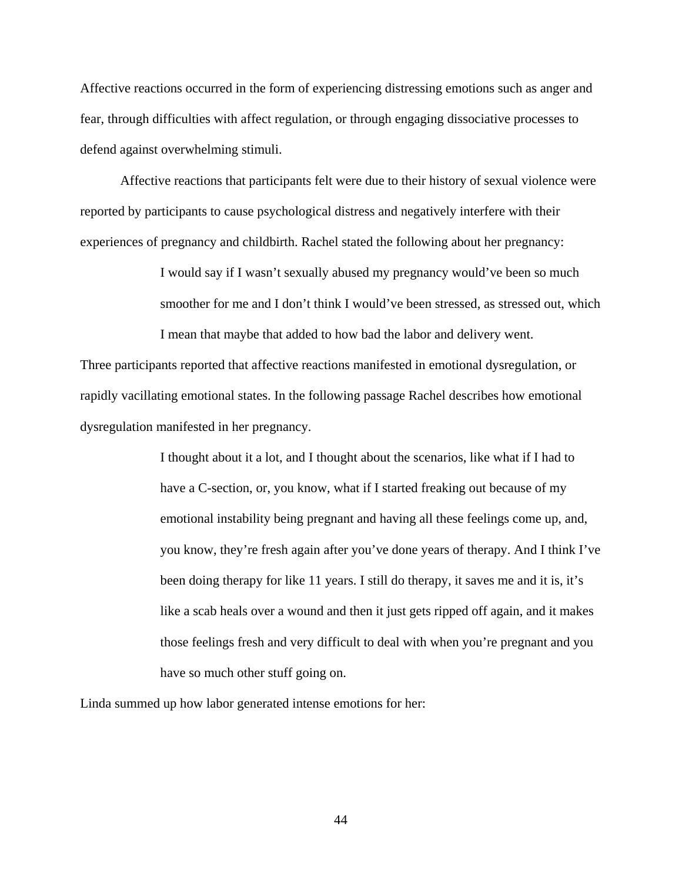Affective reactions occurred in the form of experiencing distressing emotions such as anger and fear, through difficulties with affect regulation, or through engaging dissociative processes to defend against overwhelming stimuli.

Affective reactions that participants felt were due to their history of sexual violence were reported by participants to cause psychological distress and negatively interfere with their experiences of pregnancy and childbirth. Rachel stated the following about her pregnancy:

> I would say if I wasn't sexually abused my pregnancy would've been so much smoother for me and I don't think I would've been stressed, as stressed out, which I mean that maybe that added to how bad the labor and delivery went.

Three participants reported that affective reactions manifested in emotional dysregulation, or rapidly vacillating emotional states. In the following passage Rachel describes how emotional dysregulation manifested in her pregnancy.

> I thought about it a lot, and I thought about the scenarios, like what if I had to have a C-section, or, you know, what if I started freaking out because of my emotional instability being pregnant and having all these feelings come up, and, you know, they're fresh again after you've done years of therapy. And I think I've been doing therapy for like 11 years. I still do therapy, it saves me and it is, it's like a scab heals over a wound and then it just gets ripped off again, and it makes those feelings fresh and very difficult to deal with when you're pregnant and you have so much other stuff going on.

Linda summed up how labor generated intense emotions for her: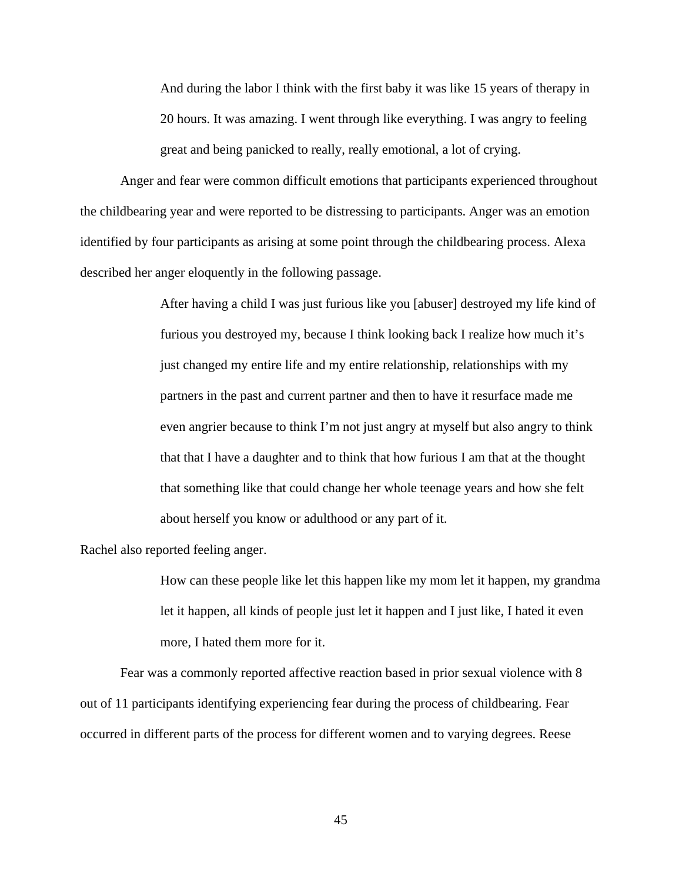And during the labor I think with the first baby it was like 15 years of therapy in 20 hours. It was amazing. I went through like everything. I was angry to feeling great and being panicked to really, really emotional, a lot of crying.

Anger and fear were common difficult emotions that participants experienced throughout the childbearing year and were reported to be distressing to participants. Anger was an emotion identified by four participants as arising at some point through the childbearing process. Alexa described her anger eloquently in the following passage.

> After having a child I was just furious like you [abuser] destroyed my life kind of furious you destroyed my, because I think looking back I realize how much it's just changed my entire life and my entire relationship, relationships with my partners in the past and current partner and then to have it resurface made me even angrier because to think I'm not just angry at myself but also angry to think that that I have a daughter and to think that how furious I am that at the thought that something like that could change her whole teenage years and how she felt about herself you know or adulthood or any part of it.

Rachel also reported feeling anger.

How can these people like let this happen like my mom let it happen, my grandma let it happen, all kinds of people just let it happen and I just like, I hated it even more, I hated them more for it.

Fear was a commonly reported affective reaction based in prior sexual violence with 8 out of 11 participants identifying experiencing fear during the process of childbearing. Fear occurred in different parts of the process for different women and to varying degrees. Reese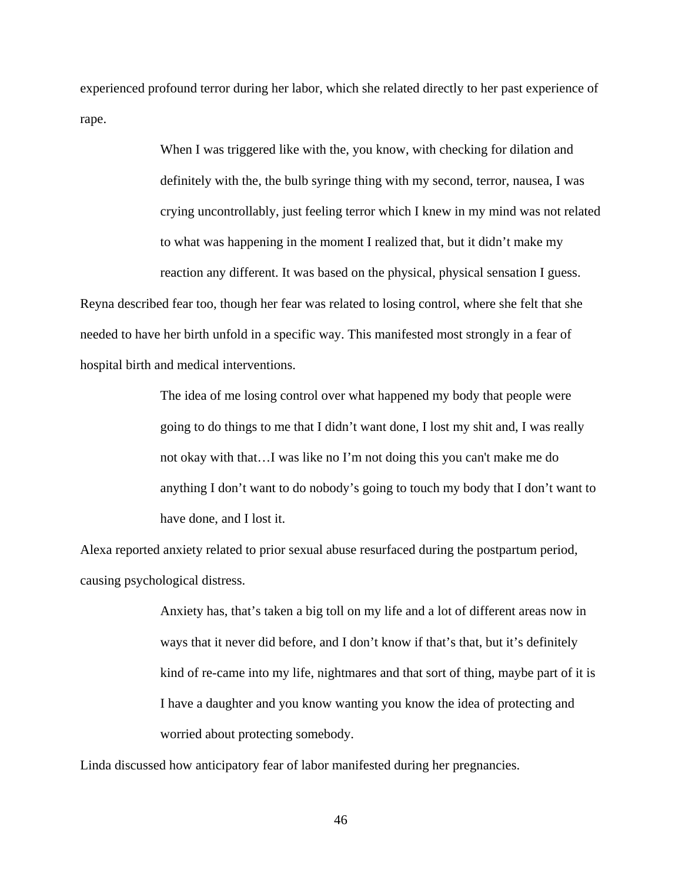experienced profound terror during her labor, which she related directly to her past experience of rape.

> When I was triggered like with the, you know, with checking for dilation and definitely with the, the bulb syringe thing with my second, terror, nausea, I was crying uncontrollably, just feeling terror which I knew in my mind was not related to what was happening in the moment I realized that, but it didn't make my reaction any different. It was based on the physical, physical sensation I guess.

Reyna described fear too, though her fear was related to losing control, where she felt that she needed to have her birth unfold in a specific way. This manifested most strongly in a fear of hospital birth and medical interventions.

> The idea of me losing control over what happened my body that people were going to do things to me that I didn't want done, I lost my shit and, I was really not okay with that…I was like no I'm not doing this you can't make me do anything I don't want to do nobody's going to touch my body that I don't want to have done, and I lost it.

Alexa reported anxiety related to prior sexual abuse resurfaced during the postpartum period, causing psychological distress.

> Anxiety has, that's taken a big toll on my life and a lot of different areas now in ways that it never did before, and I don't know if that's that, but it's definitely kind of re-came into my life, nightmares and that sort of thing, maybe part of it is I have a daughter and you know wanting you know the idea of protecting and worried about protecting somebody.

Linda discussed how anticipatory fear of labor manifested during her pregnancies.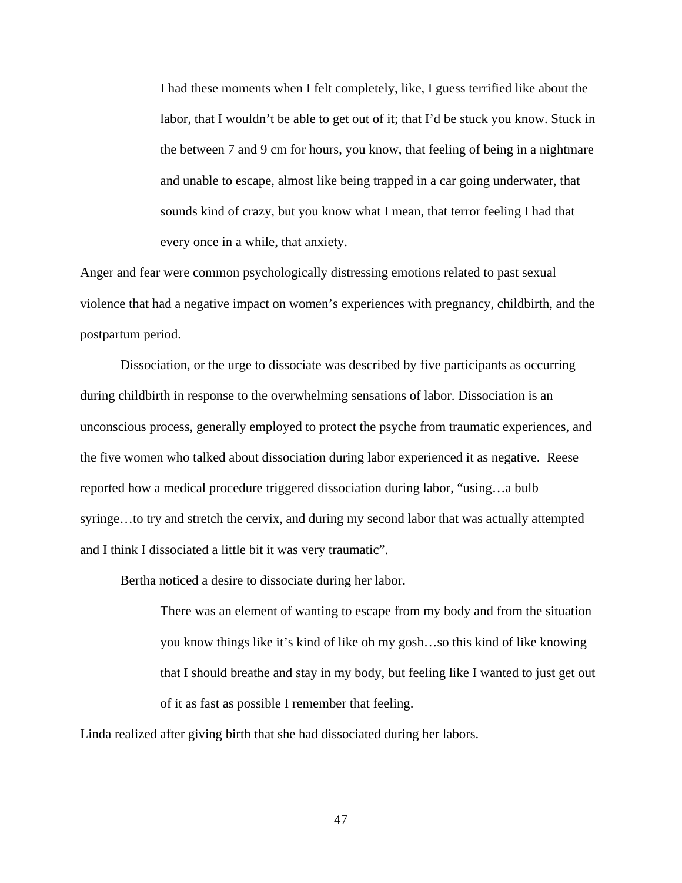I had these moments when I felt completely, like, I guess terrified like about the labor, that I wouldn't be able to get out of it; that I'd be stuck you know. Stuck in the between 7 and 9 cm for hours, you know, that feeling of being in a nightmare and unable to escape, almost like being trapped in a car going underwater, that sounds kind of crazy, but you know what I mean, that terror feeling I had that every once in a while, that anxiety.

Anger and fear were common psychologically distressing emotions related to past sexual violence that had a negative impact on women's experiences with pregnancy, childbirth, and the postpartum period.

Dissociation, or the urge to dissociate was described by five participants as occurring during childbirth in response to the overwhelming sensations of labor. Dissociation is an unconscious process, generally employed to protect the psyche from traumatic experiences, and the five women who talked about dissociation during labor experienced it as negative. Reese reported how a medical procedure triggered dissociation during labor, "using…a bulb syringe…to try and stretch the cervix, and during my second labor that was actually attempted and I think I dissociated a little bit it was very traumatic".

Bertha noticed a desire to dissociate during her labor.

There was an element of wanting to escape from my body and from the situation you know things like it's kind of like oh my gosh…so this kind of like knowing that I should breathe and stay in my body, but feeling like I wanted to just get out of it as fast as possible I remember that feeling.

Linda realized after giving birth that she had dissociated during her labors.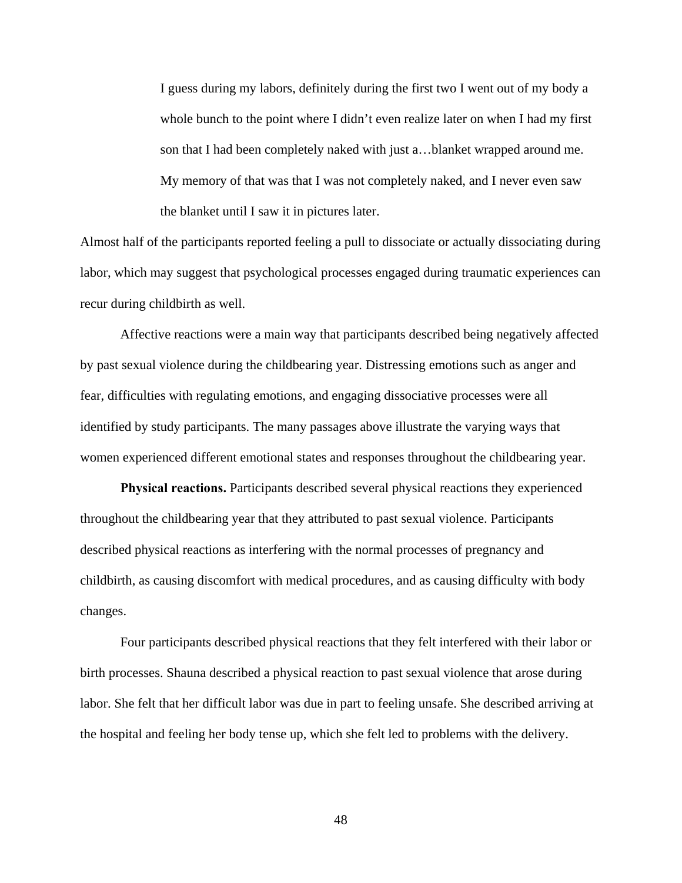I guess during my labors, definitely during the first two I went out of my body a whole bunch to the point where I didn't even realize later on when I had my first son that I had been completely naked with just a…blanket wrapped around me. My memory of that was that I was not completely naked, and I never even saw the blanket until I saw it in pictures later.

Almost half of the participants reported feeling a pull to dissociate or actually dissociating during labor, which may suggest that psychological processes engaged during traumatic experiences can recur during childbirth as well.

Affective reactions were a main way that participants described being negatively affected by past sexual violence during the childbearing year. Distressing emotions such as anger and fear, difficulties with regulating emotions, and engaging dissociative processes were all identified by study participants. The many passages above illustrate the varying ways that women experienced different emotional states and responses throughout the childbearing year.

**Physical reactions.** Participants described several physical reactions they experienced throughout the childbearing year that they attributed to past sexual violence. Participants described physical reactions as interfering with the normal processes of pregnancy and childbirth, as causing discomfort with medical procedures, and as causing difficulty with body changes.

Four participants described physical reactions that they felt interfered with their labor or birth processes. Shauna described a physical reaction to past sexual violence that arose during labor. She felt that her difficult labor was due in part to feeling unsafe. She described arriving at the hospital and feeling her body tense up, which she felt led to problems with the delivery.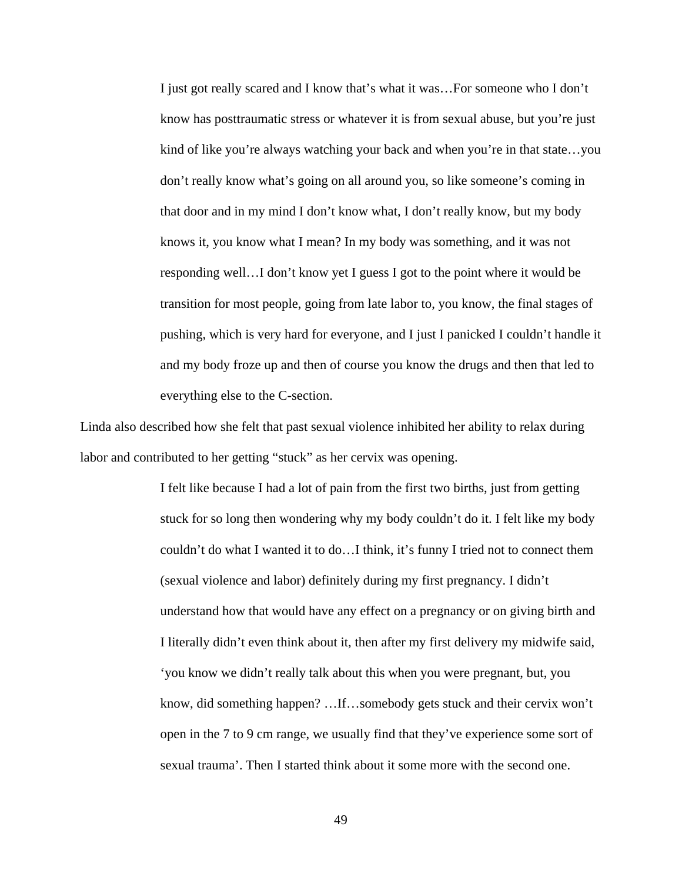I just got really scared and I know that's what it was…For someone who I don't know has posttraumatic stress or whatever it is from sexual abuse, but you're just kind of like you're always watching your back and when you're in that state...you don't really know what's going on all around you, so like someone's coming in that door and in my mind I don't know what, I don't really know, but my body knows it, you know what I mean? In my body was something, and it was not responding well…I don't know yet I guess I got to the point where it would be transition for most people, going from late labor to, you know, the final stages of pushing, which is very hard for everyone, and I just I panicked I couldn't handle it and my body froze up and then of course you know the drugs and then that led to everything else to the C-section.

Linda also described how she felt that past sexual violence inhibited her ability to relax during labor and contributed to her getting "stuck" as her cervix was opening.

> I felt like because I had a lot of pain from the first two births, just from getting stuck for so long then wondering why my body couldn't do it. I felt like my body couldn't do what I wanted it to do…I think, it's funny I tried not to connect them (sexual violence and labor) definitely during my first pregnancy. I didn't understand how that would have any effect on a pregnancy or on giving birth and I literally didn't even think about it, then after my first delivery my midwife said, 'you know we didn't really talk about this when you were pregnant, but, you know, did something happen? …If…somebody gets stuck and their cervix won't open in the 7 to 9 cm range, we usually find that they've experience some sort of sexual trauma'. Then I started think about it some more with the second one.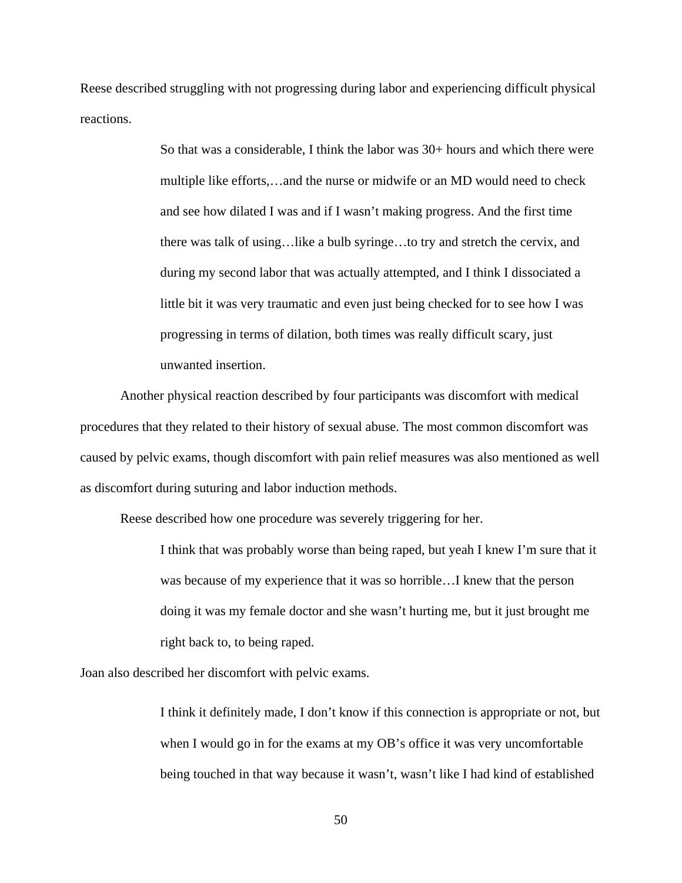Reese described struggling with not progressing during labor and experiencing difficult physical reactions.

> So that was a considerable, I think the labor was 30+ hours and which there were multiple like efforts,…and the nurse or midwife or an MD would need to check and see how dilated I was and if I wasn't making progress. And the first time there was talk of using…like a bulb syringe…to try and stretch the cervix, and during my second labor that was actually attempted, and I think I dissociated a little bit it was very traumatic and even just being checked for to see how I was progressing in terms of dilation, both times was really difficult scary, just unwanted insertion.

Another physical reaction described by four participants was discomfort with medical procedures that they related to their history of sexual abuse. The most common discomfort was caused by pelvic exams, though discomfort with pain relief measures was also mentioned as well as discomfort during suturing and labor induction methods.

Reese described how one procedure was severely triggering for her.

I think that was probably worse than being raped, but yeah I knew I'm sure that it was because of my experience that it was so horrible…I knew that the person doing it was my female doctor and she wasn't hurting me, but it just brought me right back to, to being raped.

Joan also described her discomfort with pelvic exams.

I think it definitely made, I don't know if this connection is appropriate or not, but when I would go in for the exams at my OB's office it was very uncomfortable being touched in that way because it wasn't, wasn't like I had kind of established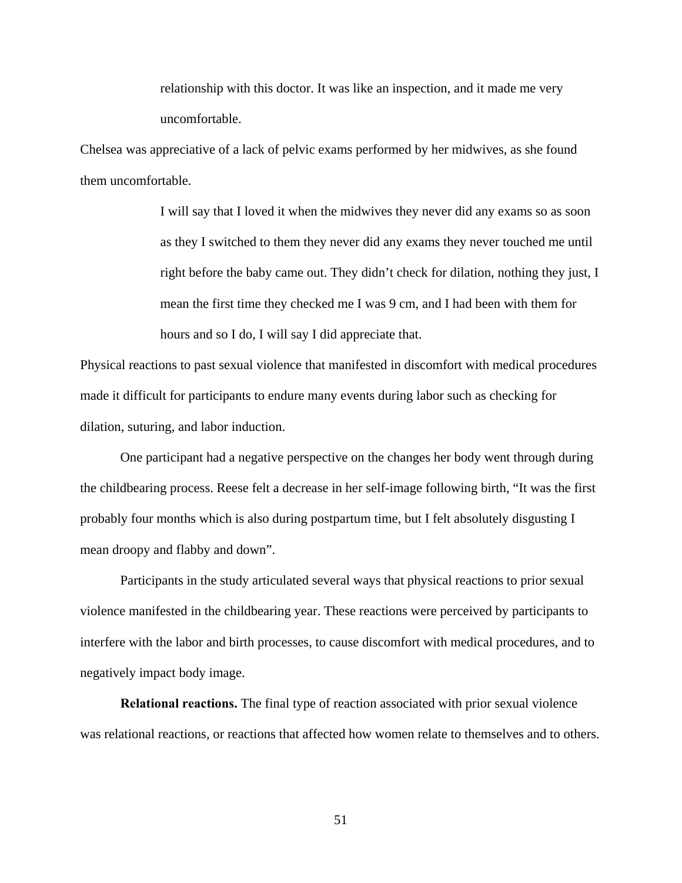relationship with this doctor. It was like an inspection, and it made me very uncomfortable.

Chelsea was appreciative of a lack of pelvic exams performed by her midwives, as she found them uncomfortable.

> I will say that I loved it when the midwives they never did any exams so as soon as they I switched to them they never did any exams they never touched me until right before the baby came out. They didn't check for dilation, nothing they just, I mean the first time they checked me I was 9 cm, and I had been with them for hours and so I do, I will say I did appreciate that.

Physical reactions to past sexual violence that manifested in discomfort with medical procedures made it difficult for participants to endure many events during labor such as checking for dilation, suturing, and labor induction.

One participant had a negative perspective on the changes her body went through during the childbearing process. Reese felt a decrease in her self-image following birth, "It was the first probably four months which is also during postpartum time, but I felt absolutely disgusting I mean droopy and flabby and down".

Participants in the study articulated several ways that physical reactions to prior sexual violence manifested in the childbearing year. These reactions were perceived by participants to interfere with the labor and birth processes, to cause discomfort with medical procedures, and to negatively impact body image.

**Relational reactions.** The final type of reaction associated with prior sexual violence was relational reactions, or reactions that affected how women relate to themselves and to others.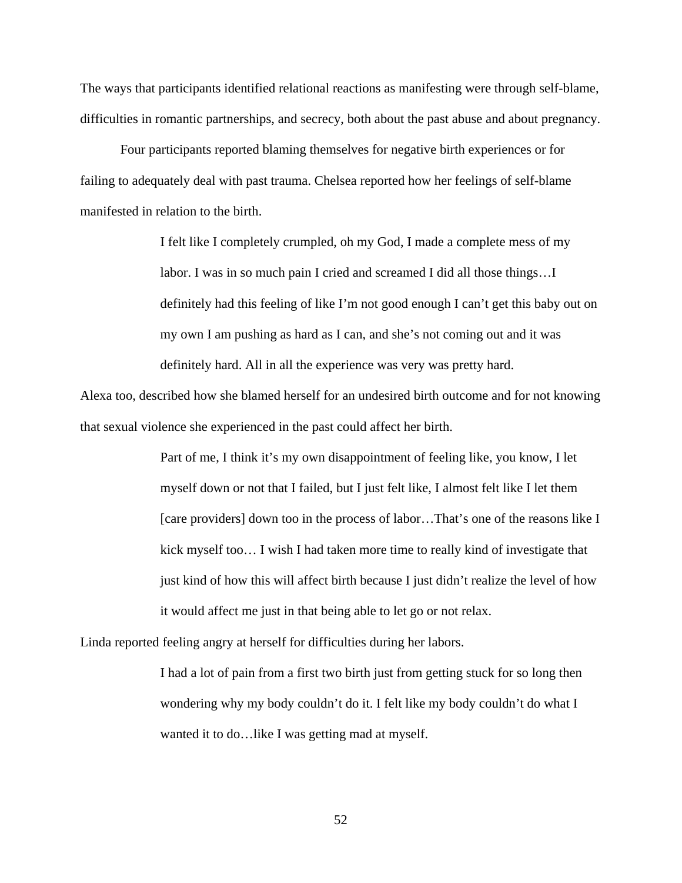The ways that participants identified relational reactions as manifesting were through self-blame, difficulties in romantic partnerships, and secrecy, both about the past abuse and about pregnancy.

Four participants reported blaming themselves for negative birth experiences or for failing to adequately deal with past trauma. Chelsea reported how her feelings of self-blame manifested in relation to the birth.

> I felt like I completely crumpled, oh my God, I made a complete mess of my labor. I was in so much pain I cried and screamed I did all those things…I definitely had this feeling of like I'm not good enough I can't get this baby out on my own I am pushing as hard as I can, and she's not coming out and it was definitely hard. All in all the experience was very was pretty hard.

Alexa too, described how she blamed herself for an undesired birth outcome and for not knowing that sexual violence she experienced in the past could affect her birth.

> Part of me, I think it's my own disappointment of feeling like, you know, I let myself down or not that I failed, but I just felt like, I almost felt like I let them [care providers] down too in the process of labor...That's one of the reasons like I kick myself too… I wish I had taken more time to really kind of investigate that just kind of how this will affect birth because I just didn't realize the level of how it would affect me just in that being able to let go or not relax.

Linda reported feeling angry at herself for difficulties during her labors.

I had a lot of pain from a first two birth just from getting stuck for so long then wondering why my body couldn't do it. I felt like my body couldn't do what I wanted it to do…like I was getting mad at myself.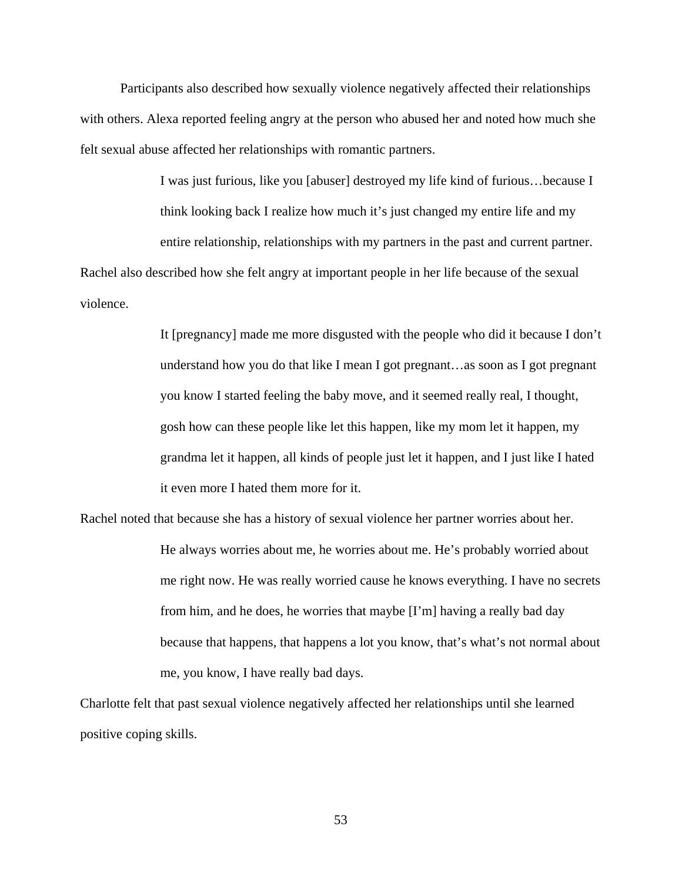Participants also described how sexually violence negatively affected their relationships with others. Alexa reported feeling angry at the person who abused her and noted how much she felt sexual abuse affected her relationships with romantic partners.

> I was just furious, like you [abuser] destroyed my life kind of furious…because I think looking back I realize how much it's just changed my entire life and my

> entire relationship, relationships with my partners in the past and current partner.

Rachel also described how she felt angry at important people in her life because of the sexual violence.

> It [pregnancy] made me more disgusted with the people who did it because I don't understand how you do that like I mean I got pregnant…as soon as I got pregnant you know I started feeling the baby move, and it seemed really real, I thought, gosh how can these people like let this happen, like my mom let it happen, my grandma let it happen, all kinds of people just let it happen, and I just like I hated it even more I hated them more for it.

Rachel noted that because she has a history of sexual violence her partner worries about her. He always worries about me, he worries about me. He's probably worried about me right now. He was really worried cause he knows everything. I have no secrets from him, and he does, he worries that maybe [I'm] having a really bad day because that happens, that happens a lot you know, that's what's not normal about me, you know, I have really bad days.

Charlotte felt that past sexual violence negatively affected her relationships until she learned positive coping skills.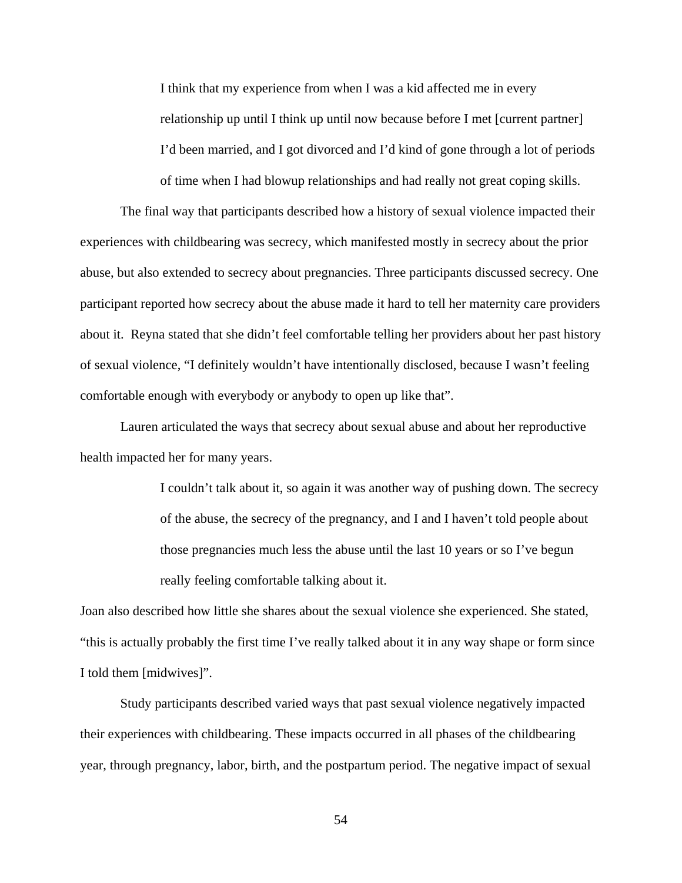I think that my experience from when I was a kid affected me in every relationship up until I think up until now because before I met [current partner] I'd been married, and I got divorced and I'd kind of gone through a lot of periods of time when I had blowup relationships and had really not great coping skills.

The final way that participants described how a history of sexual violence impacted their experiences with childbearing was secrecy, which manifested mostly in secrecy about the prior abuse, but also extended to secrecy about pregnancies. Three participants discussed secrecy. One participant reported how secrecy about the abuse made it hard to tell her maternity care providers about it. Reyna stated that she didn't feel comfortable telling her providers about her past history of sexual violence, "I definitely wouldn't have intentionally disclosed, because I wasn't feeling comfortable enough with everybody or anybody to open up like that".

Lauren articulated the ways that secrecy about sexual abuse and about her reproductive health impacted her for many years.

> I couldn't talk about it, so again it was another way of pushing down. The secrecy of the abuse, the secrecy of the pregnancy, and I and I haven't told people about those pregnancies much less the abuse until the last 10 years or so I've begun really feeling comfortable talking about it.

Joan also described how little she shares about the sexual violence she experienced. She stated, "this is actually probably the first time I've really talked about it in any way shape or form since I told them [midwives]".

Study participants described varied ways that past sexual violence negatively impacted their experiences with childbearing. These impacts occurred in all phases of the childbearing year, through pregnancy, labor, birth, and the postpartum period. The negative impact of sexual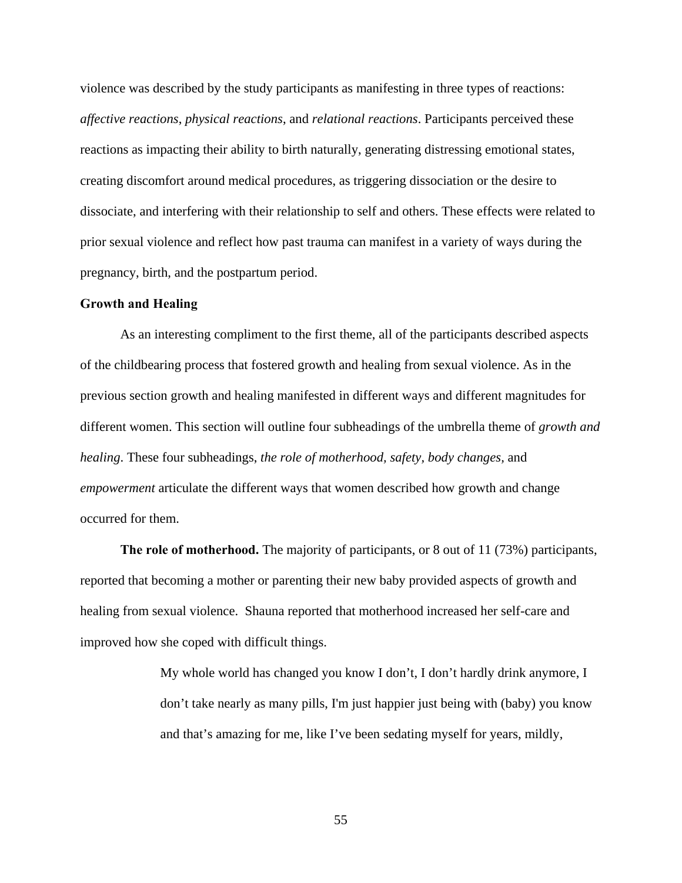violence was described by the study participants as manifesting in three types of reactions: *affective reactions*, *physical reactions*, and *relational reactions*. Participants perceived these reactions as impacting their ability to birth naturally, generating distressing emotional states, creating discomfort around medical procedures, as triggering dissociation or the desire to dissociate, and interfering with their relationship to self and others. These effects were related to prior sexual violence and reflect how past trauma can manifest in a variety of ways during the pregnancy, birth, and the postpartum period.

#### **Growth and Healing**

As an interesting compliment to the first theme, all of the participants described aspects of the childbearing process that fostered growth and healing from sexual violence. As in the previous section growth and healing manifested in different ways and different magnitudes for different women. This section will outline four subheadings of the umbrella theme of *growth and healing*. These four subheadings, *the role of motherhood, safety, body changes,* and *empowerment* articulate the different ways that women described how growth and change occurred for them.

**The role of motherhood.** The majority of participants, or 8 out of 11 (73%) participants, reported that becoming a mother or parenting their new baby provided aspects of growth and healing from sexual violence. Shauna reported that motherhood increased her self-care and improved how she coped with difficult things.

> My whole world has changed you know I don't, I don't hardly drink anymore, I don't take nearly as many pills, I'm just happier just being with (baby) you know and that's amazing for me, like I've been sedating myself for years, mildly,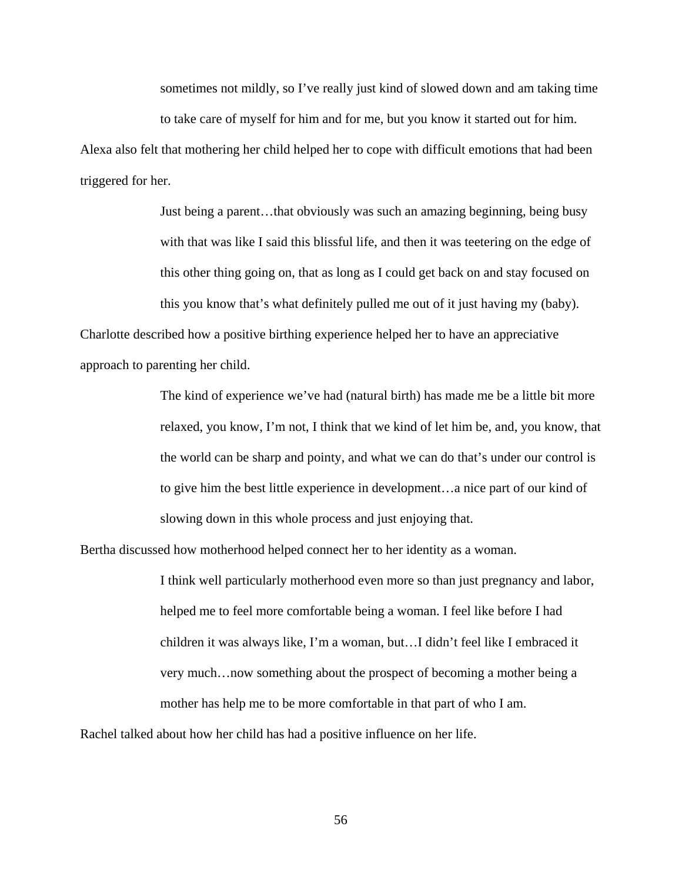sometimes not mildly, so I've really just kind of slowed down and am taking time

to take care of myself for him and for me, but you know it started out for him.

Alexa also felt that mothering her child helped her to cope with difficult emotions that had been triggered for her.

Just being a parent…that obviously was such an amazing beginning, being busy with that was like I said this blissful life, and then it was teetering on the edge of this other thing going on, that as long as I could get back on and stay focused on this you know that's what definitely pulled me out of it just having my (baby). Charlotte described how a positive birthing experience helped her to have an appreciative approach to parenting her child.

> The kind of experience we've had (natural birth) has made me be a little bit more relaxed, you know, I'm not, I think that we kind of let him be, and, you know, that the world can be sharp and pointy, and what we can do that's under our control is to give him the best little experience in development…a nice part of our kind of slowing down in this whole process and just enjoying that.

Bertha discussed how motherhood helped connect her to her identity as a woman.

I think well particularly motherhood even more so than just pregnancy and labor, helped me to feel more comfortable being a woman. I feel like before I had children it was always like, I'm a woman, but…I didn't feel like I embraced it very much…now something about the prospect of becoming a mother being a mother has help me to be more comfortable in that part of who I am.

Rachel talked about how her child has had a positive influence on her life.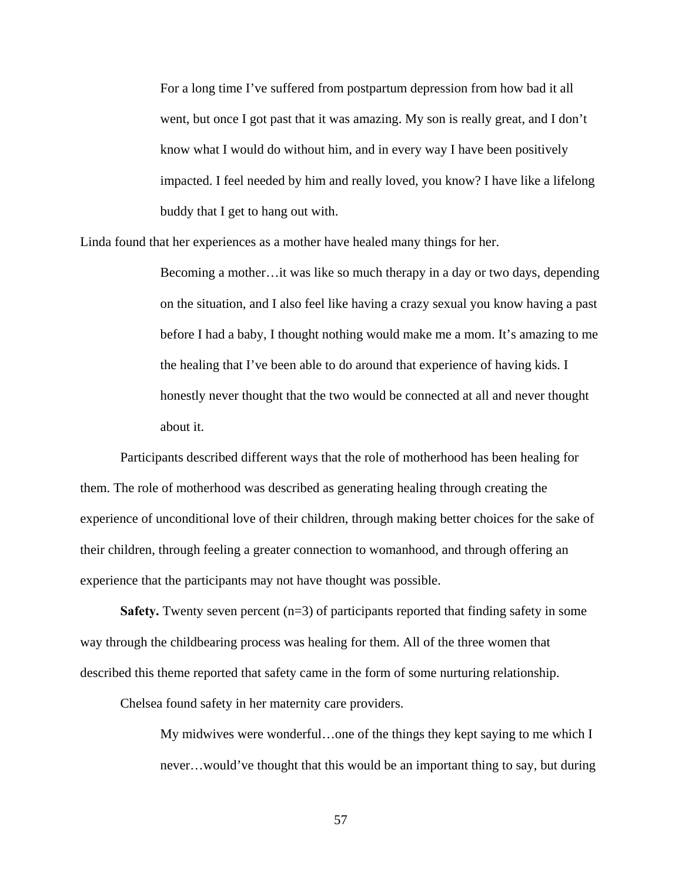For a long time I've suffered from postpartum depression from how bad it all went, but once I got past that it was amazing. My son is really great, and I don't know what I would do without him, and in every way I have been positively impacted. I feel needed by him and really loved, you know? I have like a lifelong buddy that I get to hang out with.

Linda found that her experiences as a mother have healed many things for her.

Becoming a mother…it was like so much therapy in a day or two days, depending on the situation, and I also feel like having a crazy sexual you know having a past before I had a baby, I thought nothing would make me a mom. It's amazing to me the healing that I've been able to do around that experience of having kids. I honestly never thought that the two would be connected at all and never thought about it.

Participants described different ways that the role of motherhood has been healing for them. The role of motherhood was described as generating healing through creating the experience of unconditional love of their children, through making better choices for the sake of their children, through feeling a greater connection to womanhood, and through offering an experience that the participants may not have thought was possible.

**Safety.** Twenty seven percent (n=3) of participants reported that finding safety in some way through the childbearing process was healing for them. All of the three women that described this theme reported that safety came in the form of some nurturing relationship.

Chelsea found safety in her maternity care providers.

My midwives were wonderful…one of the things they kept saying to me which I never…would've thought that this would be an important thing to say, but during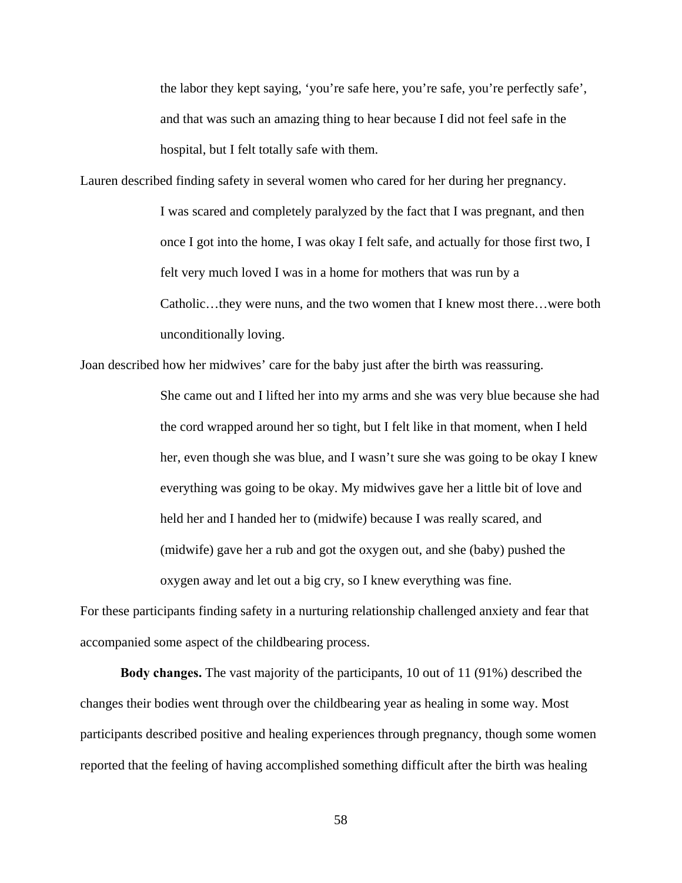the labor they kept saying, 'you're safe here, you're safe, you're perfectly safe', and that was such an amazing thing to hear because I did not feel safe in the hospital, but I felt totally safe with them.

Lauren described finding safety in several women who cared for her during her pregnancy. I was scared and completely paralyzed by the fact that I was pregnant, and then once I got into the home, I was okay I felt safe, and actually for those first two, I felt very much loved I was in a home for mothers that was run by a Catholic…they were nuns, and the two women that I knew most there…were both unconditionally loving.

Joan described how her midwives' care for the baby just after the birth was reassuring.

She came out and I lifted her into my arms and she was very blue because she had the cord wrapped around her so tight, but I felt like in that moment, when I held her, even though she was blue, and I wasn't sure she was going to be okay I knew everything was going to be okay. My midwives gave her a little bit of love and held her and I handed her to (midwife) because I was really scared, and (midwife) gave her a rub and got the oxygen out, and she (baby) pushed the oxygen away and let out a big cry, so I knew everything was fine.

For these participants finding safety in a nurturing relationship challenged anxiety and fear that accompanied some aspect of the childbearing process.

**Body changes.** The vast majority of the participants, 10 out of 11 (91%) described the changes their bodies went through over the childbearing year as healing in some way. Most participants described positive and healing experiences through pregnancy, though some women reported that the feeling of having accomplished something difficult after the birth was healing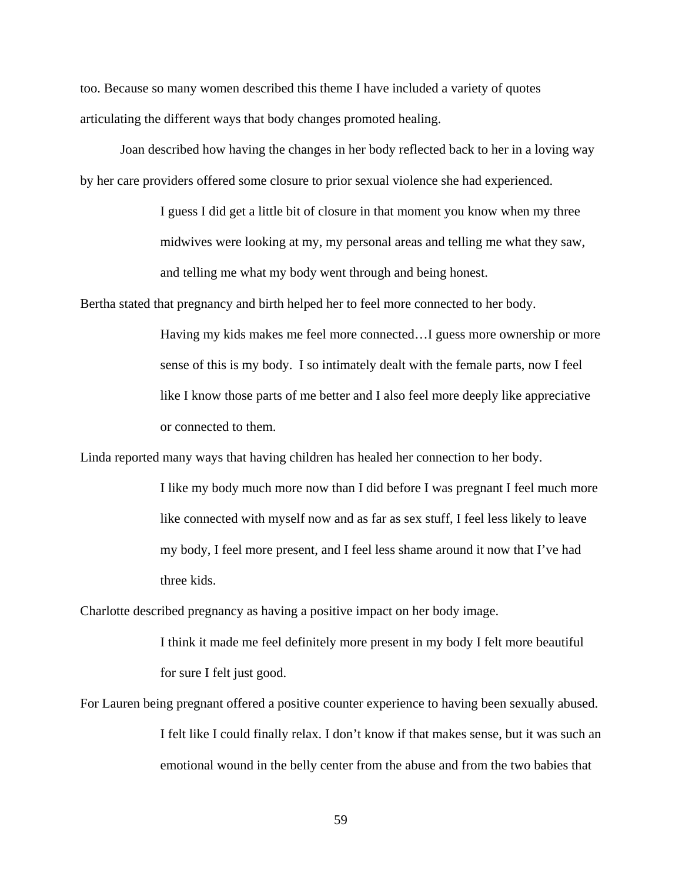too. Because so many women described this theme I have included a variety of quotes articulating the different ways that body changes promoted healing.

Joan described how having the changes in her body reflected back to her in a loving way by her care providers offered some closure to prior sexual violence she had experienced.

> I guess I did get a little bit of closure in that moment you know when my three midwives were looking at my, my personal areas and telling me what they saw, and telling me what my body went through and being honest.

Bertha stated that pregnancy and birth helped her to feel more connected to her body.

Having my kids makes me feel more connected…I guess more ownership or more sense of this is my body. I so intimately dealt with the female parts, now I feel like I know those parts of me better and I also feel more deeply like appreciative or connected to them.

Linda reported many ways that having children has healed her connection to her body.

I like my body much more now than I did before I was pregnant I feel much more like connected with myself now and as far as sex stuff, I feel less likely to leave my body, I feel more present, and I feel less shame around it now that I've had three kids.

Charlotte described pregnancy as having a positive impact on her body image.

I think it made me feel definitely more present in my body I felt more beautiful for sure I felt just good.

For Lauren being pregnant offered a positive counter experience to having been sexually abused. I felt like I could finally relax. I don't know if that makes sense, but it was such an emotional wound in the belly center from the abuse and from the two babies that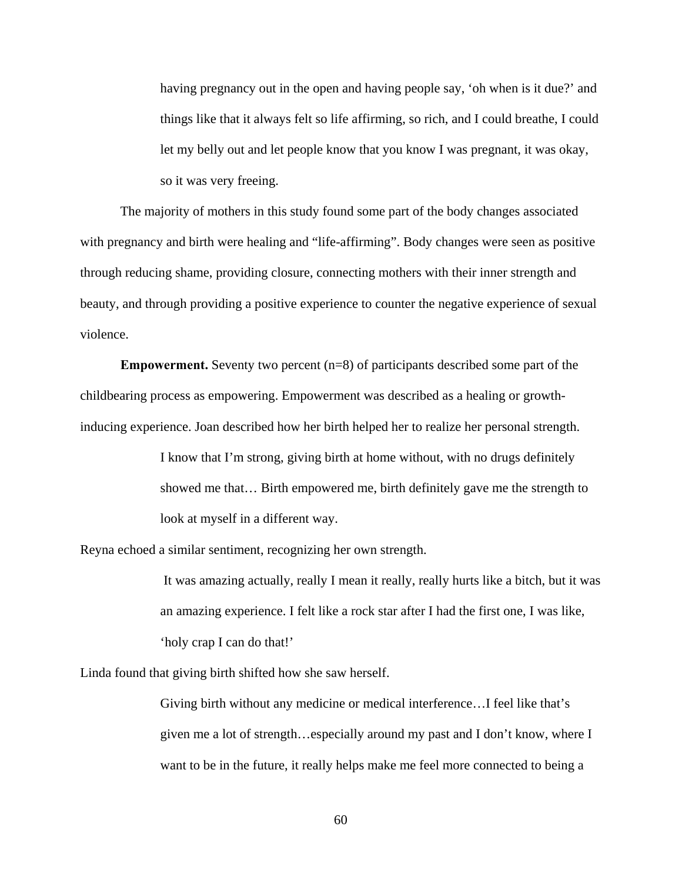having pregnancy out in the open and having people say, 'oh when is it due?' and things like that it always felt so life affirming, so rich, and I could breathe, I could let my belly out and let people know that you know I was pregnant, it was okay, so it was very freeing.

The majority of mothers in this study found some part of the body changes associated with pregnancy and birth were healing and "life-affirming". Body changes were seen as positive through reducing shame, providing closure, connecting mothers with their inner strength and beauty, and through providing a positive experience to counter the negative experience of sexual violence.

**Empowerment.** Seventy two percent (n=8) of participants described some part of the childbearing process as empowering. Empowerment was described as a healing or growthinducing experience. Joan described how her birth helped her to realize her personal strength.

> I know that I'm strong, giving birth at home without, with no drugs definitely showed me that… Birth empowered me, birth definitely gave me the strength to look at myself in a different way.

Reyna echoed a similar sentiment, recognizing her own strength.

 It was amazing actually, really I mean it really, really hurts like a bitch, but it was an amazing experience. I felt like a rock star after I had the first one, I was like, 'holy crap I can do that!'

Linda found that giving birth shifted how she saw herself.

Giving birth without any medicine or medical interference…I feel like that's given me a lot of strength…especially around my past and I don't know, where I want to be in the future, it really helps make me feel more connected to being a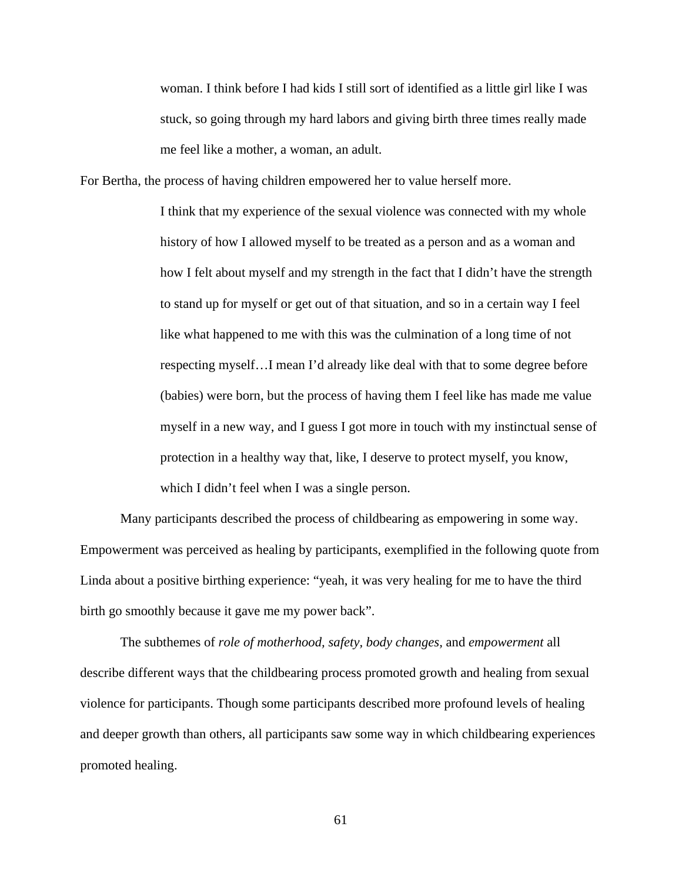woman. I think before I had kids I still sort of identified as a little girl like I was stuck, so going through my hard labors and giving birth three times really made me feel like a mother, a woman, an adult.

For Bertha, the process of having children empowered her to value herself more.

I think that my experience of the sexual violence was connected with my whole history of how I allowed myself to be treated as a person and as a woman and how I felt about myself and my strength in the fact that I didn't have the strength to stand up for myself or get out of that situation, and so in a certain way I feel like what happened to me with this was the culmination of a long time of not respecting myself…I mean I'd already like deal with that to some degree before (babies) were born, but the process of having them I feel like has made me value myself in a new way, and I guess I got more in touch with my instinctual sense of protection in a healthy way that, like, I deserve to protect myself, you know, which I didn't feel when I was a single person.

Many participants described the process of childbearing as empowering in some way. Empowerment was perceived as healing by participants, exemplified in the following quote from Linda about a positive birthing experience: "yeah, it was very healing for me to have the third birth go smoothly because it gave me my power back".

The subthemes of *role of motherhood, safety, body changes,* and *empowerment* all describe different ways that the childbearing process promoted growth and healing from sexual violence for participants. Though some participants described more profound levels of healing and deeper growth than others, all participants saw some way in which childbearing experiences promoted healing.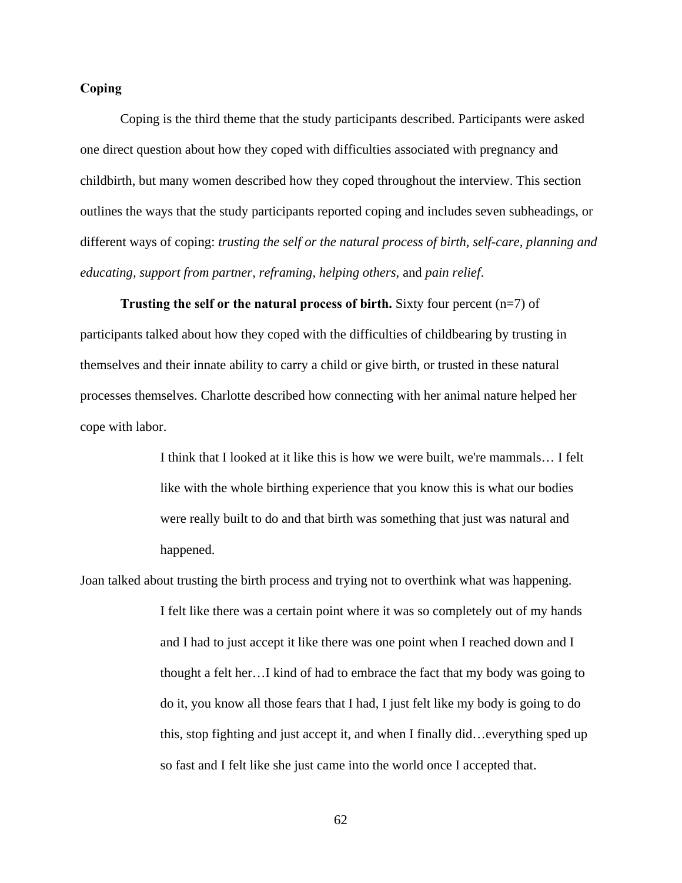## **Coping**

Coping is the third theme that the study participants described. Participants were asked one direct question about how they coped with difficulties associated with pregnancy and childbirth, but many women described how they coped throughout the interview. This section outlines the ways that the study participants reported coping and includes seven subheadings, or different ways of coping: *trusting the self or the natural process of birth, self-care, planning and educating, support from partner, reframing, helping others,* and *pain relief*.

**Trusting the self or the natural process of birth.** Sixty four percent (n=7) of participants talked about how they coped with the difficulties of childbearing by trusting in themselves and their innate ability to carry a child or give birth, or trusted in these natural processes themselves. Charlotte described how connecting with her animal nature helped her cope with labor.

> I think that I looked at it like this is how we were built, we're mammals… I felt like with the whole birthing experience that you know this is what our bodies were really built to do and that birth was something that just was natural and happened.

Joan talked about trusting the birth process and trying not to overthink what was happening.

I felt like there was a certain point where it was so completely out of my hands and I had to just accept it like there was one point when I reached down and I thought a felt her…I kind of had to embrace the fact that my body was going to do it, you know all those fears that I had, I just felt like my body is going to do this, stop fighting and just accept it, and when I finally did…everything sped up so fast and I felt like she just came into the world once I accepted that.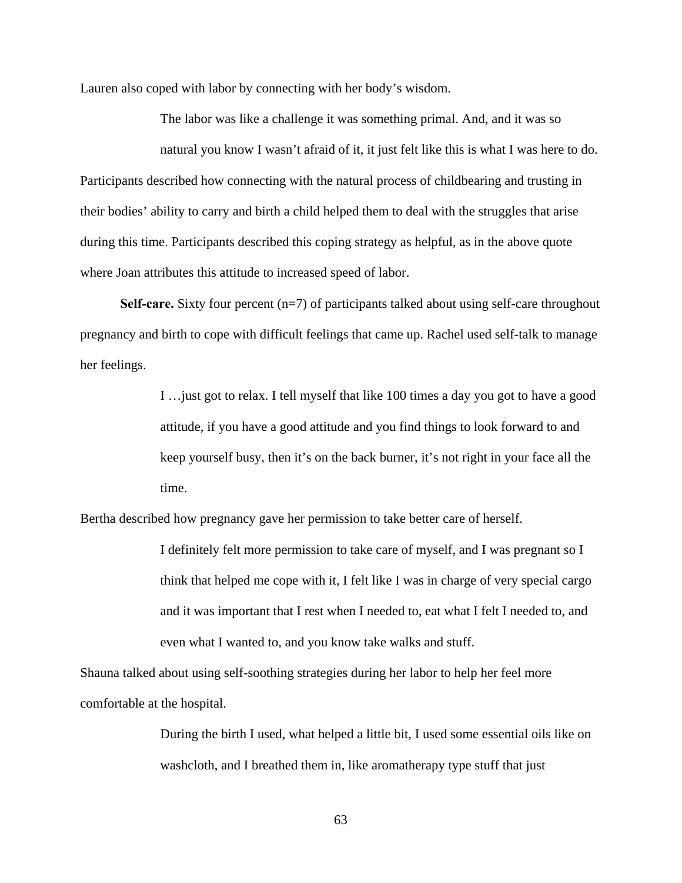Lauren also coped with labor by connecting with her body's wisdom.

The labor was like a challenge it was something primal. And, and it was so natural you know I wasn't afraid of it, it just felt like this is what I was here to do. Participants described how connecting with the natural process of childbearing and trusting in their bodies' ability to carry and birth a child helped them to deal with the struggles that arise during this time. Participants described this coping strategy as helpful, as in the above quote where Joan attributes this attitude to increased speed of labor.

**Self-care.** Sixty four percent (n=7) of participants talked about using self-care throughout pregnancy and birth to cope with difficult feelings that came up. Rachel used self-talk to manage her feelings.

> I …just got to relax. I tell myself that like 100 times a day you got to have a good attitude, if you have a good attitude and you find things to look forward to and keep yourself busy, then it's on the back burner, it's not right in your face all the time.

Bertha described how pregnancy gave her permission to take better care of herself.

I definitely felt more permission to take care of myself, and I was pregnant so I think that helped me cope with it, I felt like I was in charge of very special cargo and it was important that I rest when I needed to, eat what I felt I needed to, and even what I wanted to, and you know take walks and stuff.

Shauna talked about using self-soothing strategies during her labor to help her feel more comfortable at the hospital.

> During the birth I used, what helped a little bit, I used some essential oils like on washcloth, and I breathed them in, like aromatherapy type stuff that just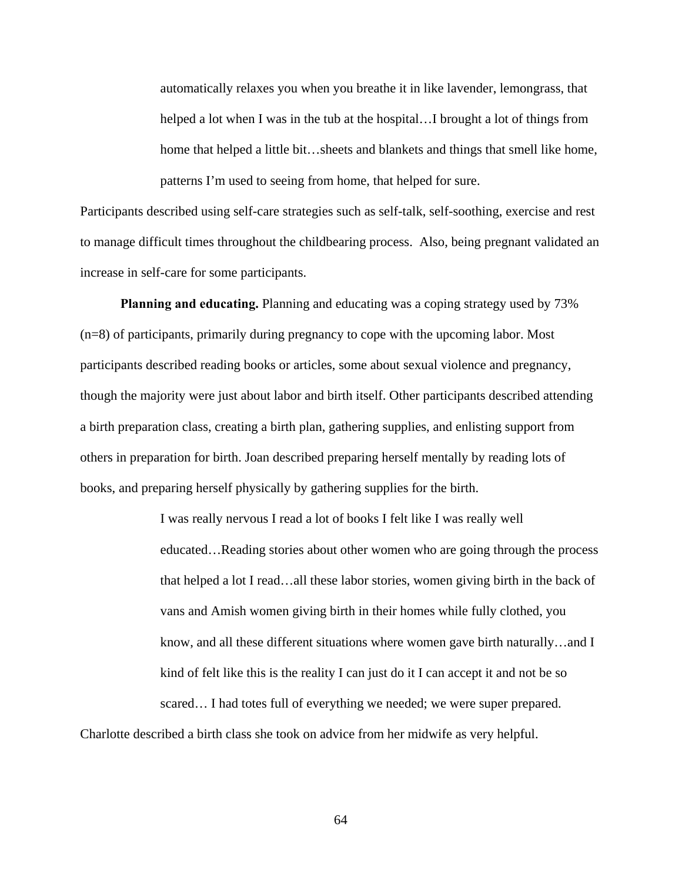automatically relaxes you when you breathe it in like lavender, lemongrass, that helped a lot when I was in the tub at the hospital…I brought a lot of things from home that helped a little bit...sheets and blankets and things that smell like home, patterns I'm used to seeing from home, that helped for sure.

Participants described using self-care strategies such as self-talk, self-soothing, exercise and rest to manage difficult times throughout the childbearing process. Also, being pregnant validated an increase in self-care for some participants.

**Planning and educating.** Planning and educating was a coping strategy used by 73% (n=8) of participants, primarily during pregnancy to cope with the upcoming labor. Most participants described reading books or articles, some about sexual violence and pregnancy, though the majority were just about labor and birth itself. Other participants described attending a birth preparation class, creating a birth plan, gathering supplies, and enlisting support from others in preparation for birth. Joan described preparing herself mentally by reading lots of books, and preparing herself physically by gathering supplies for the birth.

> I was really nervous I read a lot of books I felt like I was really well educated…Reading stories about other women who are going through the process that helped a lot I read…all these labor stories, women giving birth in the back of vans and Amish women giving birth in their homes while fully clothed, you know, and all these different situations where women gave birth naturally…and I kind of felt like this is the reality I can just do it I can accept it and not be so scared… I had totes full of everything we needed; we were super prepared.

Charlotte described a birth class she took on advice from her midwife as very helpful.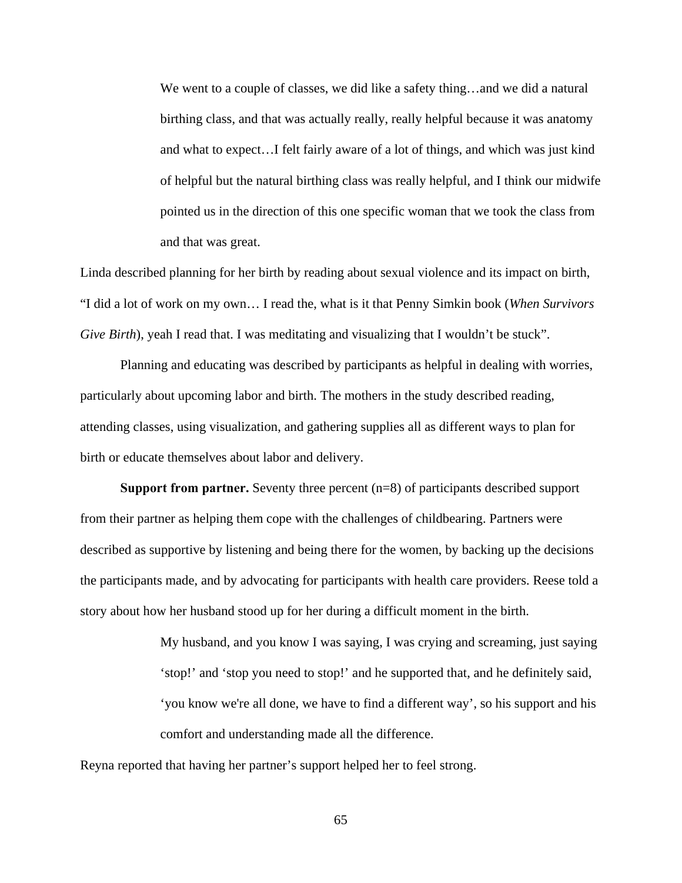We went to a couple of classes, we did like a safety thing…and we did a natural birthing class, and that was actually really, really helpful because it was anatomy and what to expect…I felt fairly aware of a lot of things, and which was just kind of helpful but the natural birthing class was really helpful, and I think our midwife pointed us in the direction of this one specific woman that we took the class from and that was great.

Linda described planning for her birth by reading about sexual violence and its impact on birth, "I did a lot of work on my own… I read the, what is it that Penny Simkin book (*When Survivors Give Birth*), yeah I read that. I was meditating and visualizing that I wouldn't be stuck".

Planning and educating was described by participants as helpful in dealing with worries, particularly about upcoming labor and birth. The mothers in the study described reading, attending classes, using visualization, and gathering supplies all as different ways to plan for birth or educate themselves about labor and delivery.

**Support from partner.** Seventy three percent (n=8) of participants described support from their partner as helping them cope with the challenges of childbearing. Partners were described as supportive by listening and being there for the women, by backing up the decisions the participants made, and by advocating for participants with health care providers. Reese told a story about how her husband stood up for her during a difficult moment in the birth.

> My husband, and you know I was saying, I was crying and screaming, just saying 'stop!' and 'stop you need to stop!' and he supported that, and he definitely said, 'you know we're all done, we have to find a different way', so his support and his comfort and understanding made all the difference.

Reyna reported that having her partner's support helped her to feel strong.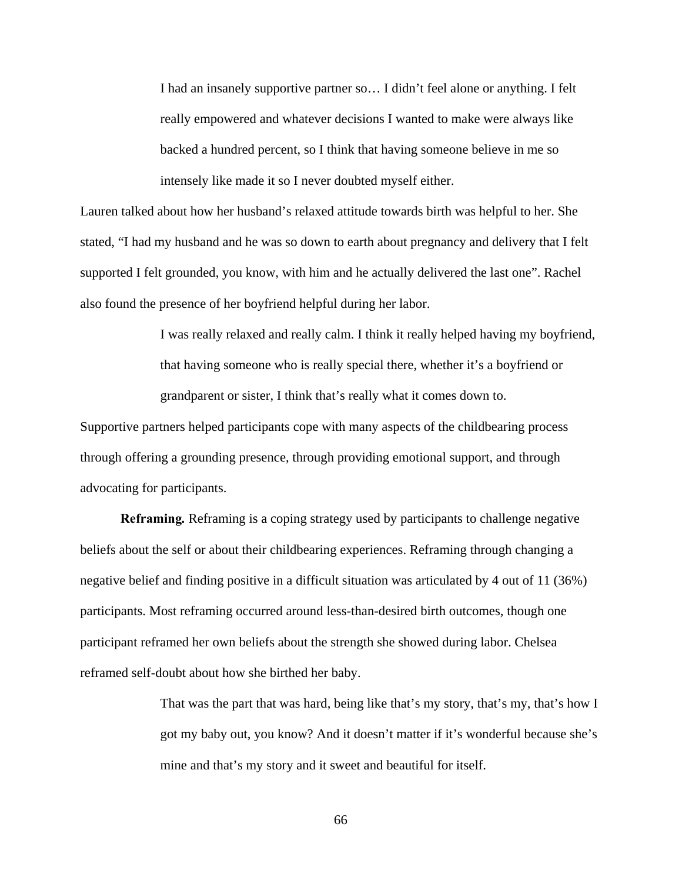I had an insanely supportive partner so… I didn't feel alone or anything. I felt really empowered and whatever decisions I wanted to make were always like backed a hundred percent, so I think that having someone believe in me so intensely like made it so I never doubted myself either.

Lauren talked about how her husband's relaxed attitude towards birth was helpful to her. She stated, "I had my husband and he was so down to earth about pregnancy and delivery that I felt supported I felt grounded, you know, with him and he actually delivered the last one". Rachel also found the presence of her boyfriend helpful during her labor.

> I was really relaxed and really calm. I think it really helped having my boyfriend, that having someone who is really special there, whether it's a boyfriend or grandparent or sister, I think that's really what it comes down to.

Supportive partners helped participants cope with many aspects of the childbearing process through offering a grounding presence, through providing emotional support, and through advocating for participants.

**Reframing***.* Reframing is a coping strategy used by participants to challenge negative beliefs about the self or about their childbearing experiences. Reframing through changing a negative belief and finding positive in a difficult situation was articulated by 4 out of 11 (36%) participants. Most reframing occurred around less-than-desired birth outcomes, though one participant reframed her own beliefs about the strength she showed during labor. Chelsea reframed self-doubt about how she birthed her baby.

> That was the part that was hard, being like that's my story, that's my, that's how I got my baby out, you know? And it doesn't matter if it's wonderful because she's mine and that's my story and it sweet and beautiful for itself.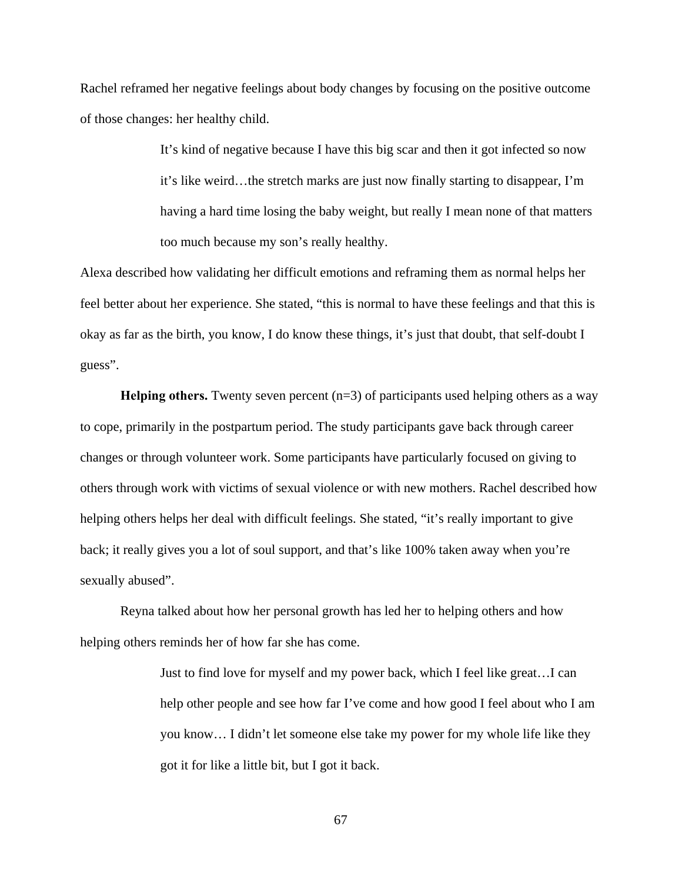Rachel reframed her negative feelings about body changes by focusing on the positive outcome of those changes: her healthy child.

> It's kind of negative because I have this big scar and then it got infected so now it's like weird…the stretch marks are just now finally starting to disappear, I'm having a hard time losing the baby weight, but really I mean none of that matters too much because my son's really healthy.

Alexa described how validating her difficult emotions and reframing them as normal helps her feel better about her experience. She stated, "this is normal to have these feelings and that this is okay as far as the birth, you know, I do know these things, it's just that doubt, that self-doubt I guess".

**Helping others.** Twenty seven percent  $(n=3)$  of participants used helping others as a way to cope, primarily in the postpartum period. The study participants gave back through career changes or through volunteer work. Some participants have particularly focused on giving to others through work with victims of sexual violence or with new mothers. Rachel described how helping others helps her deal with difficult feelings. She stated, "it's really important to give back; it really gives you a lot of soul support, and that's like 100% taken away when you're sexually abused".

Reyna talked about how her personal growth has led her to helping others and how helping others reminds her of how far she has come.

> Just to find love for myself and my power back, which I feel like great…I can help other people and see how far I've come and how good I feel about who I am you know… I didn't let someone else take my power for my whole life like they got it for like a little bit, but I got it back.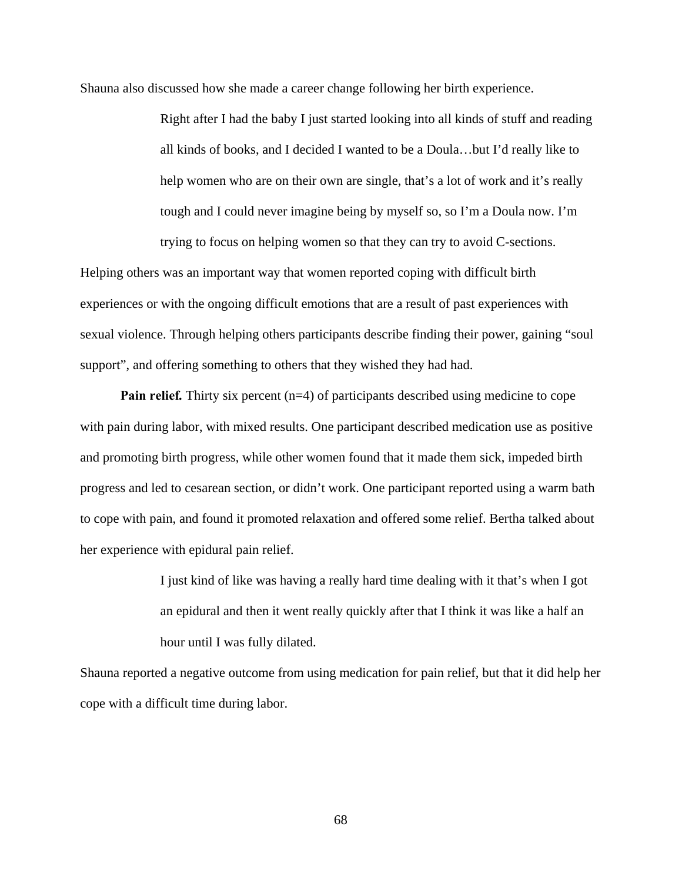Shauna also discussed how she made a career change following her birth experience.

Right after I had the baby I just started looking into all kinds of stuff and reading all kinds of books, and I decided I wanted to be a Doula…but I'd really like to help women who are on their own are single, that's a lot of work and it's really tough and I could never imagine being by myself so, so I'm a Doula now. I'm trying to focus on helping women so that they can try to avoid C-sections.

Helping others was an important way that women reported coping with difficult birth experiences or with the ongoing difficult emotions that are a result of past experiences with sexual violence. Through helping others participants describe finding their power, gaining "soul support", and offering something to others that they wished they had had.

**Pain relief.** Thirty six percent (n=4) of participants described using medicine to cope with pain during labor, with mixed results. One participant described medication use as positive and promoting birth progress, while other women found that it made them sick, impeded birth progress and led to cesarean section, or didn't work. One participant reported using a warm bath to cope with pain, and found it promoted relaxation and offered some relief. Bertha talked about her experience with epidural pain relief.

> I just kind of like was having a really hard time dealing with it that's when I got an epidural and then it went really quickly after that I think it was like a half an hour until I was fully dilated.

Shauna reported a negative outcome from using medication for pain relief, but that it did help her cope with a difficult time during labor.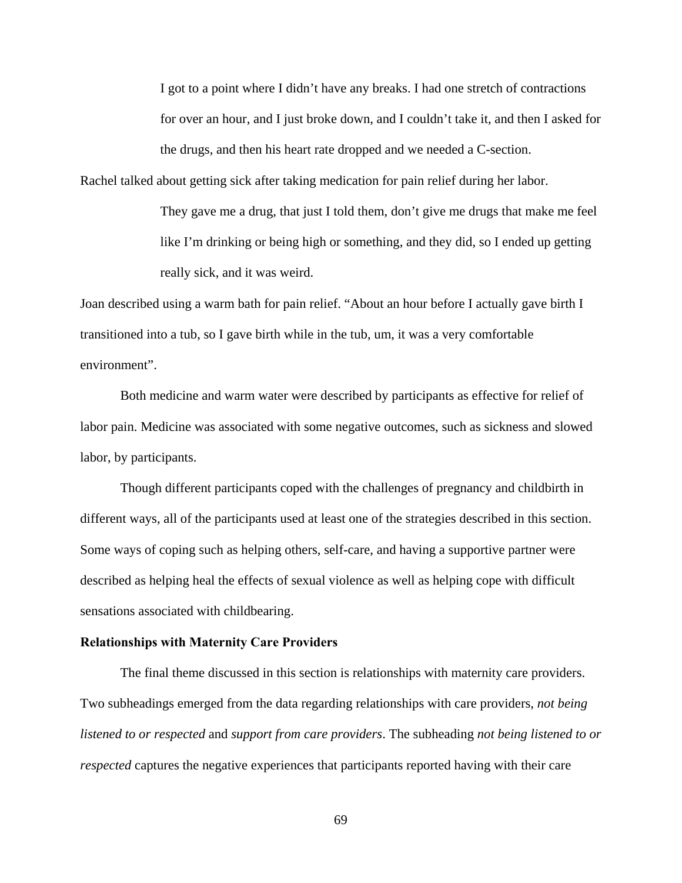I got to a point where I didn't have any breaks. I had one stretch of contractions for over an hour, and I just broke down, and I couldn't take it, and then I asked for the drugs, and then his heart rate dropped and we needed a C-section.

Rachel talked about getting sick after taking medication for pain relief during her labor.

They gave me a drug, that just I told them, don't give me drugs that make me feel like I'm drinking or being high or something, and they did, so I ended up getting really sick, and it was weird.

Joan described using a warm bath for pain relief. "About an hour before I actually gave birth I transitioned into a tub, so I gave birth while in the tub, um, it was a very comfortable environment".

Both medicine and warm water were described by participants as effective for relief of labor pain. Medicine was associated with some negative outcomes, such as sickness and slowed labor, by participants.

Though different participants coped with the challenges of pregnancy and childbirth in different ways, all of the participants used at least one of the strategies described in this section. Some ways of coping such as helping others, self-care, and having a supportive partner were described as helping heal the effects of sexual violence as well as helping cope with difficult sensations associated with childbearing.

### **Relationships with Maternity Care Providers**

The final theme discussed in this section is relationships with maternity care providers. Two subheadings emerged from the data regarding relationships with care providers, *not being listened to or respected* and *support from care providers*. The subheading *not being listened to or respected* captures the negative experiences that participants reported having with their care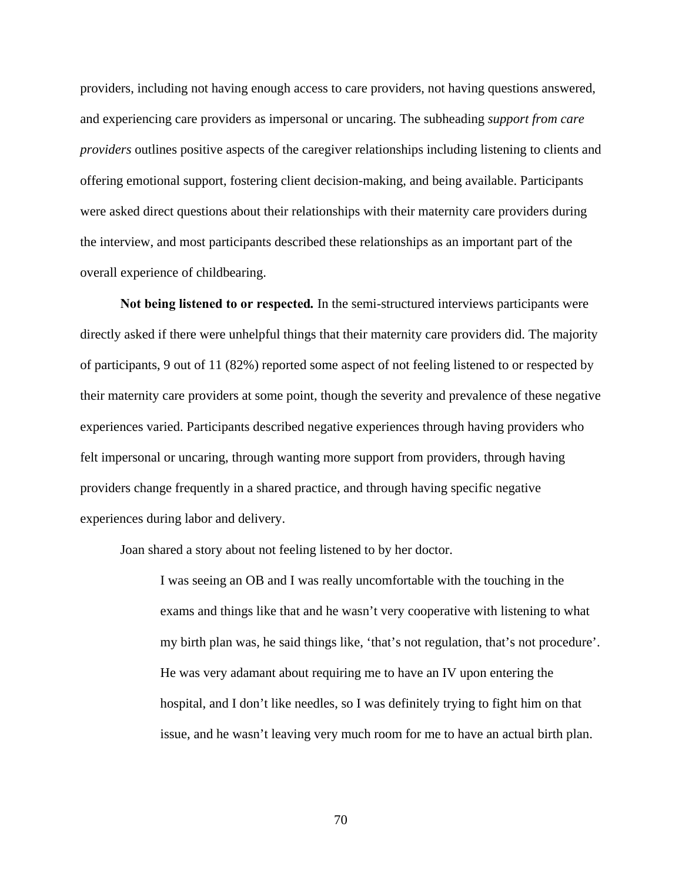providers, including not having enough access to care providers, not having questions answered, and experiencing care providers as impersonal or uncaring. The subheading *support from care providers* outlines positive aspects of the caregiver relationships including listening to clients and offering emotional support, fostering client decision-making, and being available. Participants were asked direct questions about their relationships with their maternity care providers during the interview, and most participants described these relationships as an important part of the overall experience of childbearing.

**Not being listened to or respected***.* In the semi-structured interviews participants were directly asked if there were unhelpful things that their maternity care providers did. The majority of participants, 9 out of 11 (82%) reported some aspect of not feeling listened to or respected by their maternity care providers at some point, though the severity and prevalence of these negative experiences varied. Participants described negative experiences through having providers who felt impersonal or uncaring, through wanting more support from providers, through having providers change frequently in a shared practice, and through having specific negative experiences during labor and delivery.

Joan shared a story about not feeling listened to by her doctor.

I was seeing an OB and I was really uncomfortable with the touching in the exams and things like that and he wasn't very cooperative with listening to what my birth plan was, he said things like, 'that's not regulation, that's not procedure'. He was very adamant about requiring me to have an IV upon entering the hospital, and I don't like needles, so I was definitely trying to fight him on that issue, and he wasn't leaving very much room for me to have an actual birth plan.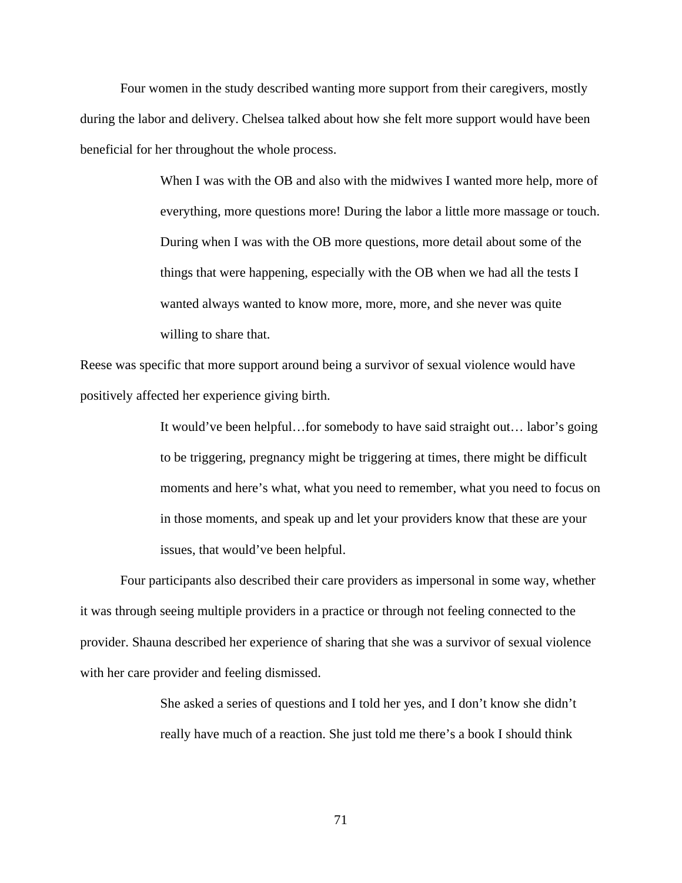Four women in the study described wanting more support from their caregivers, mostly during the labor and delivery. Chelsea talked about how she felt more support would have been beneficial for her throughout the whole process.

> When I was with the OB and also with the midwives I wanted more help, more of everything, more questions more! During the labor a little more massage or touch. During when I was with the OB more questions, more detail about some of the things that were happening, especially with the OB when we had all the tests I wanted always wanted to know more, more, more, and she never was quite willing to share that.

Reese was specific that more support around being a survivor of sexual violence would have positively affected her experience giving birth.

> It would've been helpful…for somebody to have said straight out… labor's going to be triggering, pregnancy might be triggering at times, there might be difficult moments and here's what, what you need to remember, what you need to focus on in those moments, and speak up and let your providers know that these are your issues, that would've been helpful.

Four participants also described their care providers as impersonal in some way, whether it was through seeing multiple providers in a practice or through not feeling connected to the provider. Shauna described her experience of sharing that she was a survivor of sexual violence with her care provider and feeling dismissed.

> She asked a series of questions and I told her yes, and I don't know she didn't really have much of a reaction. She just told me there's a book I should think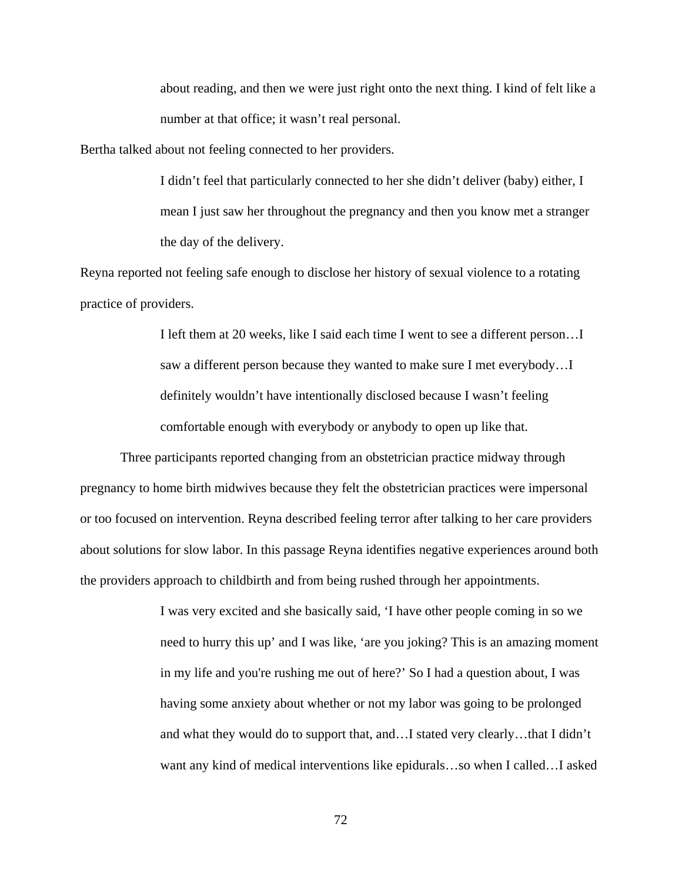about reading, and then we were just right onto the next thing. I kind of felt like a number at that office; it wasn't real personal.

Bertha talked about not feeling connected to her providers.

I didn't feel that particularly connected to her she didn't deliver (baby) either, I mean I just saw her throughout the pregnancy and then you know met a stranger the day of the delivery.

Reyna reported not feeling safe enough to disclose her history of sexual violence to a rotating practice of providers.

> I left them at 20 weeks, like I said each time I went to see a different person…I saw a different person because they wanted to make sure I met everybody…I definitely wouldn't have intentionally disclosed because I wasn't feeling comfortable enough with everybody or anybody to open up like that.

Three participants reported changing from an obstetrician practice midway through pregnancy to home birth midwives because they felt the obstetrician practices were impersonal or too focused on intervention. Reyna described feeling terror after talking to her care providers about solutions for slow labor. In this passage Reyna identifies negative experiences around both the providers approach to childbirth and from being rushed through her appointments.

> I was very excited and she basically said, 'I have other people coming in so we need to hurry this up' and I was like, 'are you joking? This is an amazing moment in my life and you're rushing me out of here?' So I had a question about, I was having some anxiety about whether or not my labor was going to be prolonged and what they would do to support that, and…I stated very clearly…that I didn't want any kind of medical interventions like epidurals…so when I called…I asked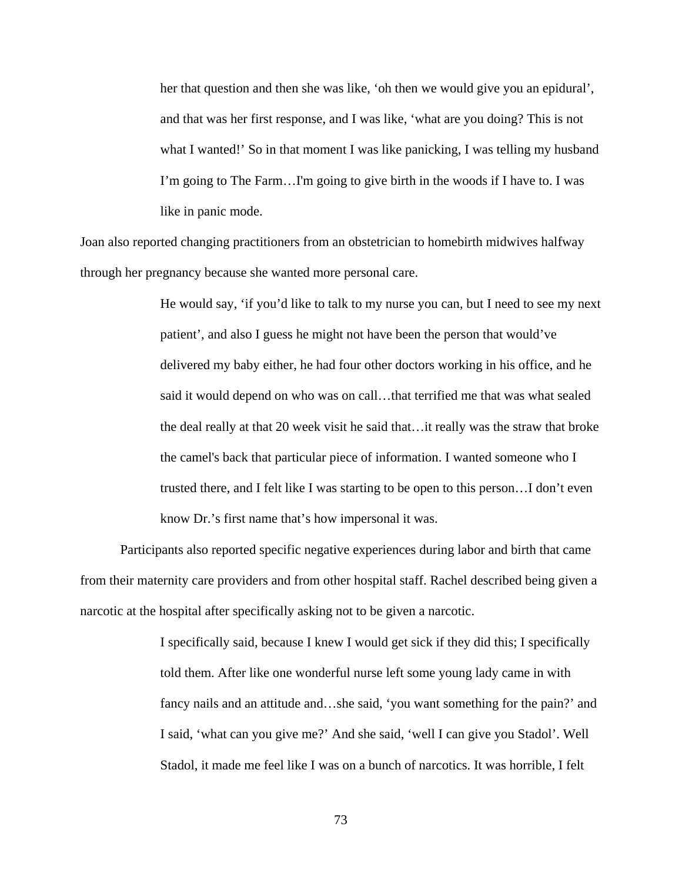her that question and then she was like, 'oh then we would give you an epidural', and that was her first response, and I was like, 'what are you doing? This is not what I wanted!' So in that moment I was like panicking, I was telling my husband I'm going to The Farm…I'm going to give birth in the woods if I have to. I was like in panic mode.

Joan also reported changing practitioners from an obstetrician to homebirth midwives halfway through her pregnancy because she wanted more personal care.

> He would say, 'if you'd like to talk to my nurse you can, but I need to see my next patient', and also I guess he might not have been the person that would've delivered my baby either, he had four other doctors working in his office, and he said it would depend on who was on call…that terrified me that was what sealed the deal really at that 20 week visit he said that…it really was the straw that broke the camel's back that particular piece of information. I wanted someone who I trusted there, and I felt like I was starting to be open to this person…I don't even know Dr.'s first name that's how impersonal it was.

Participants also reported specific negative experiences during labor and birth that came from their maternity care providers and from other hospital staff. Rachel described being given a narcotic at the hospital after specifically asking not to be given a narcotic.

> I specifically said, because I knew I would get sick if they did this; I specifically told them. After like one wonderful nurse left some young lady came in with fancy nails and an attitude and…she said, 'you want something for the pain?' and I said, 'what can you give me?' And she said, 'well I can give you Stadol'. Well Stadol, it made me feel like I was on a bunch of narcotics. It was horrible, I felt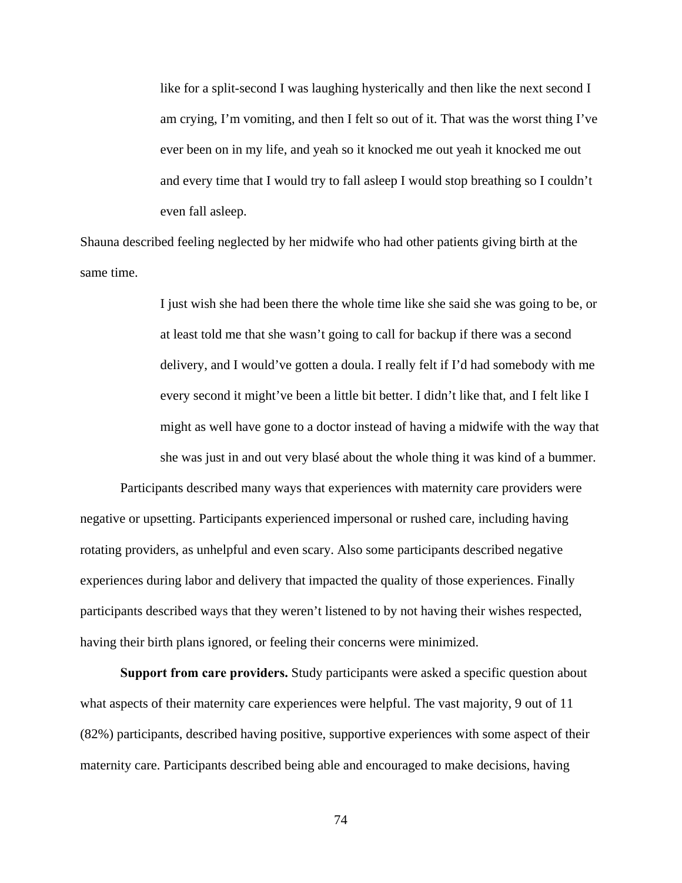like for a split-second I was laughing hysterically and then like the next second I am crying, I'm vomiting, and then I felt so out of it. That was the worst thing I've ever been on in my life, and yeah so it knocked me out yeah it knocked me out and every time that I would try to fall asleep I would stop breathing so I couldn't even fall asleep.

Shauna described feeling neglected by her midwife who had other patients giving birth at the same time.

> I just wish she had been there the whole time like she said she was going to be, or at least told me that she wasn't going to call for backup if there was a second delivery, and I would've gotten a doula. I really felt if I'd had somebody with me every second it might've been a little bit better. I didn't like that, and I felt like I might as well have gone to a doctor instead of having a midwife with the way that she was just in and out very blasé about the whole thing it was kind of a bummer.

Participants described many ways that experiences with maternity care providers were negative or upsetting. Participants experienced impersonal or rushed care, including having rotating providers, as unhelpful and even scary. Also some participants described negative experiences during labor and delivery that impacted the quality of those experiences. Finally participants described ways that they weren't listened to by not having their wishes respected, having their birth plans ignored, or feeling their concerns were minimized.

**Support from care providers.** Study participants were asked a specific question about what aspects of their maternity care experiences were helpful. The vast majority, 9 out of 11 (82%) participants, described having positive, supportive experiences with some aspect of their maternity care. Participants described being able and encouraged to make decisions, having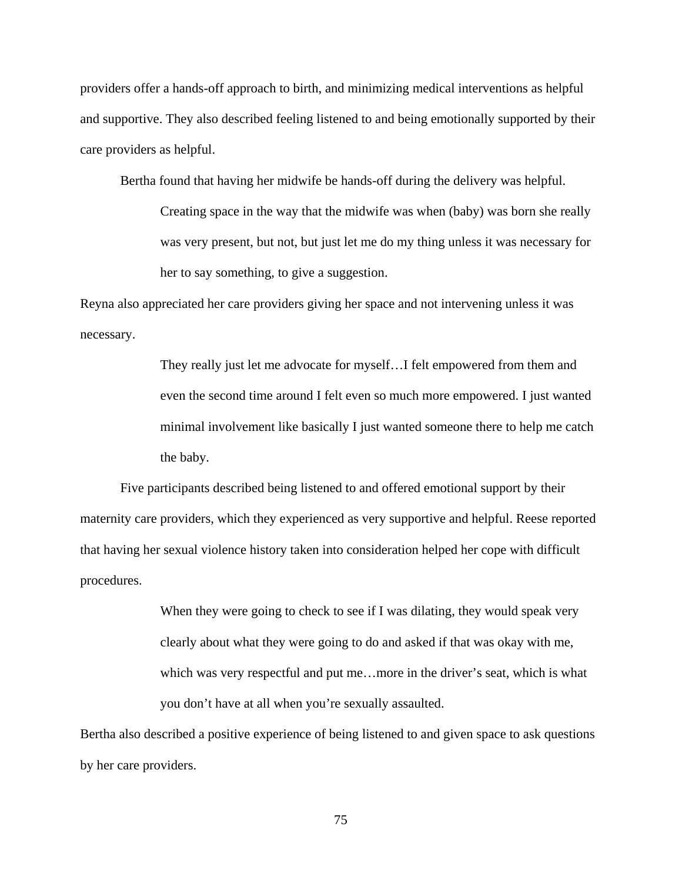providers offer a hands-off approach to birth, and minimizing medical interventions as helpful and supportive. They also described feeling listened to and being emotionally supported by their care providers as helpful.

Bertha found that having her midwife be hands-off during the delivery was helpful.

Creating space in the way that the midwife was when (baby) was born she really was very present, but not, but just let me do my thing unless it was necessary for her to say something, to give a suggestion.

Reyna also appreciated her care providers giving her space and not intervening unless it was necessary.

> They really just let me advocate for myself…I felt empowered from them and even the second time around I felt even so much more empowered. I just wanted minimal involvement like basically I just wanted someone there to help me catch the baby.

Five participants described being listened to and offered emotional support by their maternity care providers, which they experienced as very supportive and helpful. Reese reported that having her sexual violence history taken into consideration helped her cope with difficult procedures.

> When they were going to check to see if I was dilating, they would speak very clearly about what they were going to do and asked if that was okay with me, which was very respectful and put me…more in the driver's seat, which is what you don't have at all when you're sexually assaulted.

Bertha also described a positive experience of being listened to and given space to ask questions by her care providers.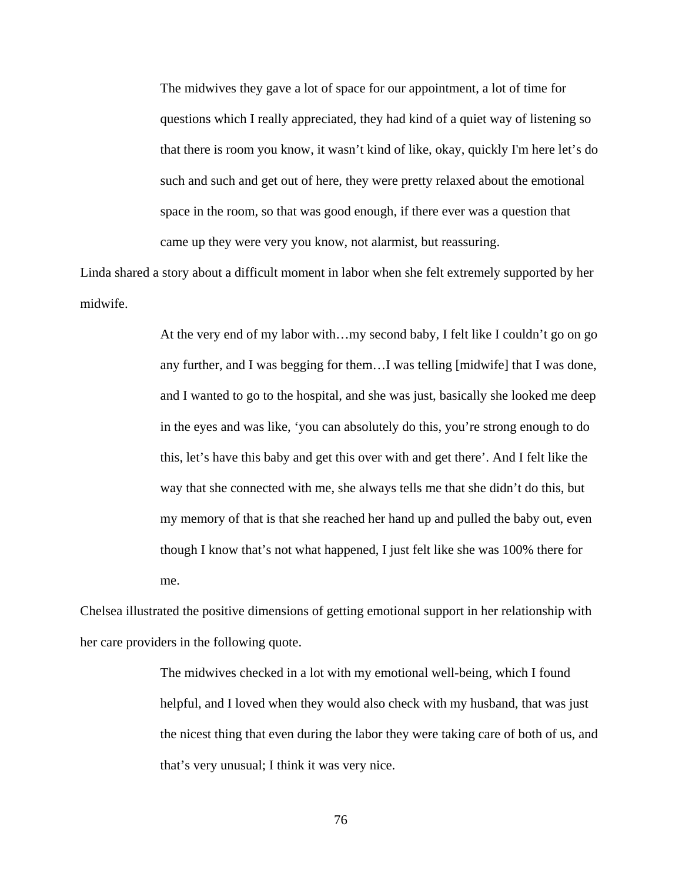The midwives they gave a lot of space for our appointment, a lot of time for questions which I really appreciated, they had kind of a quiet way of listening so that there is room you know, it wasn't kind of like, okay, quickly I'm here let's do such and such and get out of here, they were pretty relaxed about the emotional space in the room, so that was good enough, if there ever was a question that came up they were very you know, not alarmist, but reassuring.

Linda shared a story about a difficult moment in labor when she felt extremely supported by her midwife.

> At the very end of my labor with…my second baby, I felt like I couldn't go on go any further, and I was begging for them…I was telling [midwife] that I was done, and I wanted to go to the hospital, and she was just, basically she looked me deep in the eyes and was like, 'you can absolutely do this, you're strong enough to do this, let's have this baby and get this over with and get there'. And I felt like the way that she connected with me, she always tells me that she didn't do this, but my memory of that is that she reached her hand up and pulled the baby out, even though I know that's not what happened, I just felt like she was 100% there for me.

Chelsea illustrated the positive dimensions of getting emotional support in her relationship with her care providers in the following quote.

> The midwives checked in a lot with my emotional well-being, which I found helpful, and I loved when they would also check with my husband, that was just the nicest thing that even during the labor they were taking care of both of us, and that's very unusual; I think it was very nice.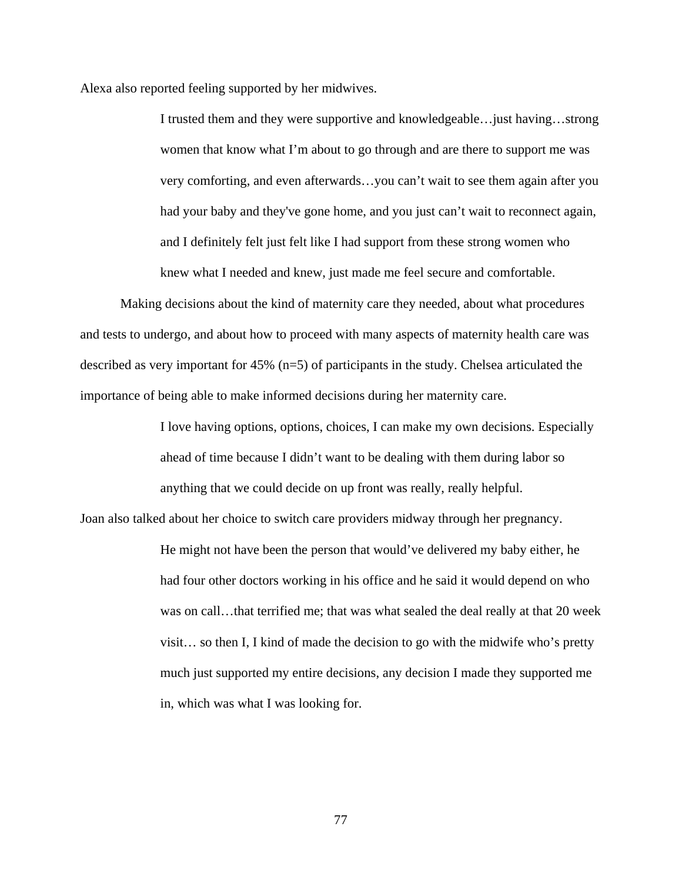Alexa also reported feeling supported by her midwives.

I trusted them and they were supportive and knowledgeable…just having…strong women that know what I'm about to go through and are there to support me was very comforting, and even afterwards…you can't wait to see them again after you had your baby and they've gone home, and you just can't wait to reconnect again, and I definitely felt just felt like I had support from these strong women who knew what I needed and knew, just made me feel secure and comfortable.

Making decisions about the kind of maternity care they needed, about what procedures and tests to undergo, and about how to proceed with many aspects of maternity health care was described as very important for 45% (n=5) of participants in the study. Chelsea articulated the importance of being able to make informed decisions during her maternity care.

> I love having options, options, choices, I can make my own decisions. Especially ahead of time because I didn't want to be dealing with them during labor so anything that we could decide on up front was really, really helpful.

Joan also talked about her choice to switch care providers midway through her pregnancy.

He might not have been the person that would've delivered my baby either, he had four other doctors working in his office and he said it would depend on who was on call…that terrified me; that was what sealed the deal really at that 20 week visit… so then I, I kind of made the decision to go with the midwife who's pretty much just supported my entire decisions, any decision I made they supported me in, which was what I was looking for.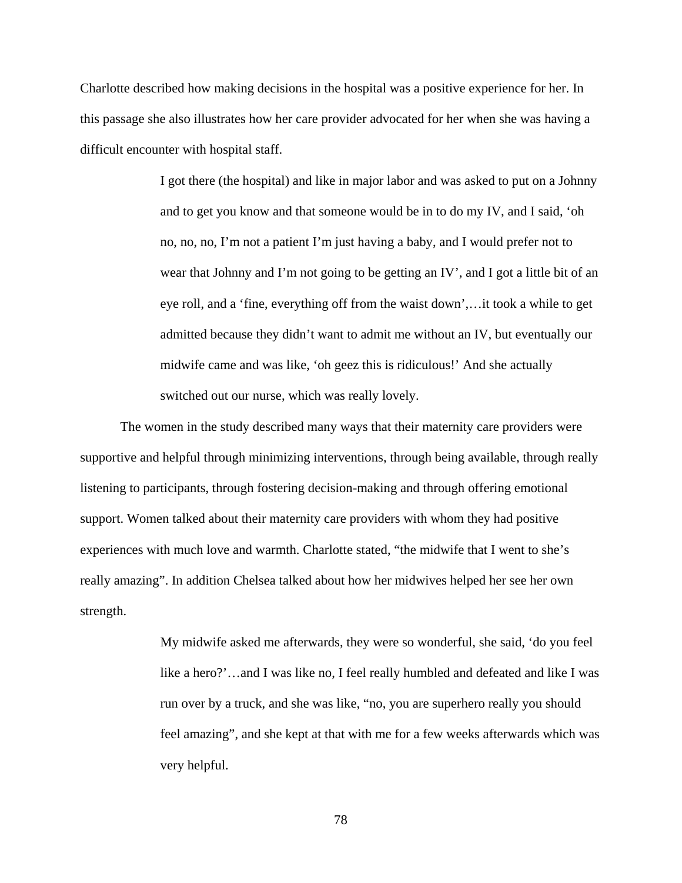Charlotte described how making decisions in the hospital was a positive experience for her. In this passage she also illustrates how her care provider advocated for her when she was having a difficult encounter with hospital staff.

> I got there (the hospital) and like in major labor and was asked to put on a Johnny and to get you know and that someone would be in to do my IV, and I said, 'oh no, no, no, I'm not a patient I'm just having a baby, and I would prefer not to wear that Johnny and I'm not going to be getting an IV', and I got a little bit of an eye roll, and a 'fine, everything off from the waist down',…it took a while to get admitted because they didn't want to admit me without an IV, but eventually our midwife came and was like, 'oh geez this is ridiculous!' And she actually switched out our nurse, which was really lovely.

 The women in the study described many ways that their maternity care providers were supportive and helpful through minimizing interventions, through being available, through really listening to participants, through fostering decision-making and through offering emotional support. Women talked about their maternity care providers with whom they had positive experiences with much love and warmth. Charlotte stated, "the midwife that I went to she's really amazing". In addition Chelsea talked about how her midwives helped her see her own strength.

> My midwife asked me afterwards, they were so wonderful, she said, 'do you feel like a hero?'…and I was like no, I feel really humbled and defeated and like I was run over by a truck, and she was like, "no, you are superhero really you should feel amazing", and she kept at that with me for a few weeks afterwards which was very helpful.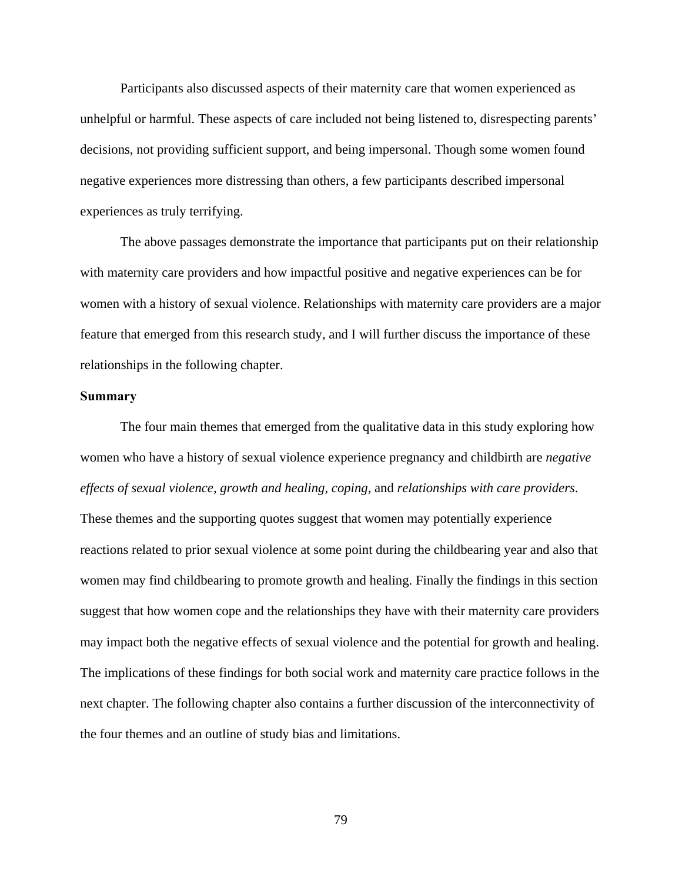Participants also discussed aspects of their maternity care that women experienced as unhelpful or harmful. These aspects of care included not being listened to, disrespecting parents' decisions, not providing sufficient support, and being impersonal. Though some women found negative experiences more distressing than others, a few participants described impersonal experiences as truly terrifying.

The above passages demonstrate the importance that participants put on their relationship with maternity care providers and how impactful positive and negative experiences can be for women with a history of sexual violence. Relationships with maternity care providers are a major feature that emerged from this research study, and I will further discuss the importance of these relationships in the following chapter.

### **Summary**

The four main themes that emerged from the qualitative data in this study exploring how women who have a history of sexual violence experience pregnancy and childbirth are *negative effects of sexual violence, growth and healing, coping,* and *relationships with care providers*. These themes and the supporting quotes suggest that women may potentially experience reactions related to prior sexual violence at some point during the childbearing year and also that women may find childbearing to promote growth and healing. Finally the findings in this section suggest that how women cope and the relationships they have with their maternity care providers may impact both the negative effects of sexual violence and the potential for growth and healing. The implications of these findings for both social work and maternity care practice follows in the next chapter. The following chapter also contains a further discussion of the interconnectivity of the four themes and an outline of study bias and limitations.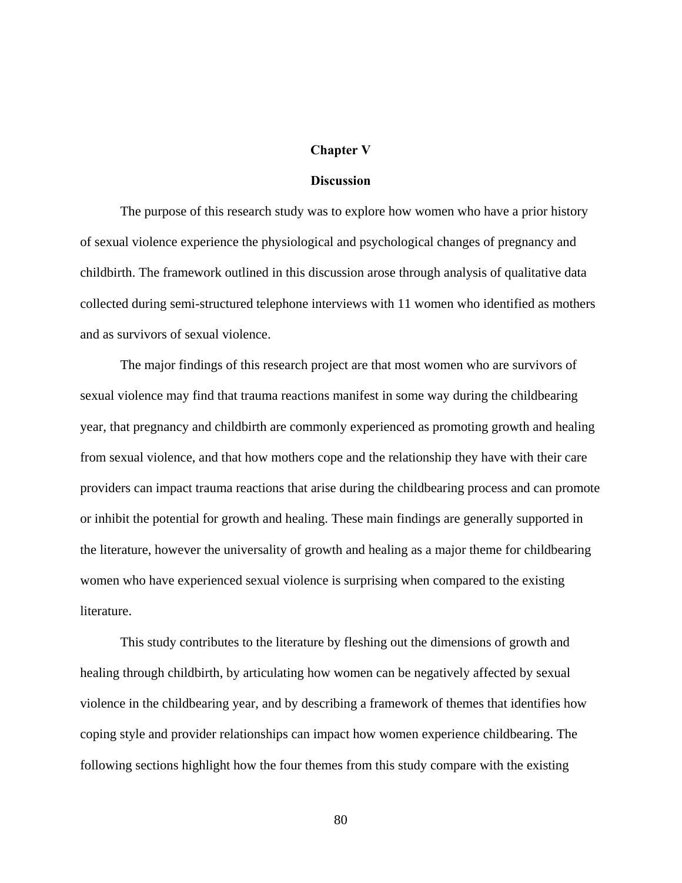### **Chapter V**

# **Discussion**

The purpose of this research study was to explore how women who have a prior history of sexual violence experience the physiological and psychological changes of pregnancy and childbirth. The framework outlined in this discussion arose through analysis of qualitative data collected during semi-structured telephone interviews with 11 women who identified as mothers and as survivors of sexual violence.

The major findings of this research project are that most women who are survivors of sexual violence may find that trauma reactions manifest in some way during the childbearing year, that pregnancy and childbirth are commonly experienced as promoting growth and healing from sexual violence, and that how mothers cope and the relationship they have with their care providers can impact trauma reactions that arise during the childbearing process and can promote or inhibit the potential for growth and healing. These main findings are generally supported in the literature, however the universality of growth and healing as a major theme for childbearing women who have experienced sexual violence is surprising when compared to the existing literature.

This study contributes to the literature by fleshing out the dimensions of growth and healing through childbirth, by articulating how women can be negatively affected by sexual violence in the childbearing year, and by describing a framework of themes that identifies how coping style and provider relationships can impact how women experience childbearing. The following sections highlight how the four themes from this study compare with the existing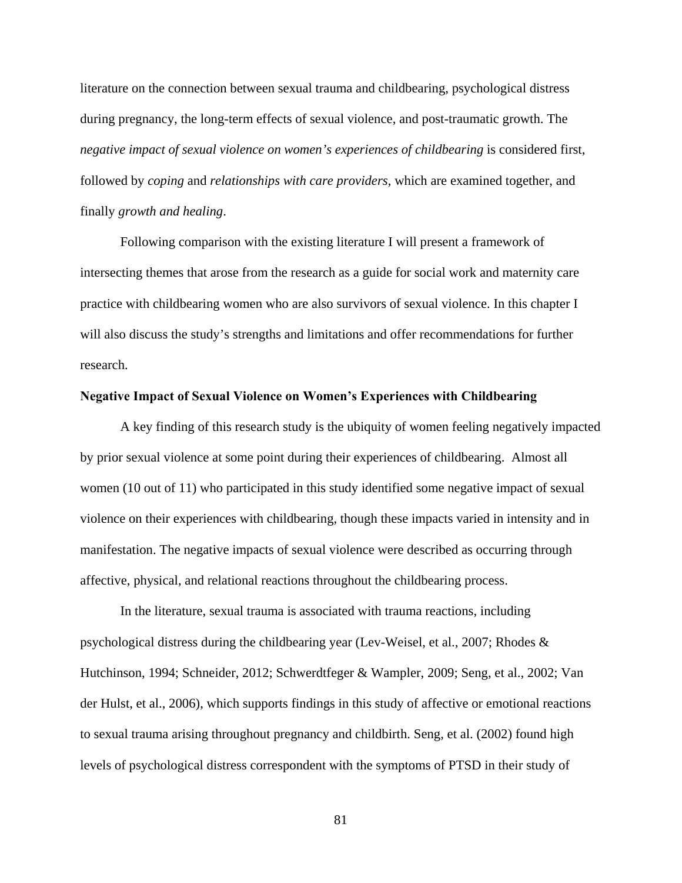literature on the connection between sexual trauma and childbearing, psychological distress during pregnancy, the long-term effects of sexual violence, and post-traumatic growth. The *negative impact of sexual violence on women's experiences of childbearing* is considered first, followed by *coping* and *relationships with care providers*, which are examined together, and finally *growth and healing*.

Following comparison with the existing literature I will present a framework of intersecting themes that arose from the research as a guide for social work and maternity care practice with childbearing women who are also survivors of sexual violence. In this chapter I will also discuss the study's strengths and limitations and offer recommendations for further research.

### **Negative Impact of Sexual Violence on Women's Experiences with Childbearing**

A key finding of this research study is the ubiquity of women feeling negatively impacted by prior sexual violence at some point during their experiences of childbearing. Almost all women (10 out of 11) who participated in this study identified some negative impact of sexual violence on their experiences with childbearing, though these impacts varied in intensity and in manifestation. The negative impacts of sexual violence were described as occurring through affective, physical, and relational reactions throughout the childbearing process.

In the literature, sexual trauma is associated with trauma reactions, including psychological distress during the childbearing year (Lev-Weisel, et al., 2007; Rhodes & Hutchinson, 1994; Schneider, 2012; Schwerdtfeger & Wampler, 2009; Seng, et al., 2002; Van der Hulst, et al., 2006), which supports findings in this study of affective or emotional reactions to sexual trauma arising throughout pregnancy and childbirth. Seng, et al. (2002) found high levels of psychological distress correspondent with the symptoms of PTSD in their study of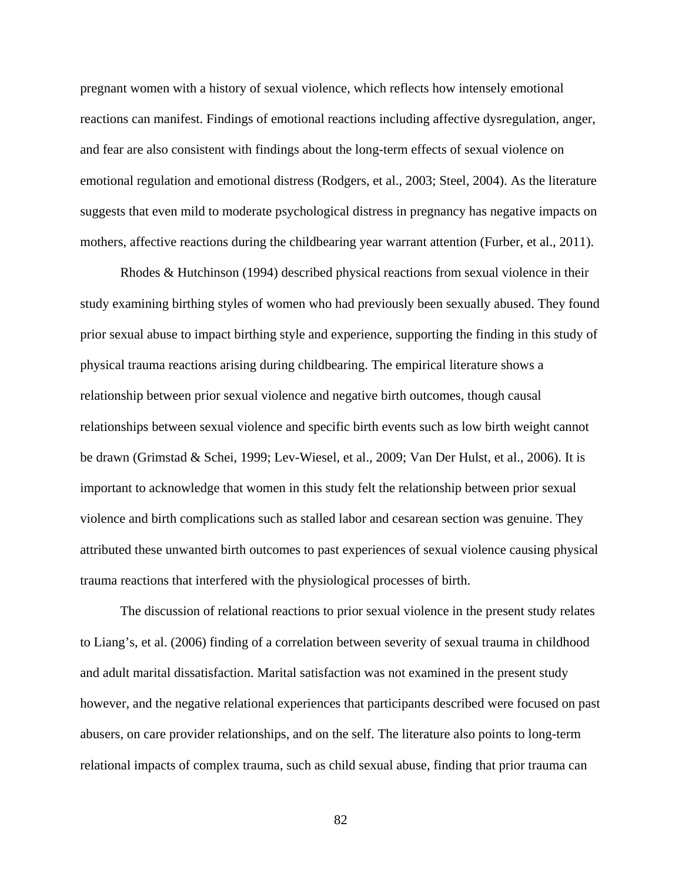pregnant women with a history of sexual violence, which reflects how intensely emotional reactions can manifest. Findings of emotional reactions including affective dysregulation, anger, and fear are also consistent with findings about the long-term effects of sexual violence on emotional regulation and emotional distress (Rodgers, et al., 2003; Steel, 2004). As the literature suggests that even mild to moderate psychological distress in pregnancy has negative impacts on mothers, affective reactions during the childbearing year warrant attention (Furber, et al., 2011).

Rhodes & Hutchinson (1994) described physical reactions from sexual violence in their study examining birthing styles of women who had previously been sexually abused. They found prior sexual abuse to impact birthing style and experience, supporting the finding in this study of physical trauma reactions arising during childbearing. The empirical literature shows a relationship between prior sexual violence and negative birth outcomes, though causal relationships between sexual violence and specific birth events such as low birth weight cannot be drawn (Grimstad & Schei, 1999; Lev-Wiesel, et al., 2009; Van Der Hulst, et al., 2006). It is important to acknowledge that women in this study felt the relationship between prior sexual violence and birth complications such as stalled labor and cesarean section was genuine. They attributed these unwanted birth outcomes to past experiences of sexual violence causing physical trauma reactions that interfered with the physiological processes of birth.

The discussion of relational reactions to prior sexual violence in the present study relates to Liang's, et al. (2006) finding of a correlation between severity of sexual trauma in childhood and adult marital dissatisfaction. Marital satisfaction was not examined in the present study however, and the negative relational experiences that participants described were focused on past abusers, on care provider relationships, and on the self. The literature also points to long-term relational impacts of complex trauma, such as child sexual abuse, finding that prior trauma can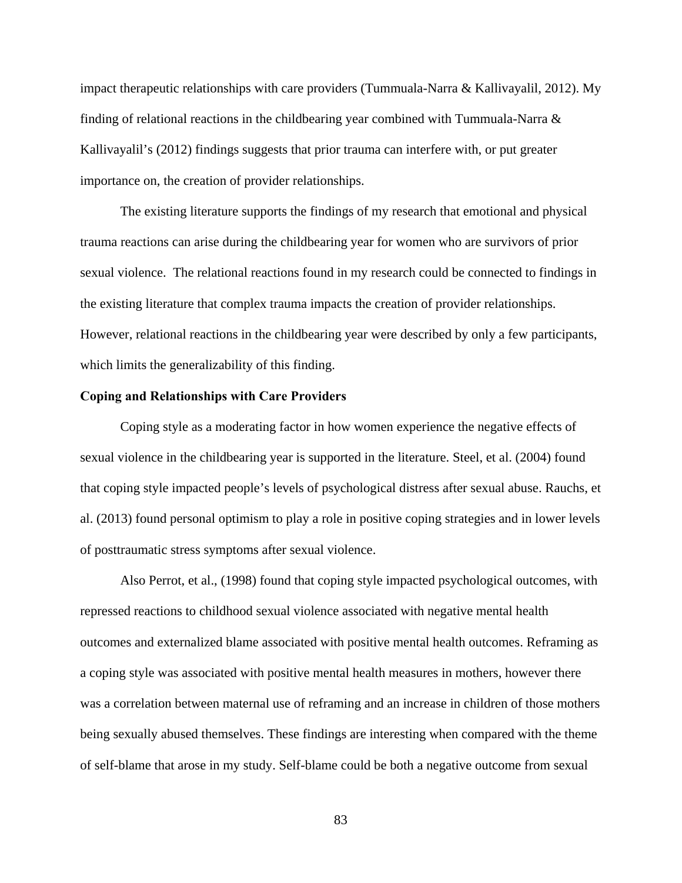impact therapeutic relationships with care providers (Tummuala-Narra & Kallivayalil, 2012). My finding of relational reactions in the childbearing year combined with Tummuala-Narra  $\&$ Kallivayalil's (2012) findings suggests that prior trauma can interfere with, or put greater importance on, the creation of provider relationships.

The existing literature supports the findings of my research that emotional and physical trauma reactions can arise during the childbearing year for women who are survivors of prior sexual violence. The relational reactions found in my research could be connected to findings in the existing literature that complex trauma impacts the creation of provider relationships. However, relational reactions in the childbearing year were described by only a few participants, which limits the generalizability of this finding.

# **Coping and Relationships with Care Providers**

Coping style as a moderating factor in how women experience the negative effects of sexual violence in the childbearing year is supported in the literature. Steel, et al. (2004) found that coping style impacted people's levels of psychological distress after sexual abuse. Rauchs, et al. (2013) found personal optimism to play a role in positive coping strategies and in lower levels of posttraumatic stress symptoms after sexual violence.

Also Perrot, et al., (1998) found that coping style impacted psychological outcomes, with repressed reactions to childhood sexual violence associated with negative mental health outcomes and externalized blame associated with positive mental health outcomes. Reframing as a coping style was associated with positive mental health measures in mothers, however there was a correlation between maternal use of reframing and an increase in children of those mothers being sexually abused themselves. These findings are interesting when compared with the theme of self-blame that arose in my study. Self-blame could be both a negative outcome from sexual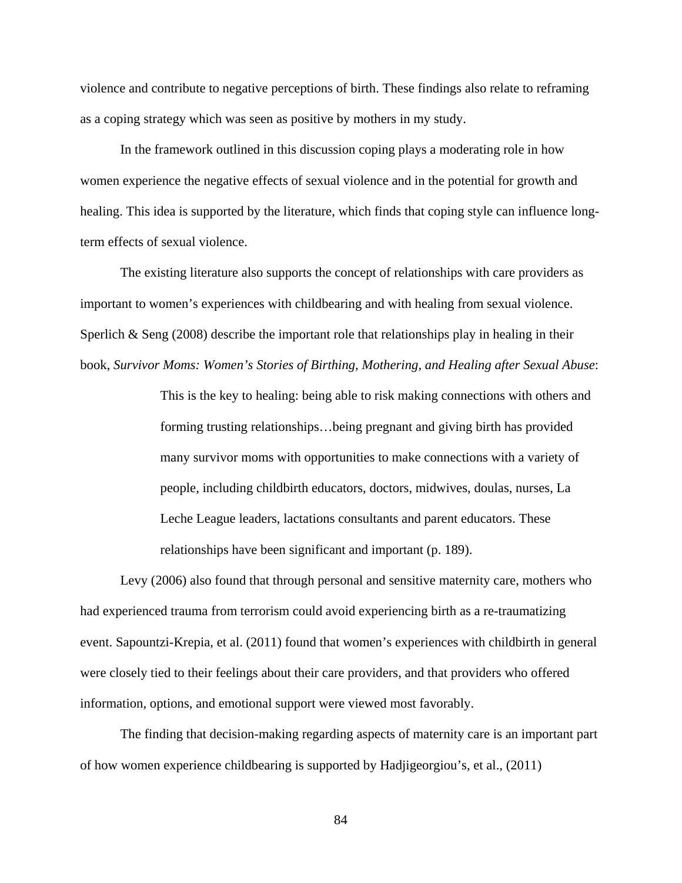violence and contribute to negative perceptions of birth. These findings also relate to reframing as a coping strategy which was seen as positive by mothers in my study.

In the framework outlined in this discussion coping plays a moderating role in how women experience the negative effects of sexual violence and in the potential for growth and healing. This idea is supported by the literature, which finds that coping style can influence longterm effects of sexual violence.

The existing literature also supports the concept of relationships with care providers as important to women's experiences with childbearing and with healing from sexual violence. Sperlich & Seng  $(2008)$  describe the important role that relationships play in healing in their book, *Survivor Moms: Women's Stories of Birthing, Mothering, and Healing after Sexual Abuse*:

> This is the key to healing: being able to risk making connections with others and forming trusting relationships…being pregnant and giving birth has provided many survivor moms with opportunities to make connections with a variety of people, including childbirth educators, doctors, midwives, doulas, nurses, La Leche League leaders, lactations consultants and parent educators. These relationships have been significant and important (p. 189).

Levy (2006) also found that through personal and sensitive maternity care, mothers who had experienced trauma from terrorism could avoid experiencing birth as a re-traumatizing event. Sapountzi-Krepia, et al. (2011) found that women's experiences with childbirth in general were closely tied to their feelings about their care providers, and that providers who offered information, options, and emotional support were viewed most favorably.

The finding that decision-making regarding aspects of maternity care is an important part of how women experience childbearing is supported by Hadjigeorgiou's, et al., (2011)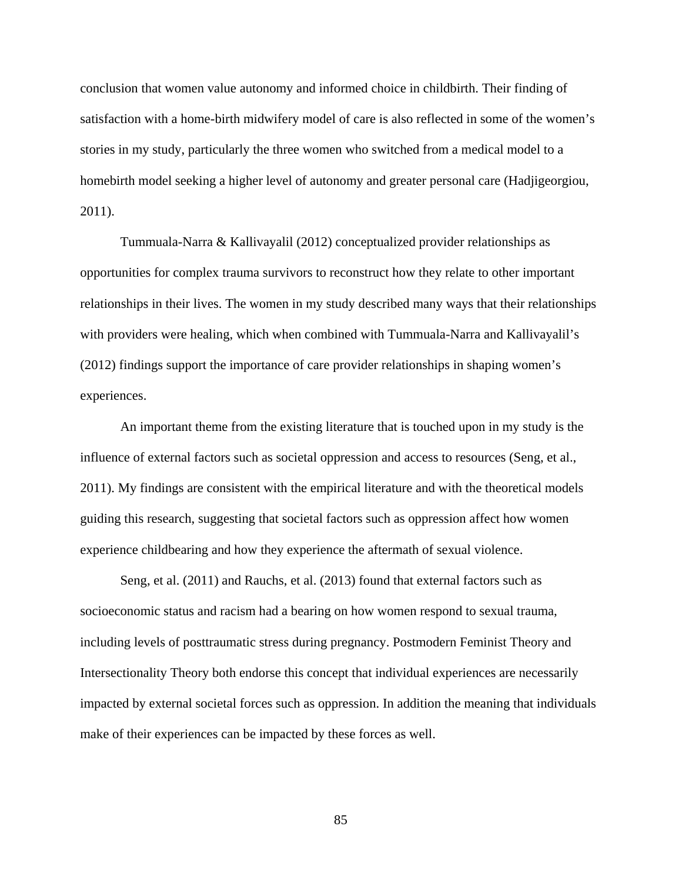conclusion that women value autonomy and informed choice in childbirth. Their finding of satisfaction with a home-birth midwifery model of care is also reflected in some of the women's stories in my study, particularly the three women who switched from a medical model to a homebirth model seeking a higher level of autonomy and greater personal care (Hadjigeorgiou, 2011).

Tummuala-Narra & Kallivayalil (2012) conceptualized provider relationships as opportunities for complex trauma survivors to reconstruct how they relate to other important relationships in their lives. The women in my study described many ways that their relationships with providers were healing, which when combined with Tummuala-Narra and Kallivayalil's (2012) findings support the importance of care provider relationships in shaping women's experiences.

An important theme from the existing literature that is touched upon in my study is the influence of external factors such as societal oppression and access to resources (Seng, et al., 2011). My findings are consistent with the empirical literature and with the theoretical models guiding this research, suggesting that societal factors such as oppression affect how women experience childbearing and how they experience the aftermath of sexual violence.

Seng, et al. (2011) and Rauchs, et al. (2013) found that external factors such as socioeconomic status and racism had a bearing on how women respond to sexual trauma, including levels of posttraumatic stress during pregnancy. Postmodern Feminist Theory and Intersectionality Theory both endorse this concept that individual experiences are necessarily impacted by external societal forces such as oppression. In addition the meaning that individuals make of their experiences can be impacted by these forces as well.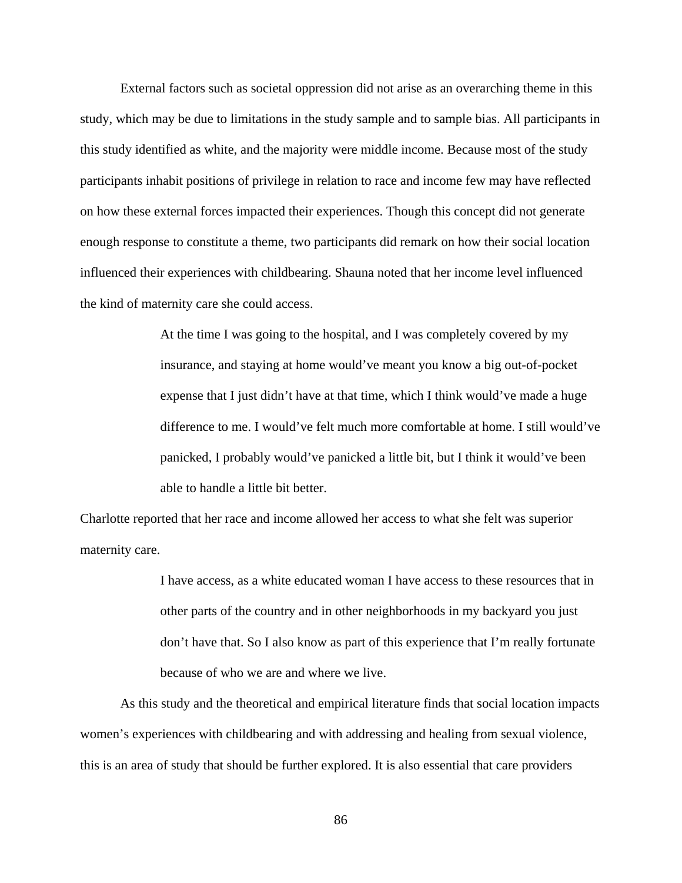External factors such as societal oppression did not arise as an overarching theme in this study, which may be due to limitations in the study sample and to sample bias. All participants in this study identified as white, and the majority were middle income. Because most of the study participants inhabit positions of privilege in relation to race and income few may have reflected on how these external forces impacted their experiences. Though this concept did not generate enough response to constitute a theme, two participants did remark on how their social location influenced their experiences with childbearing. Shauna noted that her income level influenced the kind of maternity care she could access.

> At the time I was going to the hospital, and I was completely covered by my insurance, and staying at home would've meant you know a big out-of-pocket expense that I just didn't have at that time, which I think would've made a huge difference to me. I would've felt much more comfortable at home. I still would've panicked, I probably would've panicked a little bit, but I think it would've been able to handle a little bit better.

Charlotte reported that her race and income allowed her access to what she felt was superior maternity care.

> I have access, as a white educated woman I have access to these resources that in other parts of the country and in other neighborhoods in my backyard you just don't have that. So I also know as part of this experience that I'm really fortunate because of who we are and where we live.

As this study and the theoretical and empirical literature finds that social location impacts women's experiences with childbearing and with addressing and healing from sexual violence, this is an area of study that should be further explored. It is also essential that care providers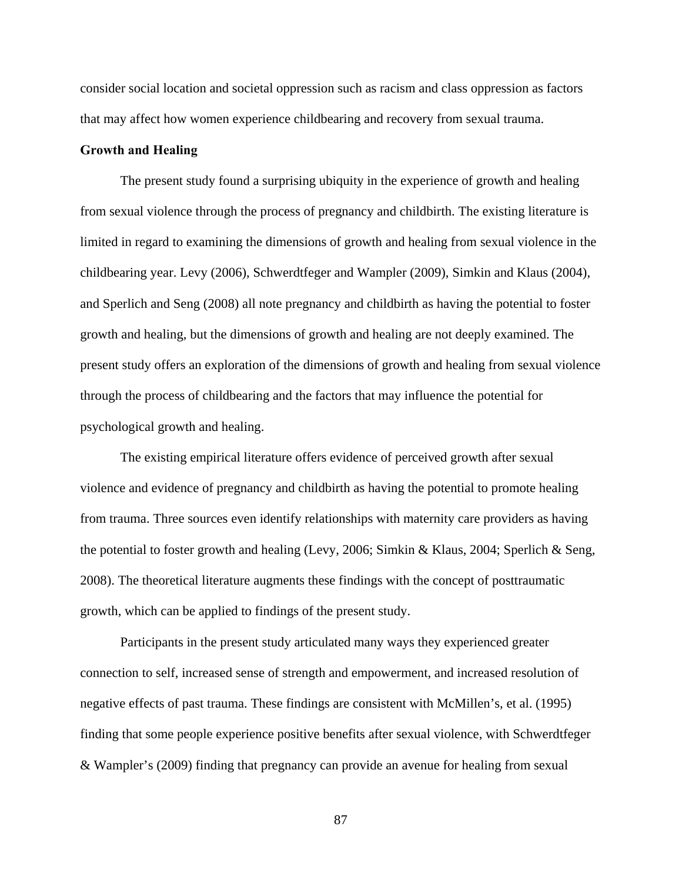consider social location and societal oppression such as racism and class oppression as factors that may affect how women experience childbearing and recovery from sexual trauma.

### **Growth and Healing**

The present study found a surprising ubiquity in the experience of growth and healing from sexual violence through the process of pregnancy and childbirth. The existing literature is limited in regard to examining the dimensions of growth and healing from sexual violence in the childbearing year. Levy (2006), Schwerdtfeger and Wampler (2009), Simkin and Klaus (2004), and Sperlich and Seng (2008) all note pregnancy and childbirth as having the potential to foster growth and healing, but the dimensions of growth and healing are not deeply examined. The present study offers an exploration of the dimensions of growth and healing from sexual violence through the process of childbearing and the factors that may influence the potential for psychological growth and healing.

The existing empirical literature offers evidence of perceived growth after sexual violence and evidence of pregnancy and childbirth as having the potential to promote healing from trauma. Three sources even identify relationships with maternity care providers as having the potential to foster growth and healing (Levy, 2006; Simkin & Klaus, 2004; Sperlich & Seng, 2008). The theoretical literature augments these findings with the concept of posttraumatic growth, which can be applied to findings of the present study.

Participants in the present study articulated many ways they experienced greater connection to self, increased sense of strength and empowerment, and increased resolution of negative effects of past trauma. These findings are consistent with McMillen's, et al. (1995) finding that some people experience positive benefits after sexual violence, with Schwerdtfeger & Wampler's (2009) finding that pregnancy can provide an avenue for healing from sexual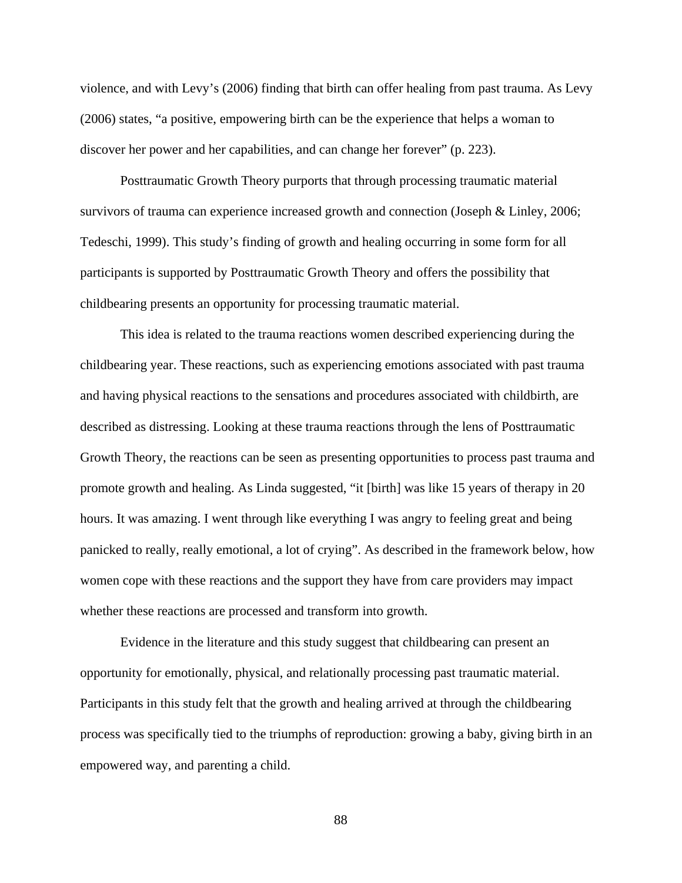violence, and with Levy's (2006) finding that birth can offer healing from past trauma. As Levy (2006) states, "a positive, empowering birth can be the experience that helps a woman to discover her power and her capabilities, and can change her forever" (p. 223).

Posttraumatic Growth Theory purports that through processing traumatic material survivors of trauma can experience increased growth and connection (Joseph & Linley, 2006; Tedeschi, 1999). This study's finding of growth and healing occurring in some form for all participants is supported by Posttraumatic Growth Theory and offers the possibility that childbearing presents an opportunity for processing traumatic material.

This idea is related to the trauma reactions women described experiencing during the childbearing year. These reactions, such as experiencing emotions associated with past trauma and having physical reactions to the sensations and procedures associated with childbirth, are described as distressing. Looking at these trauma reactions through the lens of Posttraumatic Growth Theory, the reactions can be seen as presenting opportunities to process past trauma and promote growth and healing. As Linda suggested, "it [birth] was like 15 years of therapy in 20 hours. It was amazing. I went through like everything I was angry to feeling great and being panicked to really, really emotional, a lot of crying". As described in the framework below, how women cope with these reactions and the support they have from care providers may impact whether these reactions are processed and transform into growth.

Evidence in the literature and this study suggest that childbearing can present an opportunity for emotionally, physical, and relationally processing past traumatic material. Participants in this study felt that the growth and healing arrived at through the childbearing process was specifically tied to the triumphs of reproduction: growing a baby, giving birth in an empowered way, and parenting a child.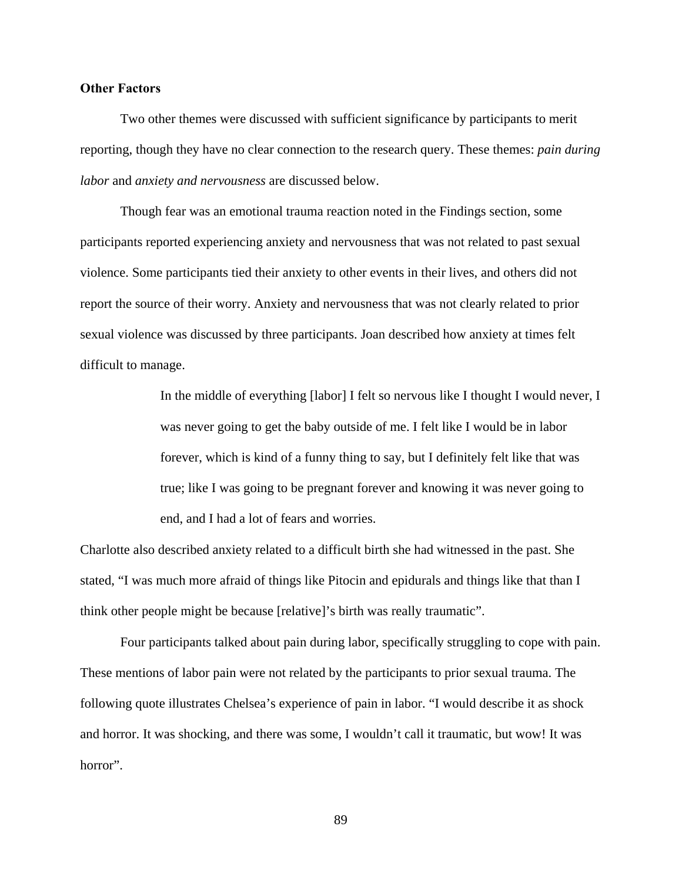# **Other Factors**

Two other themes were discussed with sufficient significance by participants to merit reporting, though they have no clear connection to the research query. These themes: *pain during labor* and *anxiety and nervousness* are discussed below.

Though fear was an emotional trauma reaction noted in the Findings section, some participants reported experiencing anxiety and nervousness that was not related to past sexual violence. Some participants tied their anxiety to other events in their lives, and others did not report the source of their worry. Anxiety and nervousness that was not clearly related to prior sexual violence was discussed by three participants. Joan described how anxiety at times felt difficult to manage.

> In the middle of everything [labor] I felt so nervous like I thought I would never, I was never going to get the baby outside of me. I felt like I would be in labor forever, which is kind of a funny thing to say, but I definitely felt like that was true; like I was going to be pregnant forever and knowing it was never going to end, and I had a lot of fears and worries.

Charlotte also described anxiety related to a difficult birth she had witnessed in the past. She stated, "I was much more afraid of things like Pitocin and epidurals and things like that than I think other people might be because [relative]'s birth was really traumatic".

Four participants talked about pain during labor, specifically struggling to cope with pain. These mentions of labor pain were not related by the participants to prior sexual trauma. The following quote illustrates Chelsea's experience of pain in labor. "I would describe it as shock and horror. It was shocking, and there was some, I wouldn't call it traumatic, but wow! It was horror".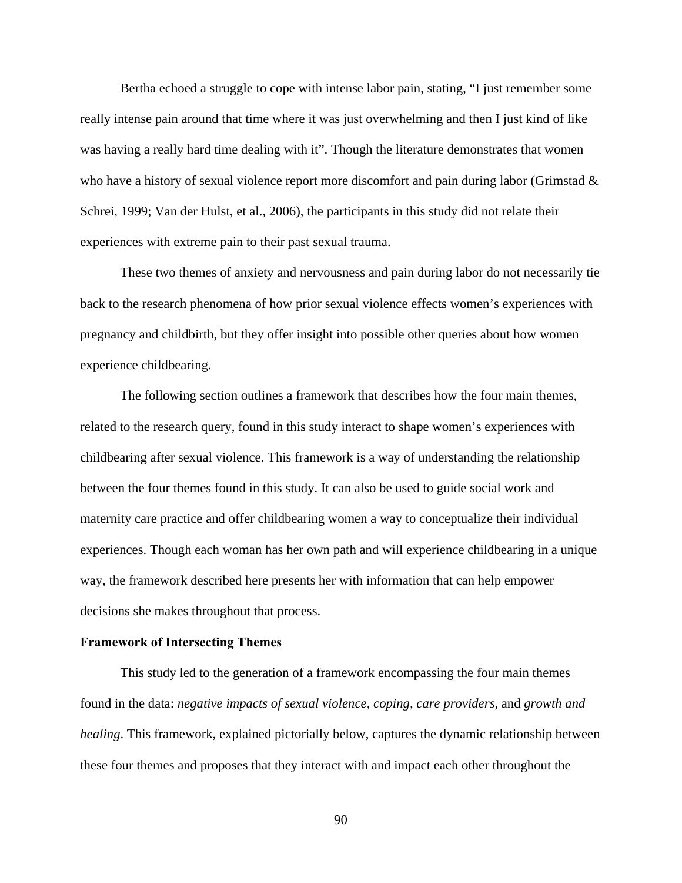Bertha echoed a struggle to cope with intense labor pain, stating, "I just remember some really intense pain around that time where it was just overwhelming and then I just kind of like was having a really hard time dealing with it". Though the literature demonstrates that women who have a history of sexual violence report more discomfort and pain during labor (Grimstad & Schrei, 1999; Van der Hulst, et al., 2006), the participants in this study did not relate their experiences with extreme pain to their past sexual trauma.

These two themes of anxiety and nervousness and pain during labor do not necessarily tie back to the research phenomena of how prior sexual violence effects women's experiences with pregnancy and childbirth, but they offer insight into possible other queries about how women experience childbearing.

The following section outlines a framework that describes how the four main themes, related to the research query, found in this study interact to shape women's experiences with childbearing after sexual violence. This framework is a way of understanding the relationship between the four themes found in this study. It can also be used to guide social work and maternity care practice and offer childbearing women a way to conceptualize their individual experiences. Though each woman has her own path and will experience childbearing in a unique way, the framework described here presents her with information that can help empower decisions she makes throughout that process.

### **Framework of Intersecting Themes**

This study led to the generation of a framework encompassing the four main themes found in the data: *negative impacts of sexual violence, coping, care providers,* and *growth and healing*. This framework, explained pictorially below, captures the dynamic relationship between these four themes and proposes that they interact with and impact each other throughout the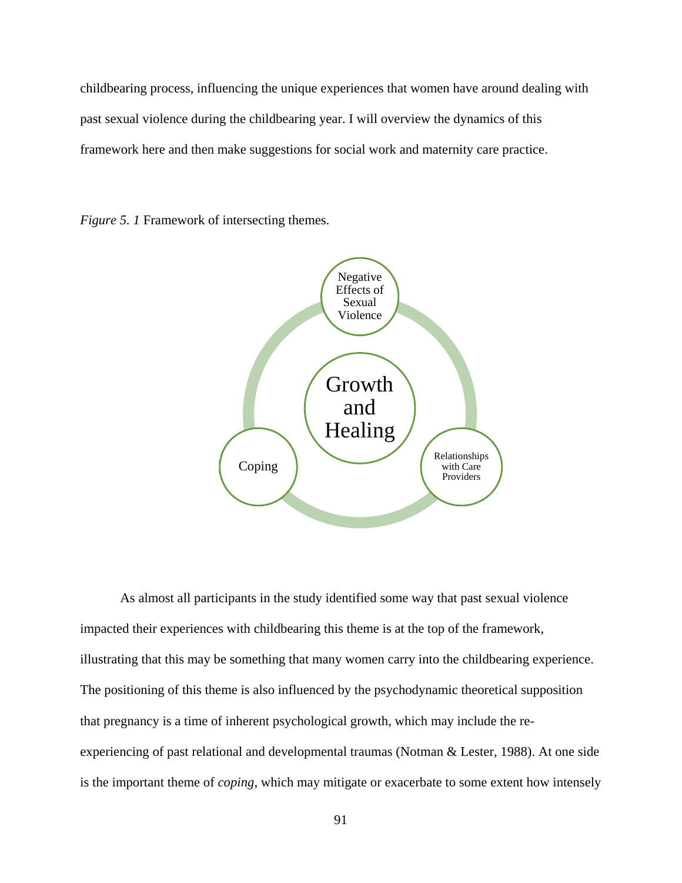childbearing process, influencing the unique experiences that women have around dealing with past sexual violence during the childbearing year. I will overview the dynamics of this framework here and then make suggestions for social work and maternity care practice.

*Figure 5. 1* Framework of intersecting themes.



As almost all participants in the study identified some way that past sexual violence impacted their experiences with childbearing this theme is at the top of the framework, illustrating that this may be something that many women carry into the childbearing experience. The positioning of this theme is also influenced by the psychodynamic theoretical supposition that pregnancy is a time of inherent psychological growth, which may include the reexperiencing of past relational and developmental traumas (Notman & Lester, 1988). At one side is the important theme of *coping*, which may mitigate or exacerbate to some extent how intensely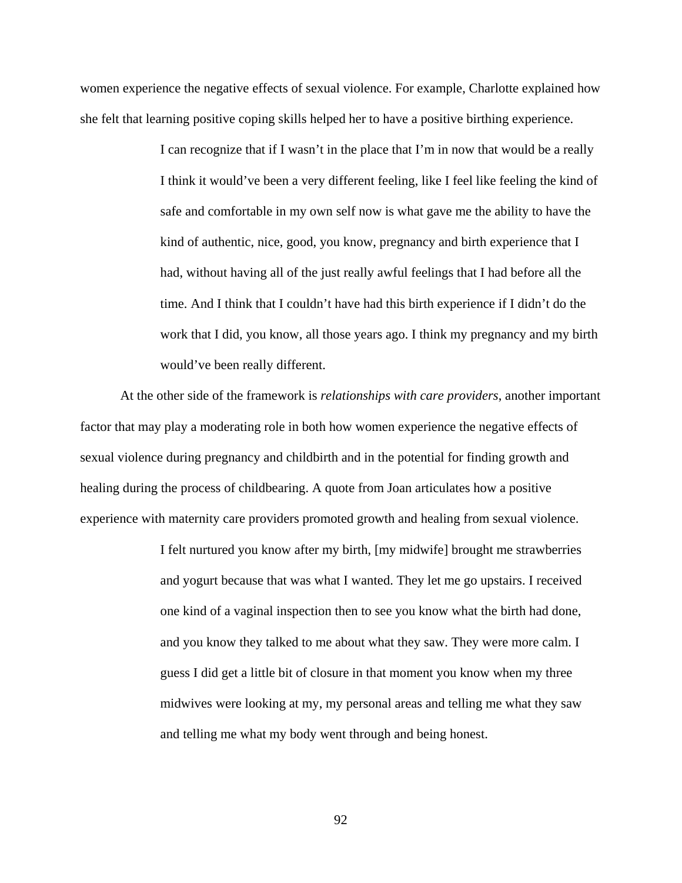women experience the negative effects of sexual violence. For example, Charlotte explained how she felt that learning positive coping skills helped her to have a positive birthing experience.

> I can recognize that if I wasn't in the place that I'm in now that would be a really I think it would've been a very different feeling, like I feel like feeling the kind of safe and comfortable in my own self now is what gave me the ability to have the kind of authentic, nice, good, you know, pregnancy and birth experience that I had, without having all of the just really awful feelings that I had before all the time. And I think that I couldn't have had this birth experience if I didn't do the work that I did, you know, all those years ago. I think my pregnancy and my birth would've been really different.

At the other side of the framework is *relationships with care providers*, another important factor that may play a moderating role in both how women experience the negative effects of sexual violence during pregnancy and childbirth and in the potential for finding growth and healing during the process of childbearing. A quote from Joan articulates how a positive experience with maternity care providers promoted growth and healing from sexual violence.

> I felt nurtured you know after my birth, [my midwife] brought me strawberries and yogurt because that was what I wanted. They let me go upstairs. I received one kind of a vaginal inspection then to see you know what the birth had done, and you know they talked to me about what they saw. They were more calm. I guess I did get a little bit of closure in that moment you know when my three midwives were looking at my, my personal areas and telling me what they saw and telling me what my body went through and being honest.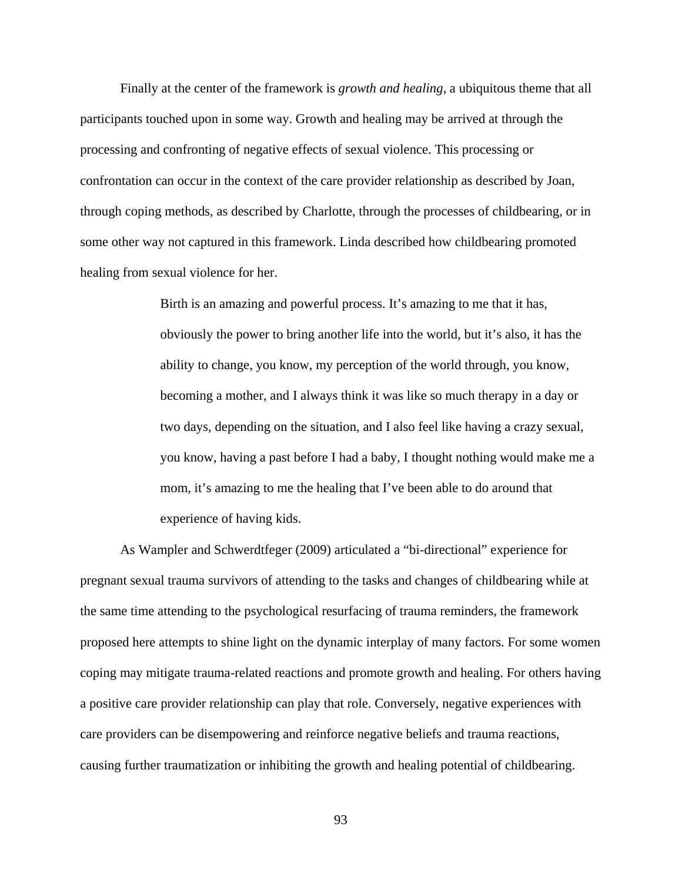Finally at the center of the framework is *growth and healing*, a ubiquitous theme that all participants touched upon in some way. Growth and healing may be arrived at through the processing and confronting of negative effects of sexual violence. This processing or confrontation can occur in the context of the care provider relationship as described by Joan, through coping methods, as described by Charlotte, through the processes of childbearing, or in some other way not captured in this framework. Linda described how childbearing promoted healing from sexual violence for her.

> Birth is an amazing and powerful process. It's amazing to me that it has, obviously the power to bring another life into the world, but it's also, it has the ability to change, you know, my perception of the world through, you know, becoming a mother, and I always think it was like so much therapy in a day or two days, depending on the situation, and I also feel like having a crazy sexual, you know, having a past before I had a baby, I thought nothing would make me a mom, it's amazing to me the healing that I've been able to do around that experience of having kids.

As Wampler and Schwerdtfeger (2009) articulated a "bi-directional" experience for pregnant sexual trauma survivors of attending to the tasks and changes of childbearing while at the same time attending to the psychological resurfacing of trauma reminders, the framework proposed here attempts to shine light on the dynamic interplay of many factors. For some women coping may mitigate trauma-related reactions and promote growth and healing. For others having a positive care provider relationship can play that role. Conversely, negative experiences with care providers can be disempowering and reinforce negative beliefs and trauma reactions, causing further traumatization or inhibiting the growth and healing potential of childbearing.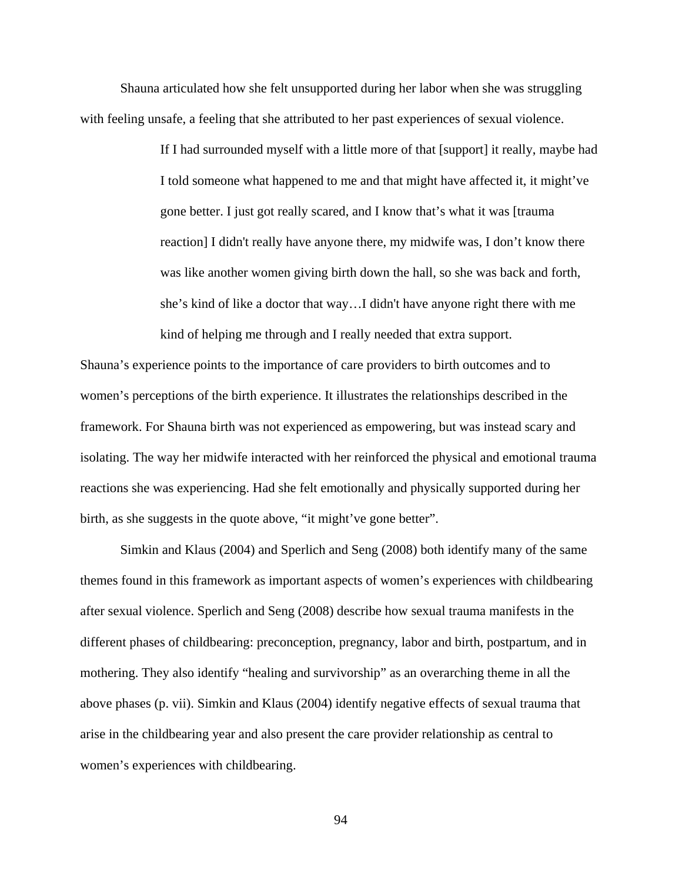Shauna articulated how she felt unsupported during her labor when she was struggling with feeling unsafe, a feeling that she attributed to her past experiences of sexual violence.

> If I had surrounded myself with a little more of that [support] it really, maybe had I told someone what happened to me and that might have affected it, it might've gone better. I just got really scared, and I know that's what it was [trauma reaction] I didn't really have anyone there, my midwife was, I don't know there was like another women giving birth down the hall, so she was back and forth, she's kind of like a doctor that way…I didn't have anyone right there with me kind of helping me through and I really needed that extra support.

Shauna's experience points to the importance of care providers to birth outcomes and to women's perceptions of the birth experience. It illustrates the relationships described in the framework. For Shauna birth was not experienced as empowering, but was instead scary and isolating. The way her midwife interacted with her reinforced the physical and emotional trauma reactions she was experiencing. Had she felt emotionally and physically supported during her birth, as she suggests in the quote above, "it might've gone better".

Simkin and Klaus (2004) and Sperlich and Seng (2008) both identify many of the same themes found in this framework as important aspects of women's experiences with childbearing after sexual violence. Sperlich and Seng (2008) describe how sexual trauma manifests in the different phases of childbearing: preconception, pregnancy, labor and birth, postpartum, and in mothering. They also identify "healing and survivorship" as an overarching theme in all the above phases (p. vii). Simkin and Klaus (2004) identify negative effects of sexual trauma that arise in the childbearing year and also present the care provider relationship as central to women's experiences with childbearing.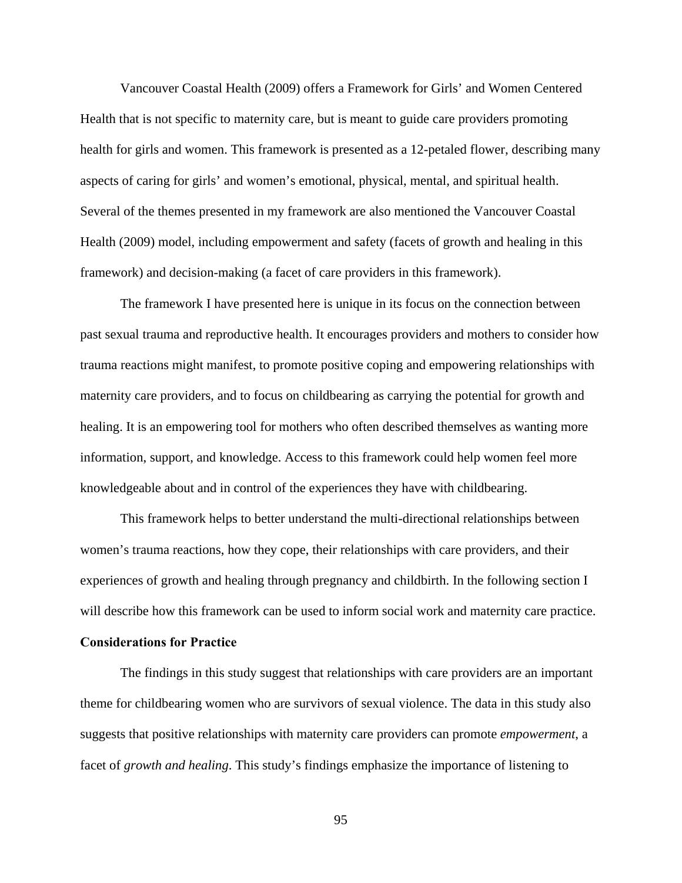Vancouver Coastal Health (2009) offers a Framework for Girls' and Women Centered Health that is not specific to maternity care, but is meant to guide care providers promoting health for girls and women. This framework is presented as a 12-petaled flower, describing many aspects of caring for girls' and women's emotional, physical, mental, and spiritual health. Several of the themes presented in my framework are also mentioned the Vancouver Coastal Health (2009) model, including empowerment and safety (facets of growth and healing in this framework) and decision-making (a facet of care providers in this framework).

The framework I have presented here is unique in its focus on the connection between past sexual trauma and reproductive health. It encourages providers and mothers to consider how trauma reactions might manifest, to promote positive coping and empowering relationships with maternity care providers, and to focus on childbearing as carrying the potential for growth and healing. It is an empowering tool for mothers who often described themselves as wanting more information, support, and knowledge. Access to this framework could help women feel more knowledgeable about and in control of the experiences they have with childbearing.

This framework helps to better understand the multi-directional relationships between women's trauma reactions, how they cope, their relationships with care providers, and their experiences of growth and healing through pregnancy and childbirth. In the following section I will describe how this framework can be used to inform social work and maternity care practice.

#### **Considerations for Practice**

The findings in this study suggest that relationships with care providers are an important theme for childbearing women who are survivors of sexual violence. The data in this study also suggests that positive relationships with maternity care providers can promote *empowerment*, a facet of *growth and healing*. This study's findings emphasize the importance of listening to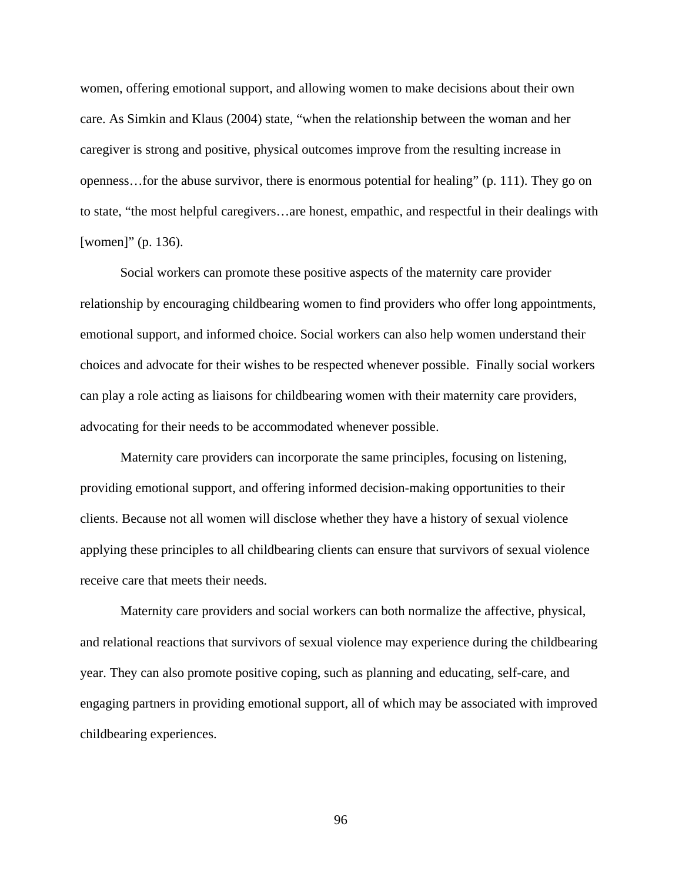women, offering emotional support, and allowing women to make decisions about their own care. As Simkin and Klaus (2004) state, "when the relationship between the woman and her caregiver is strong and positive, physical outcomes improve from the resulting increase in openness…for the abuse survivor, there is enormous potential for healing" (p. 111). They go on to state, "the most helpful caregivers…are honest, empathic, and respectful in their dealings with [women]" (p. 136).

Social workers can promote these positive aspects of the maternity care provider relationship by encouraging childbearing women to find providers who offer long appointments, emotional support, and informed choice. Social workers can also help women understand their choices and advocate for their wishes to be respected whenever possible. Finally social workers can play a role acting as liaisons for childbearing women with their maternity care providers, advocating for their needs to be accommodated whenever possible.

Maternity care providers can incorporate the same principles, focusing on listening, providing emotional support, and offering informed decision-making opportunities to their clients. Because not all women will disclose whether they have a history of sexual violence applying these principles to all childbearing clients can ensure that survivors of sexual violence receive care that meets their needs.

Maternity care providers and social workers can both normalize the affective, physical, and relational reactions that survivors of sexual violence may experience during the childbearing year. They can also promote positive coping, such as planning and educating, self-care, and engaging partners in providing emotional support, all of which may be associated with improved childbearing experiences.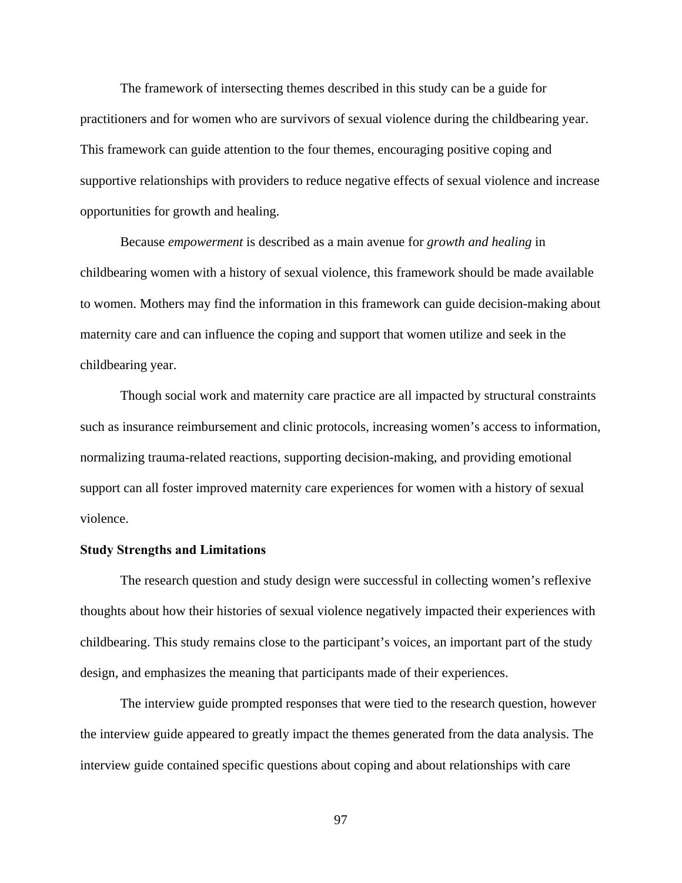The framework of intersecting themes described in this study can be a guide for practitioners and for women who are survivors of sexual violence during the childbearing year. This framework can guide attention to the four themes, encouraging positive coping and supportive relationships with providers to reduce negative effects of sexual violence and increase opportunities for growth and healing.

Because *empowerment* is described as a main avenue for *growth and healing* in childbearing women with a history of sexual violence, this framework should be made available to women. Mothers may find the information in this framework can guide decision-making about maternity care and can influence the coping and support that women utilize and seek in the childbearing year.

Though social work and maternity care practice are all impacted by structural constraints such as insurance reimbursement and clinic protocols, increasing women's access to information, normalizing trauma-related reactions, supporting decision-making, and providing emotional support can all foster improved maternity care experiences for women with a history of sexual violence.

# **Study Strengths and Limitations**

The research question and study design were successful in collecting women's reflexive thoughts about how their histories of sexual violence negatively impacted their experiences with childbearing. This study remains close to the participant's voices, an important part of the study design, and emphasizes the meaning that participants made of their experiences.

The interview guide prompted responses that were tied to the research question, however the interview guide appeared to greatly impact the themes generated from the data analysis. The interview guide contained specific questions about coping and about relationships with care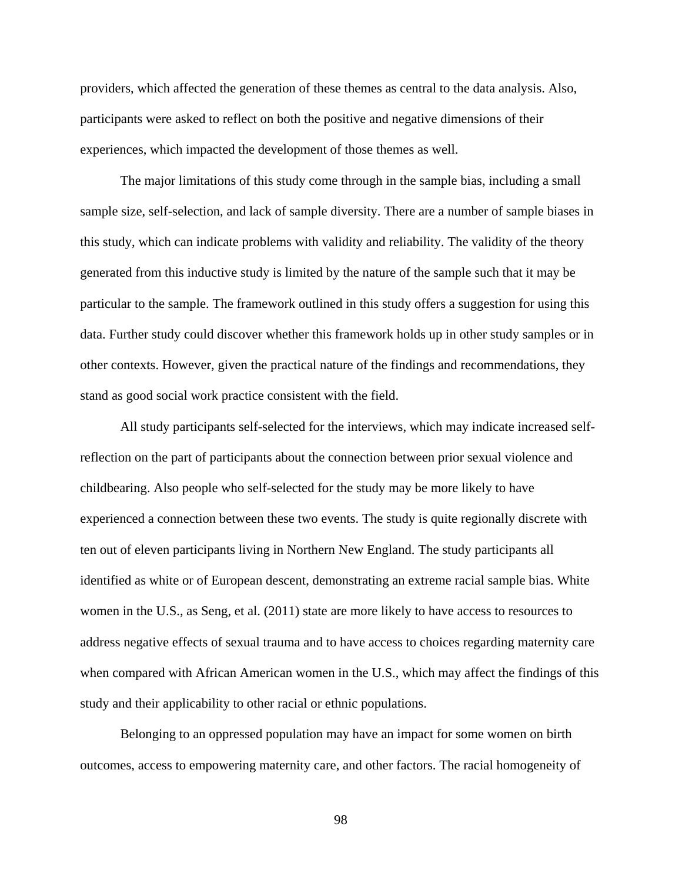providers, which affected the generation of these themes as central to the data analysis. Also, participants were asked to reflect on both the positive and negative dimensions of their experiences, which impacted the development of those themes as well.

The major limitations of this study come through in the sample bias, including a small sample size, self-selection, and lack of sample diversity. There are a number of sample biases in this study, which can indicate problems with validity and reliability. The validity of the theory generated from this inductive study is limited by the nature of the sample such that it may be particular to the sample. The framework outlined in this study offers a suggestion for using this data. Further study could discover whether this framework holds up in other study samples or in other contexts. However, given the practical nature of the findings and recommendations, they stand as good social work practice consistent with the field.

All study participants self-selected for the interviews, which may indicate increased selfreflection on the part of participants about the connection between prior sexual violence and childbearing. Also people who self-selected for the study may be more likely to have experienced a connection between these two events. The study is quite regionally discrete with ten out of eleven participants living in Northern New England. The study participants all identified as white or of European descent, demonstrating an extreme racial sample bias. White women in the U.S., as Seng, et al. (2011) state are more likely to have access to resources to address negative effects of sexual trauma and to have access to choices regarding maternity care when compared with African American women in the U.S., which may affect the findings of this study and their applicability to other racial or ethnic populations.

Belonging to an oppressed population may have an impact for some women on birth outcomes, access to empowering maternity care, and other factors. The racial homogeneity of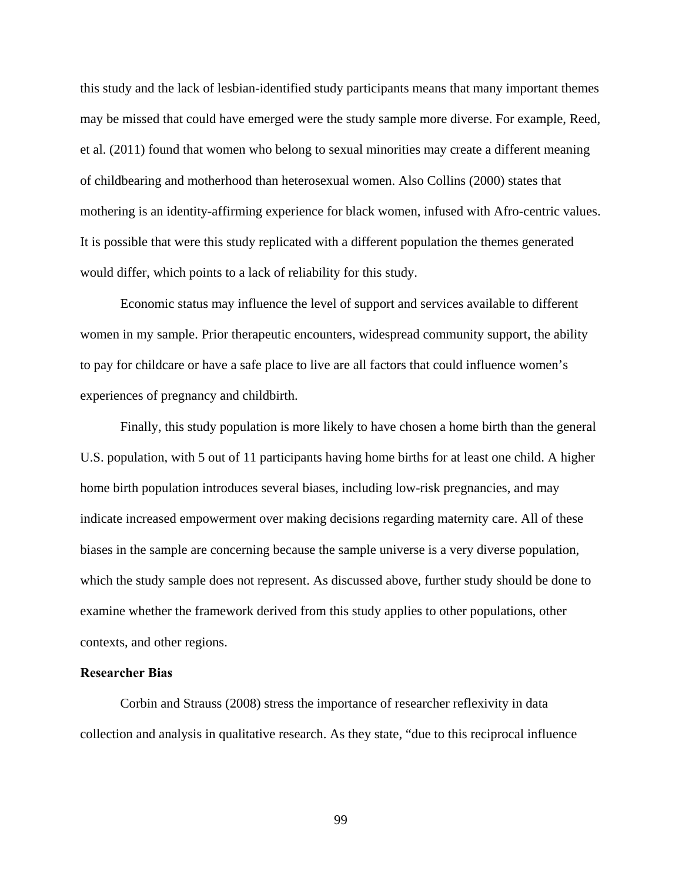this study and the lack of lesbian-identified study participants means that many important themes may be missed that could have emerged were the study sample more diverse. For example, Reed, et al. (2011) found that women who belong to sexual minorities may create a different meaning of childbearing and motherhood than heterosexual women. Also Collins (2000) states that mothering is an identity-affirming experience for black women, infused with Afro-centric values. It is possible that were this study replicated with a different population the themes generated would differ, which points to a lack of reliability for this study.

Economic status may influence the level of support and services available to different women in my sample. Prior therapeutic encounters, widespread community support, the ability to pay for childcare or have a safe place to live are all factors that could influence women's experiences of pregnancy and childbirth.

Finally, this study population is more likely to have chosen a home birth than the general U.S. population, with 5 out of 11 participants having home births for at least one child. A higher home birth population introduces several biases, including low-risk pregnancies, and may indicate increased empowerment over making decisions regarding maternity care. All of these biases in the sample are concerning because the sample universe is a very diverse population, which the study sample does not represent. As discussed above, further study should be done to examine whether the framework derived from this study applies to other populations, other contexts, and other regions.

# **Researcher Bias**

Corbin and Strauss (2008) stress the importance of researcher reflexivity in data collection and analysis in qualitative research. As they state, "due to this reciprocal influence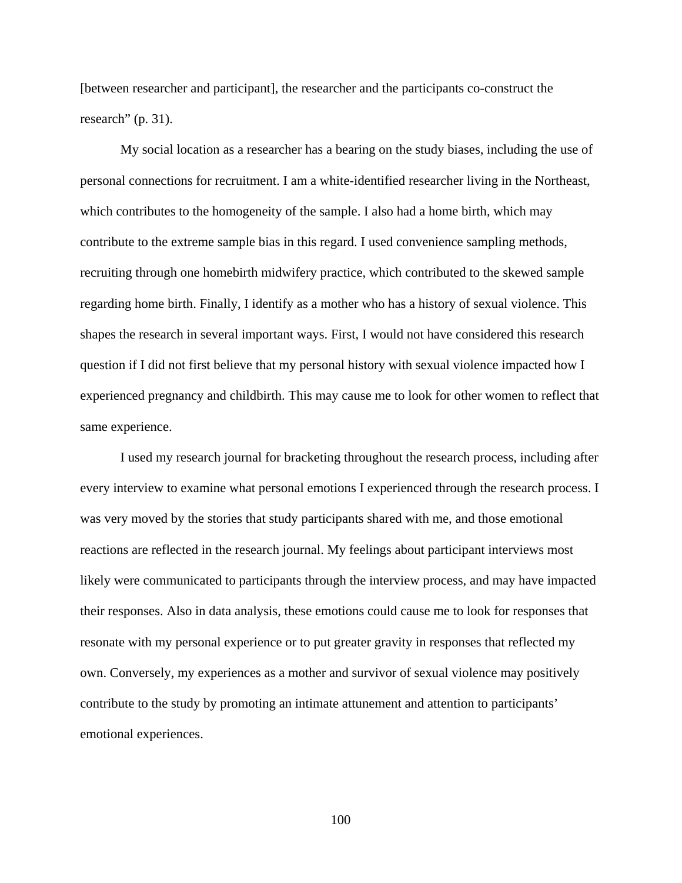[between researcher and participant], the researcher and the participants co-construct the research" (p. 31).

My social location as a researcher has a bearing on the study biases, including the use of personal connections for recruitment. I am a white-identified researcher living in the Northeast, which contributes to the homogeneity of the sample. I also had a home birth, which may contribute to the extreme sample bias in this regard. I used convenience sampling methods, recruiting through one homebirth midwifery practice, which contributed to the skewed sample regarding home birth. Finally, I identify as a mother who has a history of sexual violence. This shapes the research in several important ways. First, I would not have considered this research question if I did not first believe that my personal history with sexual violence impacted how I experienced pregnancy and childbirth. This may cause me to look for other women to reflect that same experience.

I used my research journal for bracketing throughout the research process, including after every interview to examine what personal emotions I experienced through the research process. I was very moved by the stories that study participants shared with me, and those emotional reactions are reflected in the research journal. My feelings about participant interviews most likely were communicated to participants through the interview process, and may have impacted their responses. Also in data analysis, these emotions could cause me to look for responses that resonate with my personal experience or to put greater gravity in responses that reflected my own. Conversely, my experiences as a mother and survivor of sexual violence may positively contribute to the study by promoting an intimate attunement and attention to participants' emotional experiences.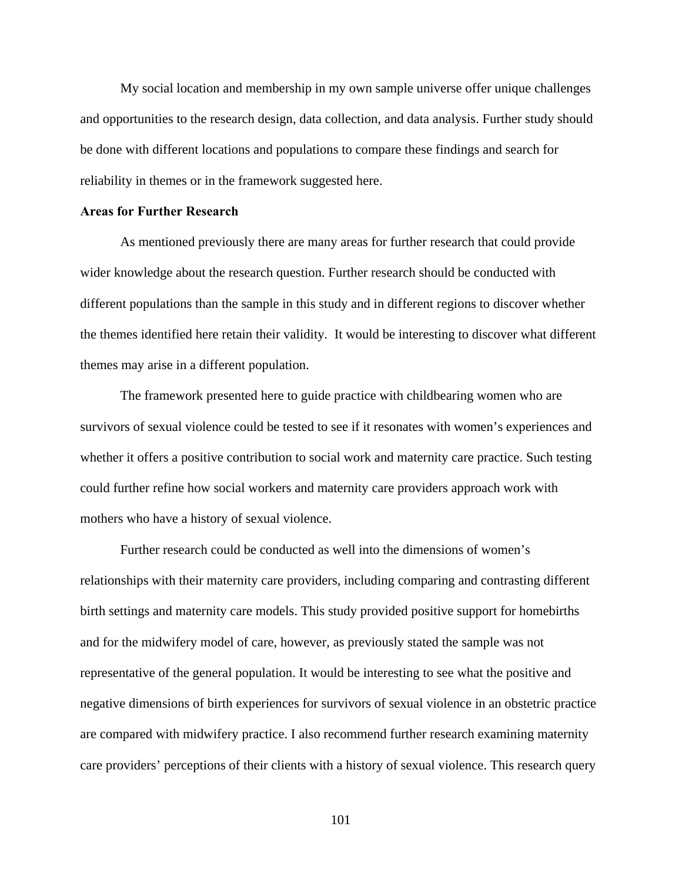My social location and membership in my own sample universe offer unique challenges and opportunities to the research design, data collection, and data analysis. Further study should be done with different locations and populations to compare these findings and search for reliability in themes or in the framework suggested here.

# **Areas for Further Research**

As mentioned previously there are many areas for further research that could provide wider knowledge about the research question. Further research should be conducted with different populations than the sample in this study and in different regions to discover whether the themes identified here retain their validity. It would be interesting to discover what different themes may arise in a different population.

The framework presented here to guide practice with childbearing women who are survivors of sexual violence could be tested to see if it resonates with women's experiences and whether it offers a positive contribution to social work and maternity care practice. Such testing could further refine how social workers and maternity care providers approach work with mothers who have a history of sexual violence.

Further research could be conducted as well into the dimensions of women's relationships with their maternity care providers, including comparing and contrasting different birth settings and maternity care models. This study provided positive support for homebirths and for the midwifery model of care, however, as previously stated the sample was not representative of the general population. It would be interesting to see what the positive and negative dimensions of birth experiences for survivors of sexual violence in an obstetric practice are compared with midwifery practice. I also recommend further research examining maternity care providers' perceptions of their clients with a history of sexual violence. This research query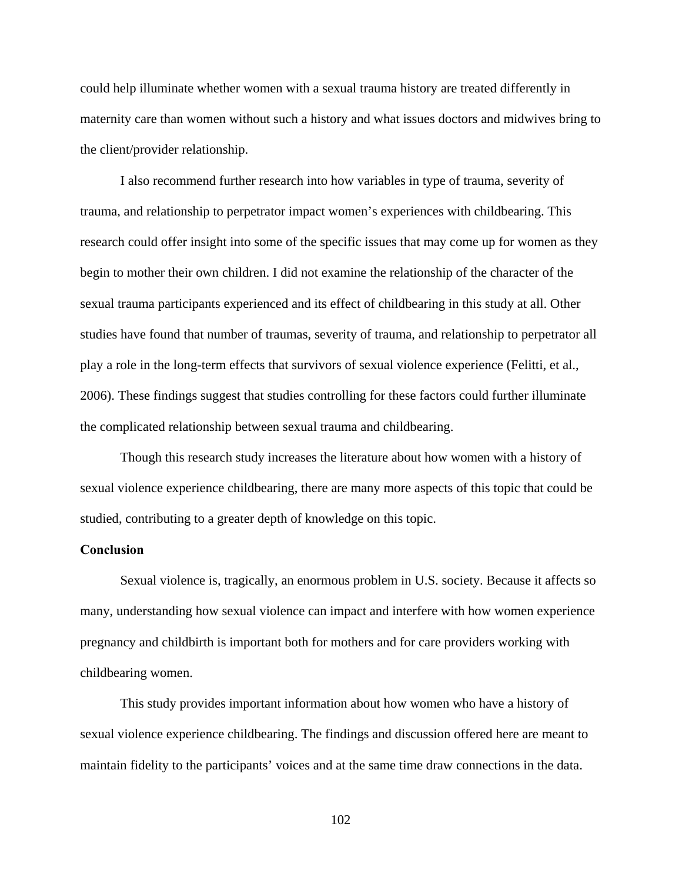could help illuminate whether women with a sexual trauma history are treated differently in maternity care than women without such a history and what issues doctors and midwives bring to the client/provider relationship.

I also recommend further research into how variables in type of trauma, severity of trauma, and relationship to perpetrator impact women's experiences with childbearing. This research could offer insight into some of the specific issues that may come up for women as they begin to mother their own children. I did not examine the relationship of the character of the sexual trauma participants experienced and its effect of childbearing in this study at all. Other studies have found that number of traumas, severity of trauma, and relationship to perpetrator all play a role in the long-term effects that survivors of sexual violence experience (Felitti, et al., 2006). These findings suggest that studies controlling for these factors could further illuminate the complicated relationship between sexual trauma and childbearing.

Though this research study increases the literature about how women with a history of sexual violence experience childbearing, there are many more aspects of this topic that could be studied, contributing to a greater depth of knowledge on this topic.

#### **Conclusion**

Sexual violence is, tragically, an enormous problem in U.S. society. Because it affects so many, understanding how sexual violence can impact and interfere with how women experience pregnancy and childbirth is important both for mothers and for care providers working with childbearing women.

This study provides important information about how women who have a history of sexual violence experience childbearing. The findings and discussion offered here are meant to maintain fidelity to the participants' voices and at the same time draw connections in the data.

102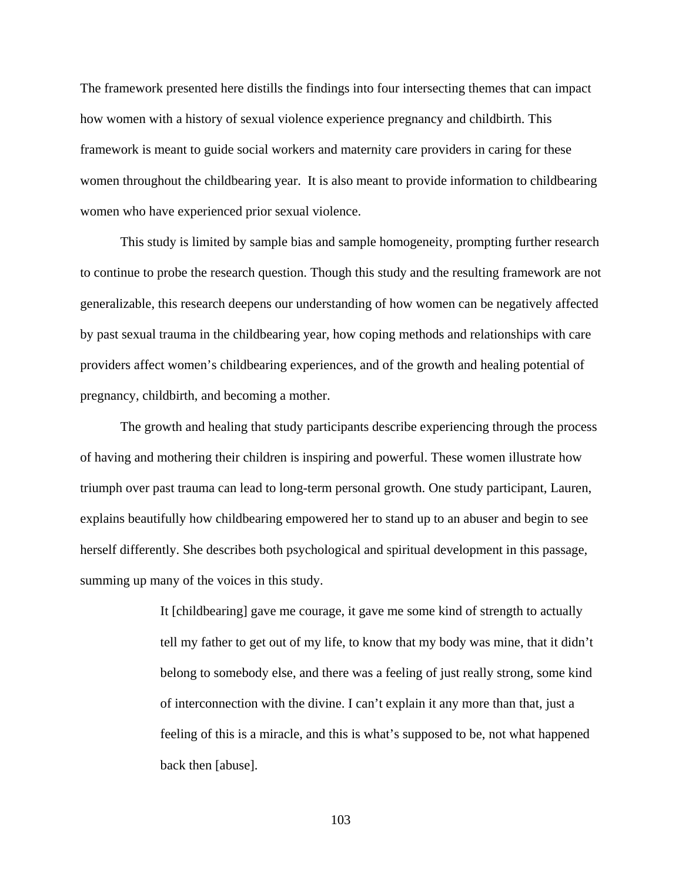The framework presented here distills the findings into four intersecting themes that can impact how women with a history of sexual violence experience pregnancy and childbirth. This framework is meant to guide social workers and maternity care providers in caring for these women throughout the childbearing year. It is also meant to provide information to childbearing women who have experienced prior sexual violence.

This study is limited by sample bias and sample homogeneity, prompting further research to continue to probe the research question. Though this study and the resulting framework are not generalizable, this research deepens our understanding of how women can be negatively affected by past sexual trauma in the childbearing year, how coping methods and relationships with care providers affect women's childbearing experiences, and of the growth and healing potential of pregnancy, childbirth, and becoming a mother.

The growth and healing that study participants describe experiencing through the process of having and mothering their children is inspiring and powerful. These women illustrate how triumph over past trauma can lead to long-term personal growth. One study participant, Lauren, explains beautifully how childbearing empowered her to stand up to an abuser and begin to see herself differently. She describes both psychological and spiritual development in this passage, summing up many of the voices in this study.

> It [childbearing] gave me courage, it gave me some kind of strength to actually tell my father to get out of my life, to know that my body was mine, that it didn't belong to somebody else, and there was a feeling of just really strong, some kind of interconnection with the divine. I can't explain it any more than that, just a feeling of this is a miracle, and this is what's supposed to be, not what happened back then [abuse].

> > 103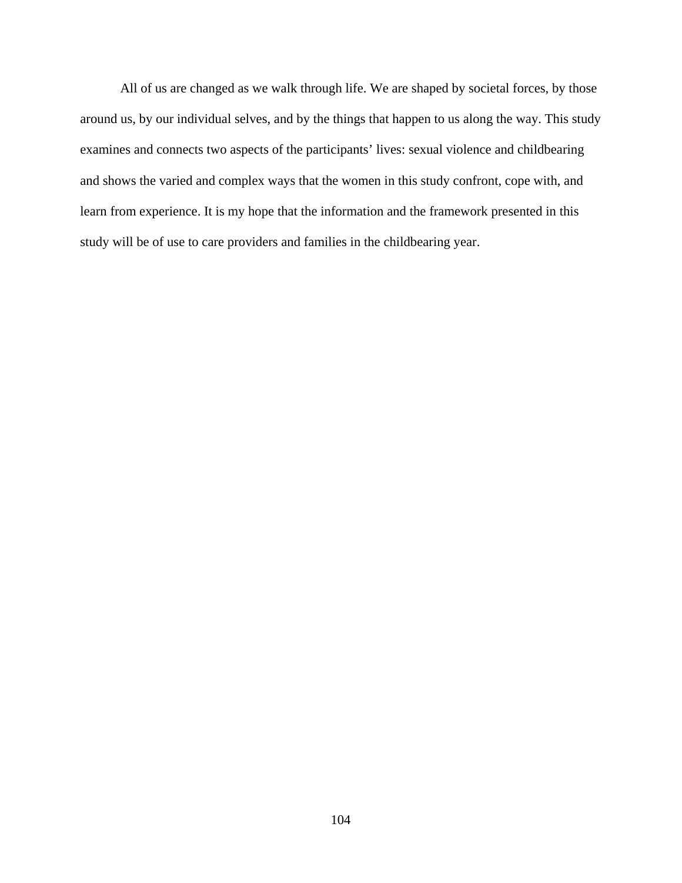All of us are changed as we walk through life. We are shaped by societal forces, by those around us, by our individual selves, and by the things that happen to us along the way. This study examines and connects two aspects of the participants' lives: sexual violence and childbearing and shows the varied and complex ways that the women in this study confront, cope with, and learn from experience. It is my hope that the information and the framework presented in this study will be of use to care providers and families in the childbearing year.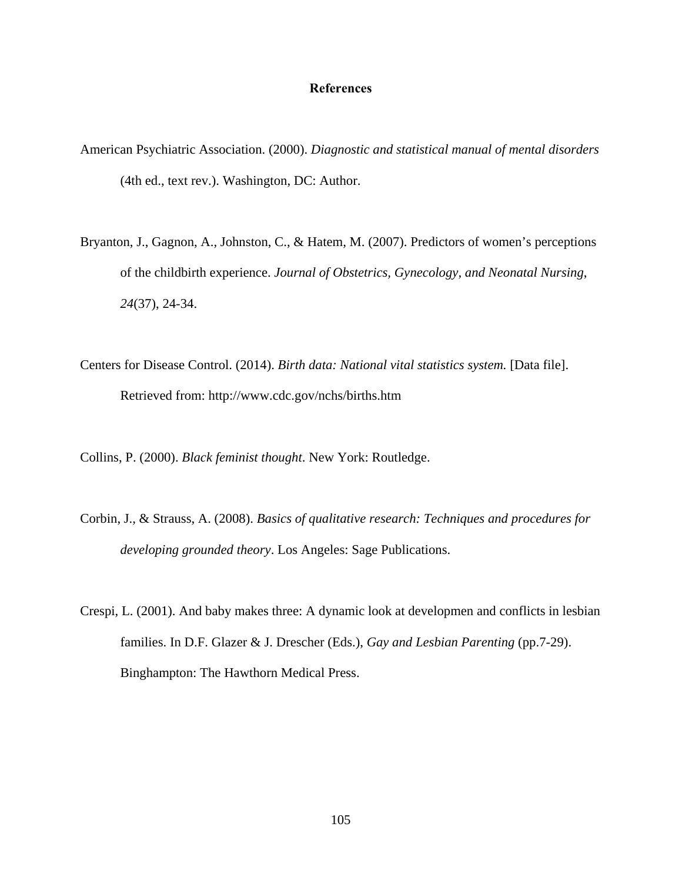#### **References**

- American Psychiatric Association. (2000). *Diagnostic and statistical manual of mental disorders*  (4th ed., text rev.). Washington, DC: Author.
- Bryanton, J., Gagnon, A., Johnston, C., & Hatem, M. (2007). Predictors of women's perceptions of the childbirth experience. *Journal of Obstetrics, Gynecology, and Neonatal Nursing*, *24*(37), 24-34.
- Centers for Disease Control. (2014). *Birth data: National vital statistics system.* [Data file]. Retrieved from: http://www.cdc.gov/nchs/births.htm

Collins, P. (2000). *Black feminist thought*. New York: Routledge.

- Corbin, J., & Strauss, A. (2008). *Basics of qualitative research: Techniques and procedures for developing grounded theory*. Los Angeles: Sage Publications.
- Crespi, L. (2001). And baby makes three: A dynamic look at developmen and conflicts in lesbian families. In D.F. Glazer & J. Drescher (Eds.), *Gay and Lesbian Parenting* (pp.7-29). Binghampton: The Hawthorn Medical Press.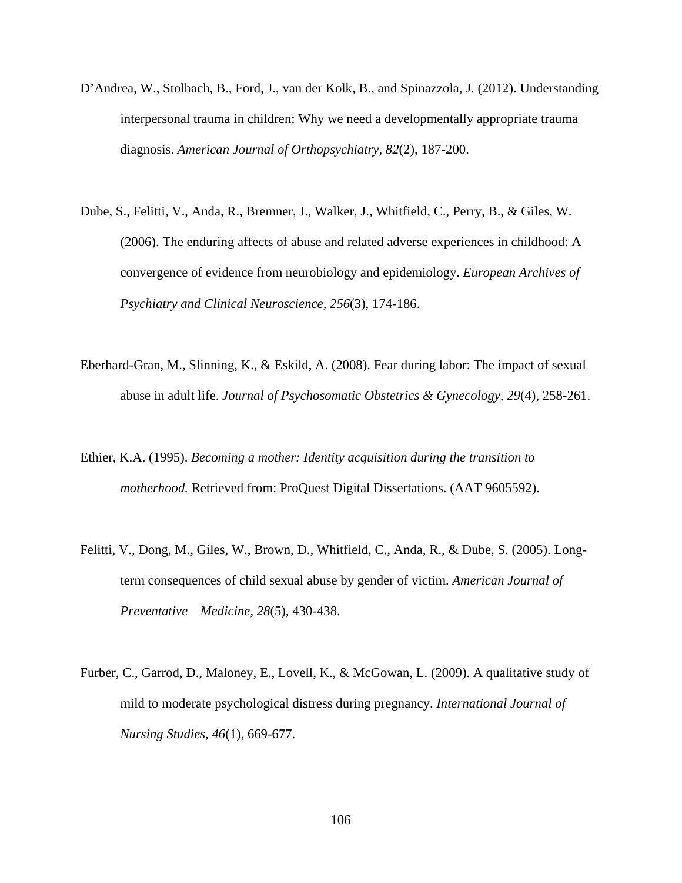- D'Andrea, W., Stolbach, B., Ford, J., van der Kolk, B., and Spinazzola, J. (2012). Understanding interpersonal trauma in children: Why we need a developmentally appropriate trauma diagnosis. *American Journal of Orthopsychiatry, 82*(2), 187-200.
- Dube, S., Felitti, V., Anda, R., Bremner, J., Walker, J., Whitfield, C., Perry, B., & Giles, W. (2006). The enduring affects of abuse and related adverse experiences in childhood: A convergence of evidence from neurobiology and epidemiology. *European Archives of Psychiatry and Clinical Neuroscience, 256*(3), 174-186.
- Eberhard-Gran, M., Slinning, K., & Eskild, A. (2008). Fear during labor: The impact of sexual abuse in adult life. *Journal of Psychosomatic Obstetrics & Gynecology, 29*(4), 258-261.
- Ethier, K.A. (1995). *Becoming a mother: Identity acquisition during the transition to motherhood.* Retrieved from: ProQuest Digital Dissertations. (AAT 9605592).
- Felitti, V., Dong, M., Giles, W., Brown, D., Whitfield, C., Anda, R., & Dube, S. (2005). Longterm consequences of child sexual abuse by gender of victim. *American Journal of Preventative Medicine, 28*(5), 430-438.
- Furber, C., Garrod, D., Maloney, E., Lovell, K., & McGowan, L. (2009). A qualitative study of mild to moderate psychological distress during pregnancy. *International Journal of Nursing Studies, 46*(1), 669-677.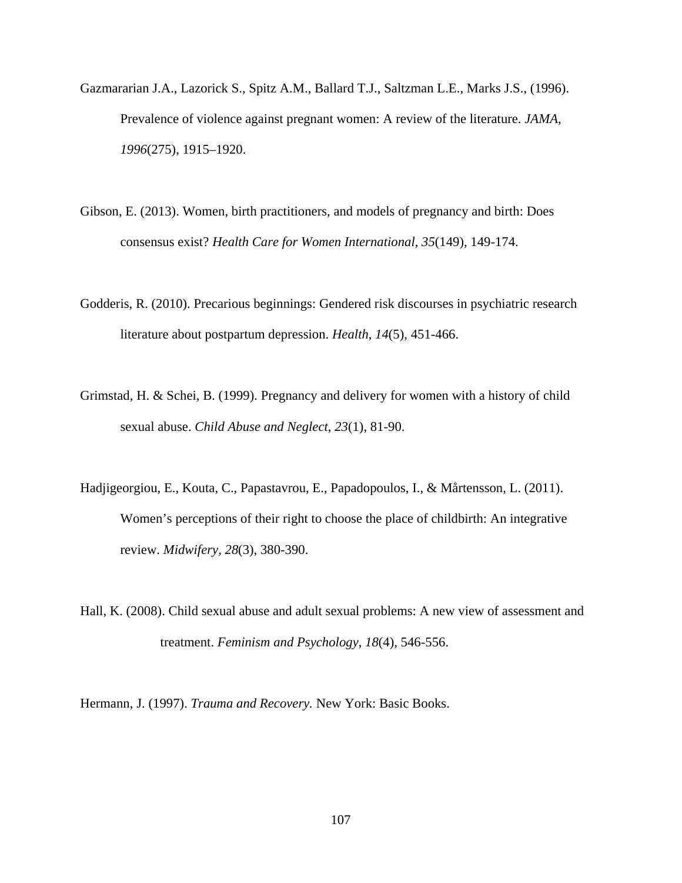- Gazmararian J.A., Lazorick S., Spitz A.M., Ballard T.J., Saltzman L.E., Marks J.S., (1996). Prevalence of violence against pregnant women: A review of the literature. *JAMA, 1996*(275), 1915–1920.
- Gibson, E. (2013). Women, birth practitioners, and models of pregnancy and birth: Does consensus exist? *Health Care for Women International, 35*(149), 149-174.
- Godderis, R. (2010). Precarious beginnings: Gendered risk discourses in psychiatric research literature about postpartum depression. *Health*, *14*(5), 451-466.
- Grimstad, H. & Schei, B. (1999). Pregnancy and delivery for women with a history of child sexual abuse. *Child Abuse and Neglect*, *23*(1), 81-90.
- Hadjigeorgiou, E., Kouta, C., Papastavrou, E., Papadopoulos, I., & Mårtensson, L. (2011). Women's perceptions of their right to choose the place of childbirth: An integrative review. *Midwifery, 28*(3), 380-390.
- Hall, K. (2008). Child sexual abuse and adult sexual problems: A new view of assessment and treatment. *Feminism and Psychology*, *18*(4), 546-556.

Hermann, J. (1997). *Trauma and Recovery.* New York: Basic Books.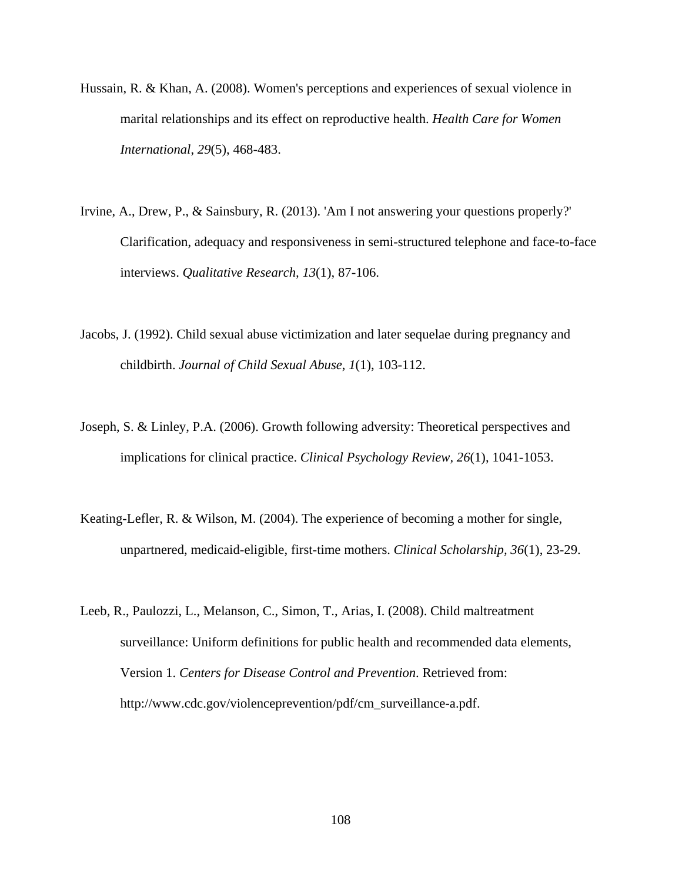- Hussain, R. & Khan, A. (2008). Women's perceptions and experiences of sexual violence in marital relationships and its effect on reproductive health. *Health Care for Women International*, *29*(5), 468-483.
- Irvine, A., Drew, P., & Sainsbury, R. (2013). 'Am I not answering your questions properly?' Clarification, adequacy and responsiveness in semi-structured telephone and face-to-face interviews. *Qualitative Research, 13*(1), 87-106.
- Jacobs, J. (1992). Child sexual abuse victimization and later sequelae during pregnancy and childbirth. *Journal of Child Sexual Abuse*, *1*(1), 103-112.
- Joseph, S. & Linley, P.A. (2006). Growth following adversity: Theoretical perspectives and implications for clinical practice. *Clinical Psychology Review, 26*(1), 1041-1053.
- Keating-Lefler, R. & Wilson, M. (2004). The experience of becoming a mother for single, unpartnered, medicaid-eligible, first-time mothers. *Clinical Scholarship, 36*(1), 23-29.
- Leeb, R., Paulozzi, L., Melanson, C., Simon, T., Arias, I. (2008). Child maltreatment surveillance: Uniform definitions for public health and recommended data elements, Version 1. *Centers for Disease Control and Prevention*. Retrieved from: http://www.cdc.gov/violenceprevention/pdf/cm\_surveillance-a.pdf.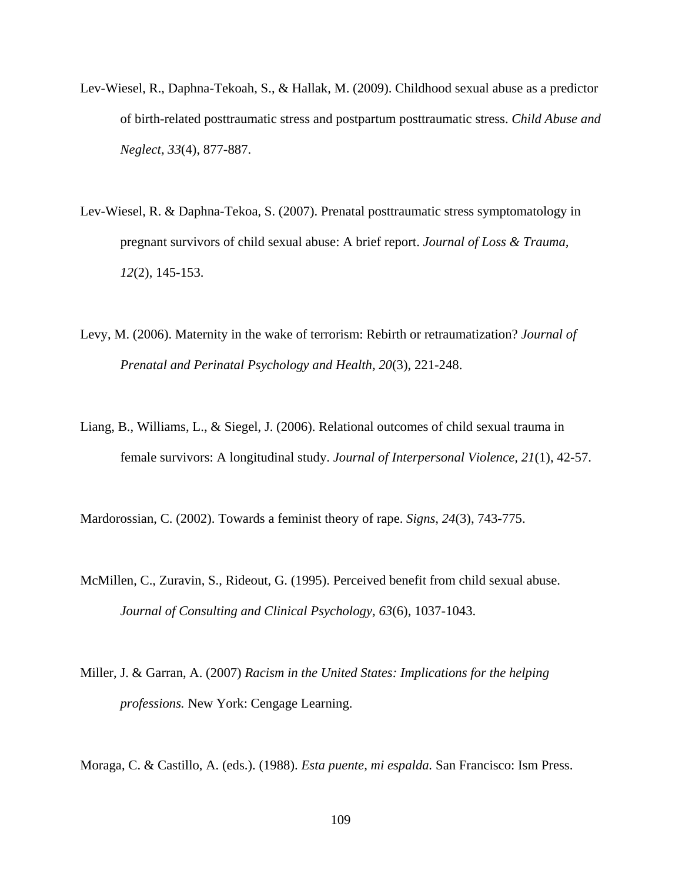- Lev-Wiesel, R., Daphna-Tekoah, S., & Hallak, M. (2009). Childhood sexual abuse as a predictor of birth-related posttraumatic stress and postpartum posttraumatic stress. *Child Abuse and Neglect, 33*(4), 877-887.
- Lev-Wiesel, R. & Daphna-Tekoa, S. (2007). Prenatal posttraumatic stress symptomatology in pregnant survivors of child sexual abuse: A brief report. *Journal of Loss & Trauma, 12*(2), 145-153.
- Levy, M. (2006). Maternity in the wake of terrorism: Rebirth or retraumatization? *Journal of Prenatal and Perinatal Psychology and Health, 20*(3), 221-248.
- Liang, B., Williams, L., & Siegel, J. (2006). Relational outcomes of child sexual trauma in female survivors: A longitudinal study. *Journal of Interpersonal Violence, 21*(1), 42-57.

Mardorossian, C. (2002). Towards a feminist theory of rape. *Signs*, *24*(3), 743-775.

- McMillen, C., Zuravin, S., Rideout, G. (1995). Perceived benefit from child sexual abuse. *Journal of Consulting and Clinical Psychology, 63*(6), 1037-1043.
- Miller, J. & Garran, A. (2007) *Racism in the United States: Implications for the helping professions.* New York: Cengage Learning.

Moraga, C. & Castillo, A. (eds.). (1988). *Esta puente, mi espalda.* San Francisco: Ism Press.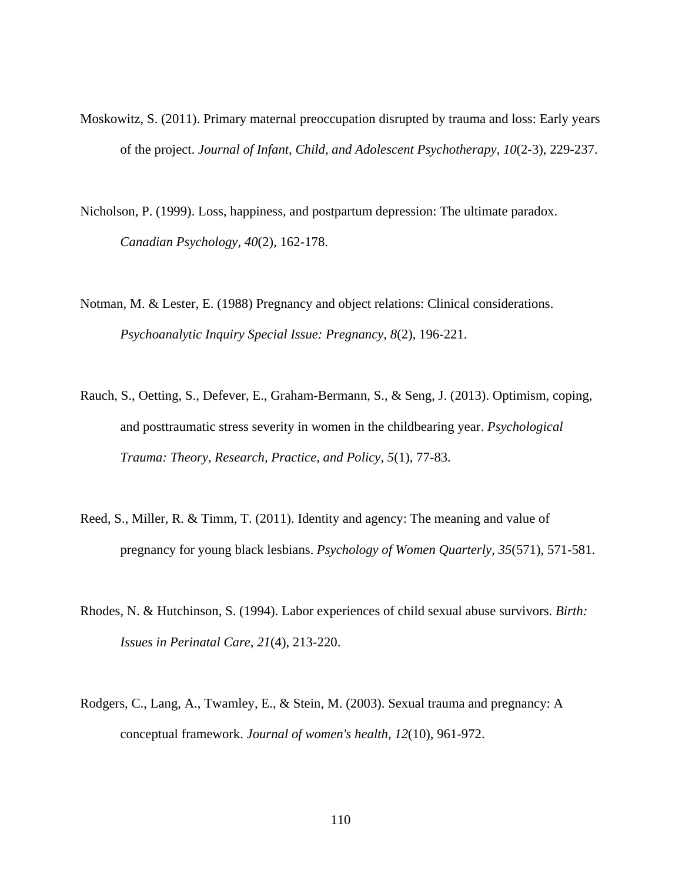- Moskowitz, S. (2011). Primary maternal preoccupation disrupted by trauma and loss: Early years of the project. *Journal of Infant, Child, and Adolescent Psychotherapy, 10*(2-3), 229-237.
- Nicholson, P. (1999). Loss, happiness, and postpartum depression: The ultimate paradox. *Canadian Psychology, 40*(2), 162-178.
- Notman, M. & Lester, E. (1988) Pregnancy and object relations: Clinical considerations.  *Psychoanalytic Inquiry Special Issue: Pregnancy, 8*(2), 196-221.
- Rauch, S., Oetting, S., Defever, E., Graham-Bermann, S., & Seng, J. (2013). Optimism, coping, and posttraumatic stress severity in women in the childbearing year. *Psychological Trauma: Theory, Research, Practice, and Policy, 5*(1), 77-83.
- Reed, S., Miller, R. & Timm, T. (2011). Identity and agency: The meaning and value of pregnancy for young black lesbians. *Psychology of Women Quarterly*, *35*(571), 571-581.
- Rhodes, N. & Hutchinson, S. (1994). Labor experiences of child sexual abuse survivors. *Birth: Issues in Perinatal Care, 21*(4), 213-220.
- Rodgers, C., Lang, A., Twamley, E., & Stein, M. (2003). Sexual trauma and pregnancy: A conceptual framework. *Journal of women's health, 12*(10), 961-972.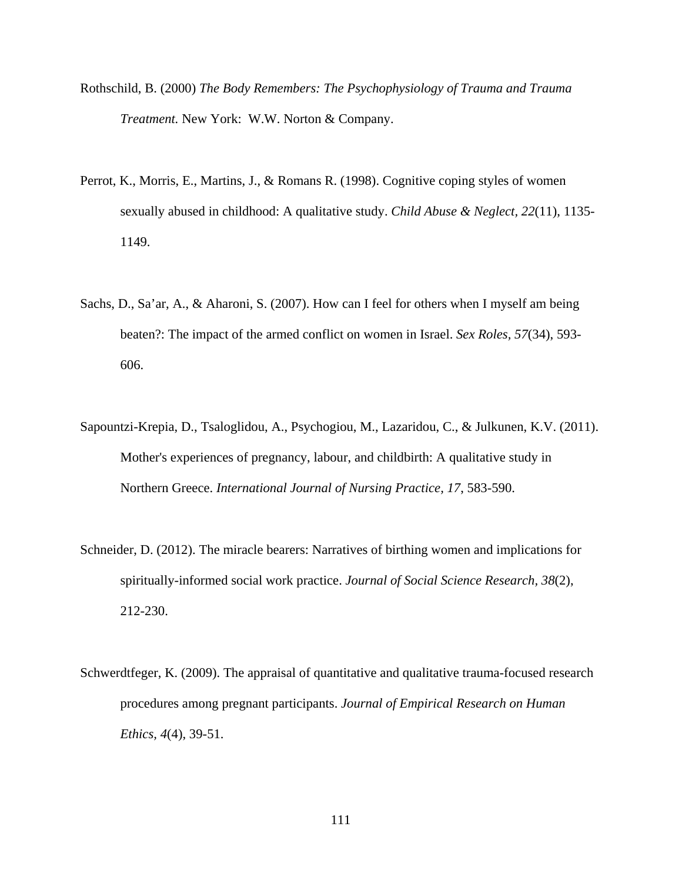- Rothschild, B. (2000) *The Body Remembers: The Psychophysiology of Trauma and Trauma Treatment.* New York: W.W. Norton & Company.
- Perrot, K., Morris, E., Martins, J., & Romans R. (1998). Cognitive coping styles of women sexually abused in childhood: A qualitative study. *Child Abuse & Neglect, 22*(11), 1135- 1149.
- Sachs, D., Sa'ar, A., & Aharoni, S. (2007). How can I feel for others when I myself am being beaten?: The impact of the armed conflict on women in Israel. *Sex Roles, 57*(34), 593- 606.
- Sapountzi-Krepia, D., Tsaloglidou, A., Psychogiou, M., Lazaridou, C., & Julkunen, K.V. (2011). Mother's experiences of pregnancy, labour, and childbirth: A qualitative study in Northern Greece. *International Journal of Nursing Practice, 17*, 583-590.
- Schneider, D. (2012). The miracle bearers: Narratives of birthing women and implications for spiritually-informed social work practice. *Journal of Social Science Research, 38*(2), 212-230.
- Schwerdtfeger, K. (2009). The appraisal of quantitative and qualitative trauma-focused research procedures among pregnant participants. *Journal of Empirical Research on Human Ethics, 4*(4), 39-51.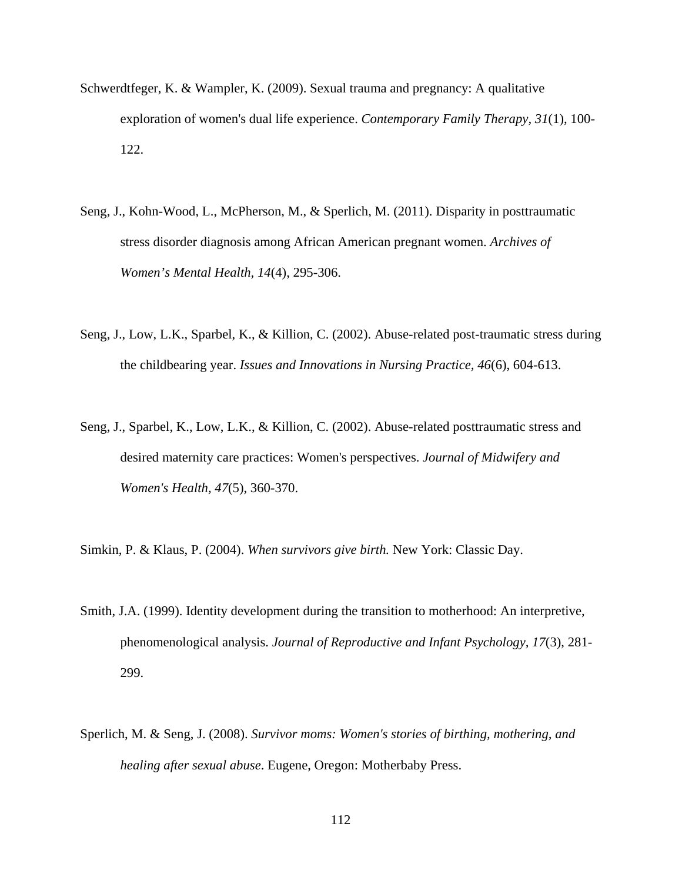- Schwerdtfeger, K. & Wampler, K. (2009). Sexual trauma and pregnancy: A qualitative exploration of women's dual life experience. *Contemporary Family Therapy, 31*(1), 100- 122.
- Seng, J., Kohn-Wood, L., McPherson, M., & Sperlich, M. (2011). Disparity in posttraumatic stress disorder diagnosis among African American pregnant women. *Archives of Women's Mental Health, 14*(4), 295-306.
- Seng, J., Low, L.K., Sparbel, K., & Killion, C. (2002). Abuse-related post-traumatic stress during the childbearing year. *Issues and Innovations in Nursing Practice, 46*(6), 604-613.
- Seng, J., Sparbel, K., Low, L.K., & Killion, C. (2002). Abuse-related posttraumatic stress and desired maternity care practices: Women's perspectives. *Journal of Midwifery and Women's Health, 47*(5), 360-370.
- Simkin, P. & Klaus, P. (2004). *When survivors give birth.* New York: Classic Day.
- Smith, J.A. (1999). Identity development during the transition to motherhood: An interpretive, phenomenological analysis. *Journal of Reproductive and Infant Psychology, 17*(3), 281- 299.
- Sperlich, M. & Seng, J. (2008). *Survivor moms: Women's stories of birthing, mothering, and healing after sexual abuse*. Eugene, Oregon: Motherbaby Press.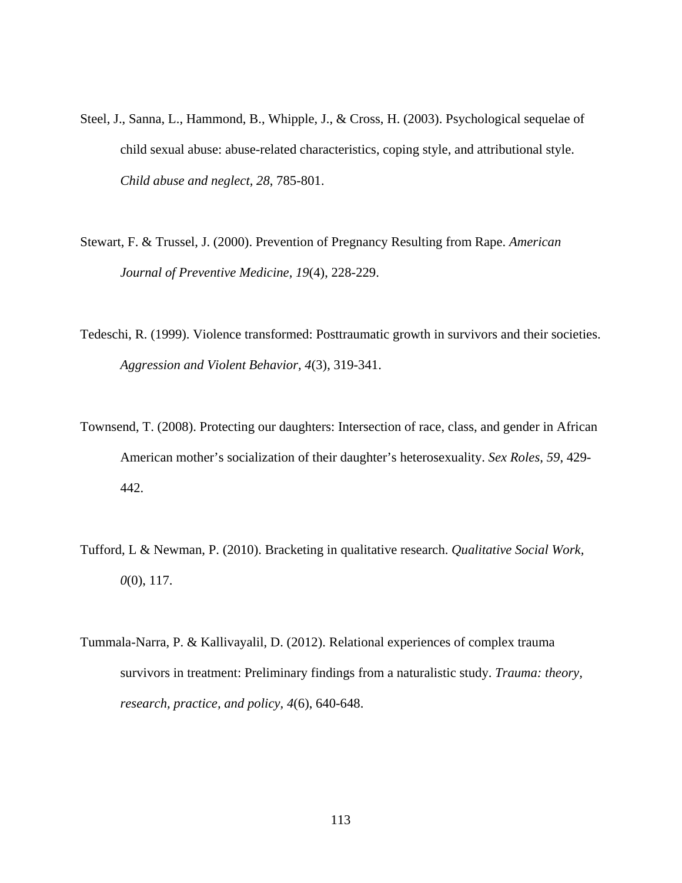- Steel, J., Sanna, L., Hammond, B., Whipple, J., & Cross, H. (2003). Psychological sequelae of child sexual abuse: abuse-related characteristics, coping style, and attributional style. *Child abuse and neglect, 28*, 785-801.
- Stewart, F. & Trussel, J. (2000). Prevention of Pregnancy Resulting from Rape. *American Journal of Preventive Medicine, 19*(4), 228-229.
- Tedeschi, R. (1999). Violence transformed: Posttraumatic growth in survivors and their societies. *Aggression and Violent Behavior, 4*(3), 319-341.
- Townsend, T. (2008). Protecting our daughters: Intersection of race, class, and gender in African American mother's socialization of their daughter's heterosexuality. *Sex Roles, 59*, 429- 442.
- Tufford, L & Newman, P. (2010). Bracketing in qualitative research. *Qualitative Social Work, 0*(0), 117.
- Tummala-Narra, P. & Kallivayalil, D. (2012). Relational experiences of complex trauma survivors in treatment: Preliminary findings from a naturalistic study. *Trauma: theory, research, practice, and policy, 4*(6), 640-648.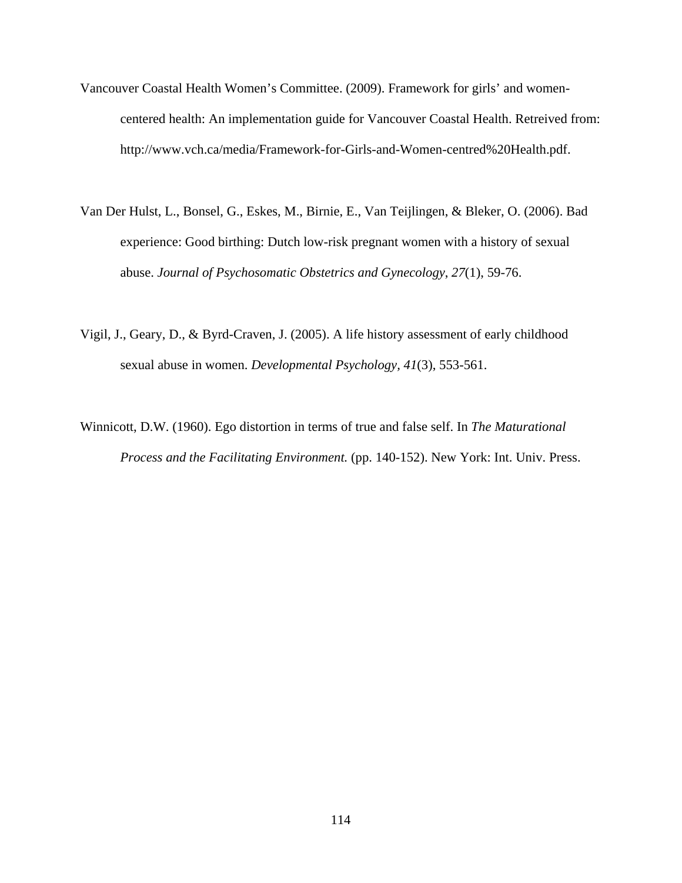- Vancouver Coastal Health Women's Committee. (2009). Framework for girls' and womencentered health: An implementation guide for Vancouver Coastal Health. Retreived from: http://www.vch.ca/media/Framework-for-Girls-and-Women-centred%20Health.pdf.
- Van Der Hulst, L., Bonsel, G., Eskes, M., Birnie, E., Van Teijlingen, & Bleker, O. (2006). Bad experience: Good birthing: Dutch low-risk pregnant women with a history of sexual abuse. *Journal of Psychosomatic Obstetrics and Gynecology*, *27*(1), 59-76.
- Vigil, J., Geary, D., & Byrd-Craven, J. (2005). A life history assessment of early childhood sexual abuse in women. *Developmental Psychology, 41*(3), 553-561.
- Winnicott, D.W. (1960). Ego distortion in terms of true and false self. In *The Maturational Process and the Facilitating Environment.* (pp. 140-152). New York: Int. Univ. Press.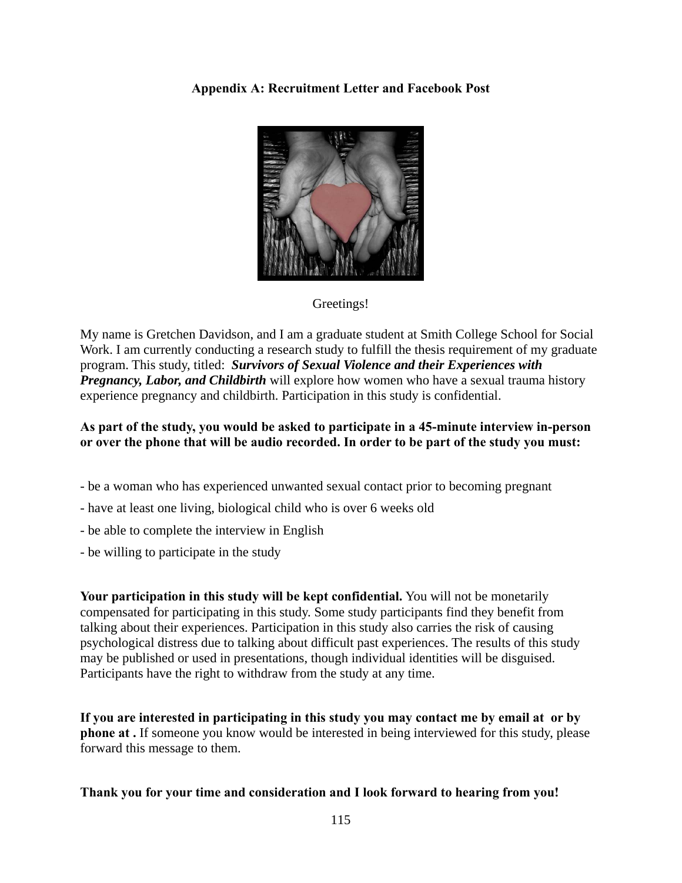**Appendix A: Recruitment Letter and Facebook Post** 



# Greetings!

My name is Gretchen Davidson, and I am a graduate student at Smith College School for Social Work. I am currently conducting a research study to fulfill the thesis requirement of my graduate program. This study, titled: *Survivors of Sexual Violence and their Experiences with Pregnancy, Labor, and Childbirth* will explore how women who have a sexual trauma history experience pregnancy and childbirth. Participation in this study is confidential.

# **As part of the study, you would be asked to participate in a 45-minute interview in-person or over the phone that will be audio recorded. In order to be part of the study you must:**

- be a woman who has experienced unwanted sexual contact prior to becoming pregnant
- have at least one living, biological child who is over 6 weeks old
- be able to complete the interview in English
- be willing to participate in the study

**Your participation in this study will be kept confidential.** You will not be monetarily compensated for participating in this study. Some study participants find they benefit from talking about their experiences. Participation in this study also carries the risk of causing psychological distress due to talking about difficult past experiences. The results of this study may be published or used in presentations, though individual identities will be disguised. Participants have the right to withdraw from the study at any time.

**If you are interested in participating in this study you may contact me by email at or by phone at .** If someone you know would be interested in being interviewed for this study, please forward this message to them.

# **Thank you for your time and consideration and I look forward to hearing from you!**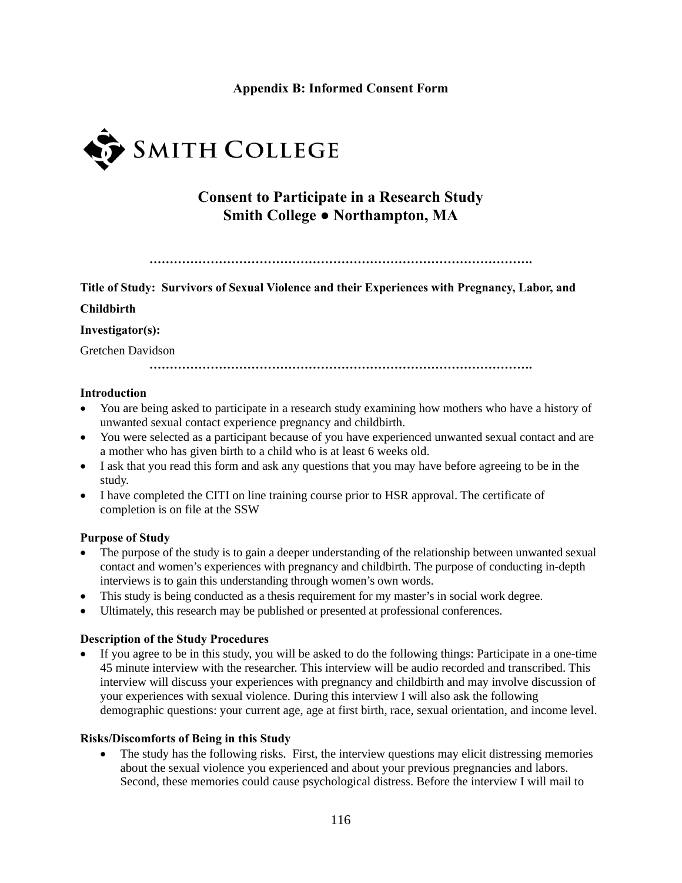# **Appendix B: Informed Consent Form**



# **Consent to Participate in a Research Study Smith College ● Northampton, MA**

**………………………………………………………………………………….** 

**Title of Study: Survivors of Sexual Violence and their Experiences with Pregnancy, Labor, and** 

#### **Childbirth**

#### **Investigator(s):**

Gretchen Davidson

**………………………………………………………………………………….** 

#### **Introduction**

- You are being asked to participate in a research study examining how mothers who have a history of unwanted sexual contact experience pregnancy and childbirth.
- You were selected as a participant because of you have experienced unwanted sexual contact and are a mother who has given birth to a child who is at least 6 weeks old.
- I ask that you read this form and ask any questions that you may have before agreeing to be in the study.
- I have completed the CITI on line training course prior to HSR approval. The certificate of completion is on file at the SSW

#### **Purpose of Study**

- The purpose of the study is to gain a deeper understanding of the relationship between unwanted sexual contact and women's experiences with pregnancy and childbirth. The purpose of conducting in-depth interviews is to gain this understanding through women's own words.
- This study is being conducted as a thesis requirement for my master's in social work degree.
- Ultimately, this research may be published or presented at professional conferences.

#### **Description of the Study Procedures**

 If you agree to be in this study, you will be asked to do the following things: Participate in a one-time 45 minute interview with the researcher. This interview will be audio recorded and transcribed. This interview will discuss your experiences with pregnancy and childbirth and may involve discussion of your experiences with sexual violence. During this interview I will also ask the following demographic questions: your current age, age at first birth, race, sexual orientation, and income level.

#### **Risks/Discomforts of Being in this Study**

• The study has the following risks. First, the interview questions may elicit distressing memories about the sexual violence you experienced and about your previous pregnancies and labors. Second, these memories could cause psychological distress. Before the interview I will mail to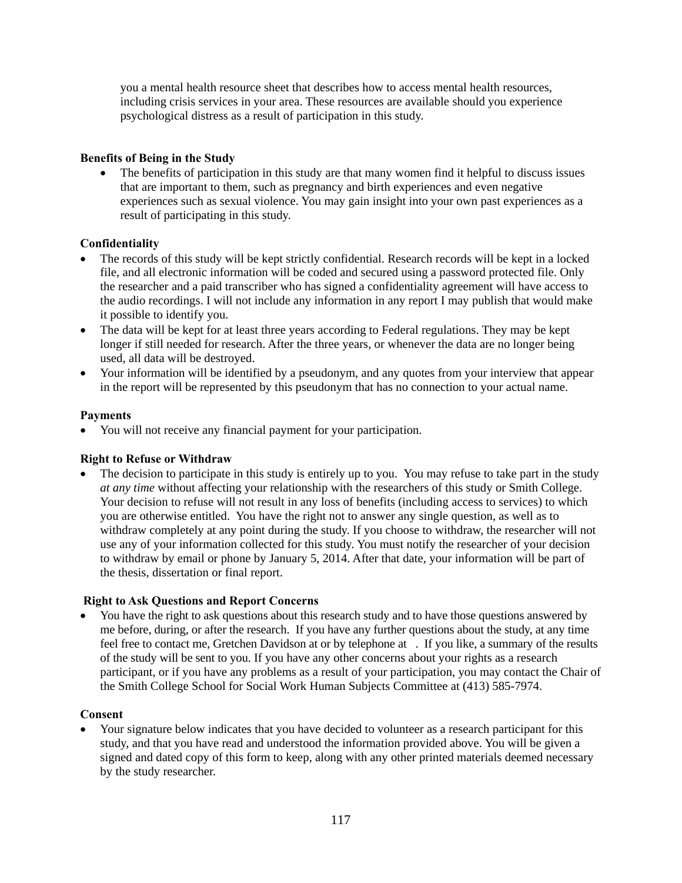you a mental health resource sheet that describes how to access mental health resources, including crisis services in your area. These resources are available should you experience psychological distress as a result of participation in this study.

### **Benefits of Being in the Study**

 The benefits of participation in this study are that many women find it helpful to discuss issues that are important to them, such as pregnancy and birth experiences and even negative experiences such as sexual violence. You may gain insight into your own past experiences as a result of participating in this study.

### **Confidentiality**

- The records of this study will be kept strictly confidential. Research records will be kept in a locked file, and all electronic information will be coded and secured using a password protected file. Only the researcher and a paid transcriber who has signed a confidentiality agreement will have access to the audio recordings. I will not include any information in any report I may publish that would make it possible to identify you.
- The data will be kept for at least three years according to Federal regulations. They may be kept longer if still needed for research. After the three years, or whenever the data are no longer being used, all data will be destroyed.
- Your information will be identified by a pseudonym, and any quotes from your interview that appear in the report will be represented by this pseudonym that has no connection to your actual name.

### **Payments**

You will not receive any financial payment for your participation.

### **Right to Refuse or Withdraw**

 The decision to participate in this study is entirely up to you.You may refuse to take part in the study *at any time* without affecting your relationship with the researchers of this study or Smith College. Your decision to refuse will not result in any loss of benefits (including access to services) to which you are otherwise entitled. You have the right not to answer any single question, as well as to withdraw completely at any point during the study. If you choose to withdraw, the researcher will not use any of your information collected for this study. You must notify the researcher of your decision to withdraw by email or phone by January 5, 2014. After that date, your information will be part of the thesis, dissertation or final report.

#### **Right to Ask Questions and Report Concerns**

 You have the right to ask questions about this research study and to have those questions answered by me before, during, or after the research. If you have any further questions about the study, at any time feel free to contact me, Gretchen Davidson at or by telephone at . If you like, a summary of the results of the study will be sent to you. If you have any other concerns about your rights as a research participant, or if you have any problems as a result of your participation, you may contact the Chair of the Smith College School for Social Work Human Subjects Committee at (413) 585-7974.

#### **Consent**

 Your signature below indicates that you have decided to volunteer as a research participant for this study, and that you have read and understood the information provided above. You will be given a signed and dated copy of this form to keep, along with any other printed materials deemed necessary by the study researcher.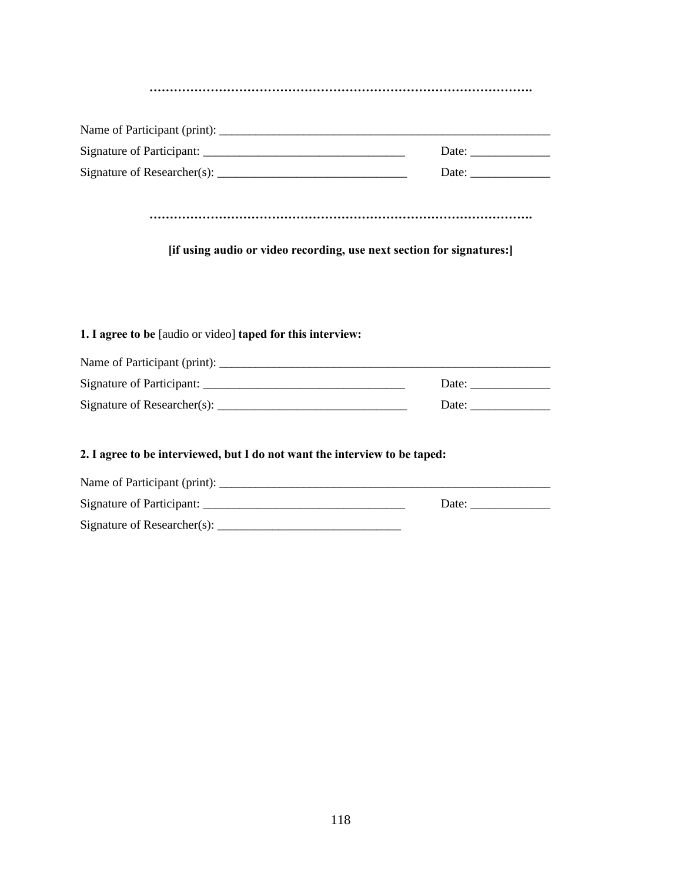| [if using audio or video recording, use next section for signatures:] |                       |  |  |  |
|-----------------------------------------------------------------------|-----------------------|--|--|--|
| 1. I agree to be [audio or video] taped for this interview:           |                       |  |  |  |
|                                                                       |                       |  |  |  |
|                                                                       | Date: $\qquad \qquad$ |  |  |  |

### **2. I agree to be interviewed, but I do not want the interview to be taped:**

| Name of Participant (print):                         |       |  |
|------------------------------------------------------|-------|--|
| Signature of Participant:                            | Date: |  |
| Signature of Researcher(s): $\overline{\phantom{a}}$ |       |  |

Signature of Researcher(s): \_\_\_\_\_\_\_\_\_\_\_\_\_\_\_\_\_\_\_\_\_\_\_\_\_\_\_\_\_\_\_ Date: \_\_\_\_\_\_\_\_\_\_\_\_\_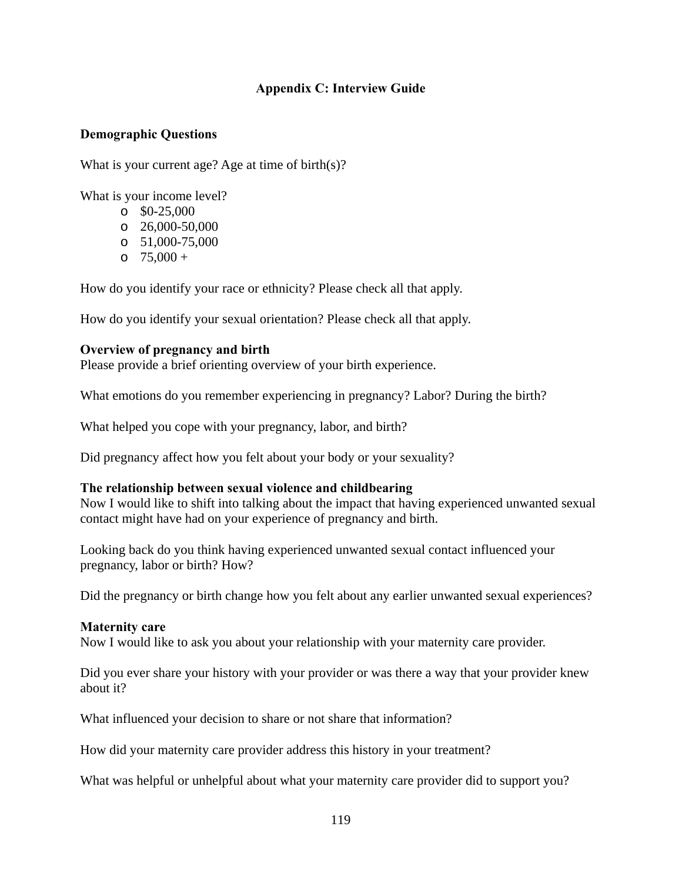# **Appendix C: Interview Guide**

### **Demographic Questions**

What is your current age? Age at time of birth(s)?

What is your income level?

- $\degree$  \$0-25,000
- $O$  26,000-50,000
- o 51,000-75,000
- $0.75,000 +$

How do you identify your race or ethnicity? Please check all that apply.

How do you identify your sexual orientation? Please check all that apply.

### **Overview of pregnancy and birth**

Please provide a brief orienting overview of your birth experience.

What emotions do you remember experiencing in pregnancy? Labor? During the birth?

What helped you cope with your pregnancy, labor, and birth?

Did pregnancy affect how you felt about your body or your sexuality?

#### **The relationship between sexual violence and childbearing**

Now I would like to shift into talking about the impact that having experienced unwanted sexual contact might have had on your experience of pregnancy and birth.

Looking back do you think having experienced unwanted sexual contact influenced your pregnancy, labor or birth? How?

Did the pregnancy or birth change how you felt about any earlier unwanted sexual experiences?

#### **Maternity care**

Now I would like to ask you about your relationship with your maternity care provider.

Did you ever share your history with your provider or was there a way that your provider knew about it?

What influenced your decision to share or not share that information?

How did your maternity care provider address this history in your treatment?

What was helpful or unhelpful about what your maternity care provider did to support you?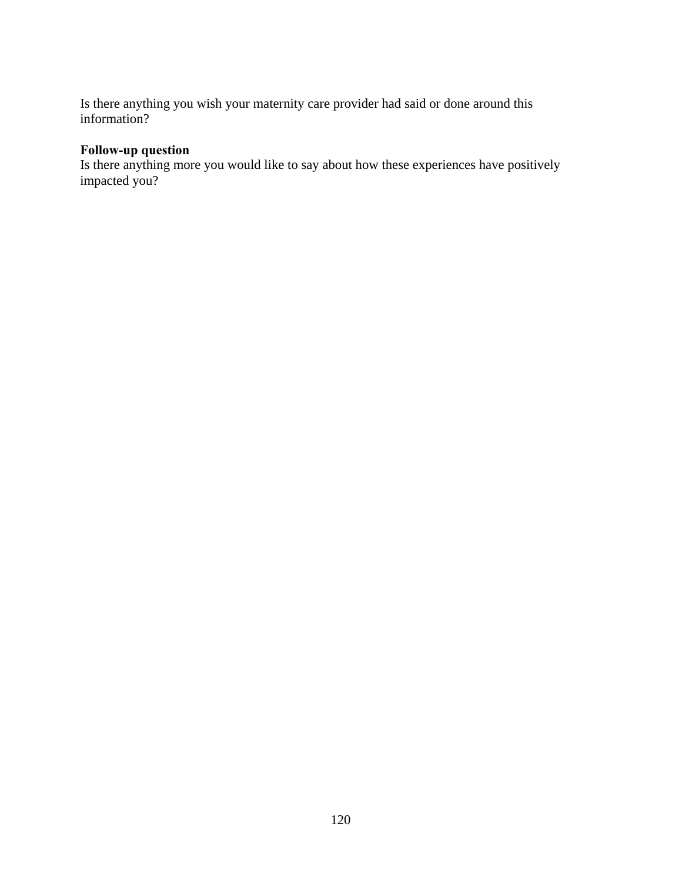Is there anything you wish your maternity care provider had said or done around this information?

# **Follow-up question**

Is there anything more you would like to say about how these experiences have positively impacted you?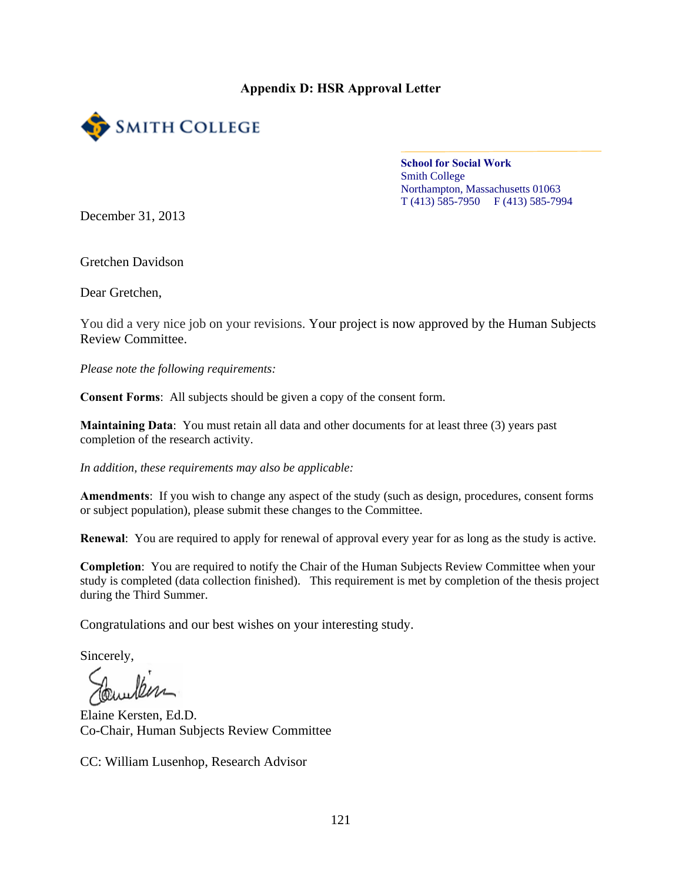## **Appendix D: HSR Approval Letter**



**School for Social Work**  Smith College Northampton, Massachusetts 01063 T (413) 585-7950 F (413) 585-7994

December 31, 2013

Gretchen Davidson

Dear Gretchen,

You did a very nice job on your revisions. Your project is now approved by the Human Subjects Review Committee.

*Please note the following requirements:* 

**Consent Forms**: All subjects should be given a copy of the consent form.

**Maintaining Data**: You must retain all data and other documents for at least three (3) years past completion of the research activity.

*In addition, these requirements may also be applicable:* 

**Amendments**: If you wish to change any aspect of the study (such as design, procedures, consent forms or subject population), please submit these changes to the Committee.

**Renewal**: You are required to apply for renewal of approval every year for as long as the study is active.

**Completion**: You are required to notify the Chair of the Human Subjects Review Committee when your study is completed (data collection finished). This requirement is met by completion of the thesis project during the Third Summer.

Congratulations and our best wishes on your interesting study.

Sincerely,

Elaine Kersten, Ed.D. Co-Chair, Human Subjects Review Committee

CC: William Lusenhop, Research Advisor